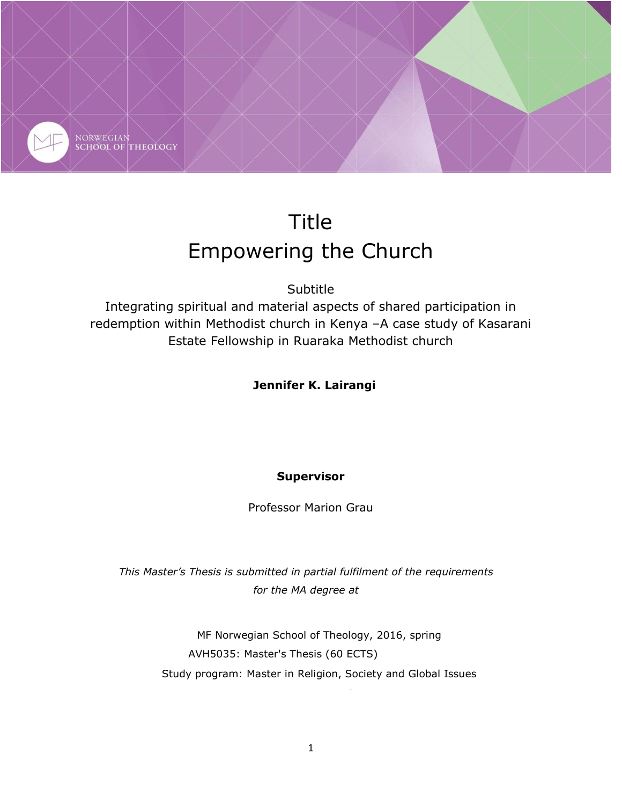

# Title Empowering the Church

**Subtitle** 

Integrating spiritual and material aspects of shared participation in redemption within Methodist church in Kenya –A case study of Kasarani Estate Fellowship in Ruaraka Methodist church

# **Jennifer K. Lairangi**

### **Supervisor**

Professor Marion Grau

*This Master's Thesis is submitted in partial fulfilment of the requirements for the MA degree at*

> MF Norwegian School of Theology, 2016, spring AVH5035: Master's Thesis (60 ECTS) Study program: Master in Religion, Society and Global Issues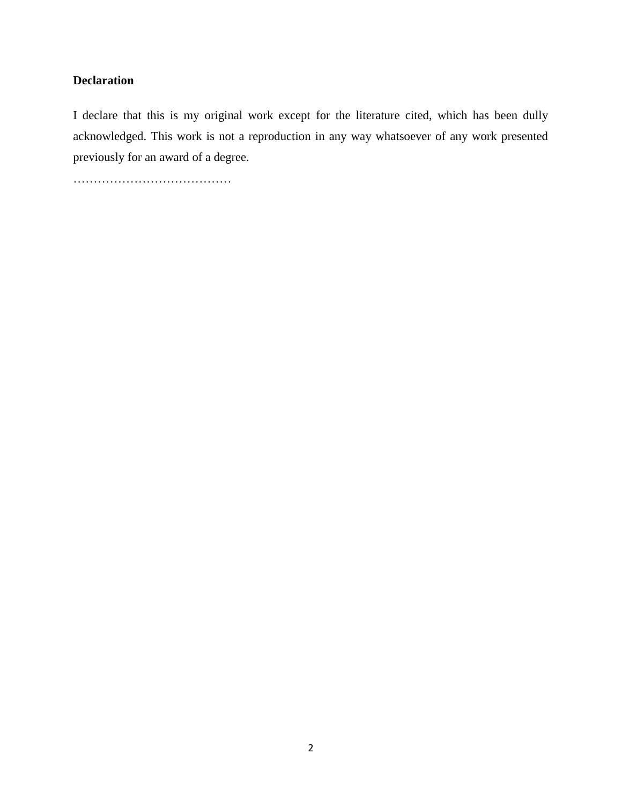### **Declaration**

I declare that this is my original work except for the literature cited, which has been dully acknowledged. This work is not a reproduction in any way whatsoever of any work presented previously for an award of a degree.

…………………………………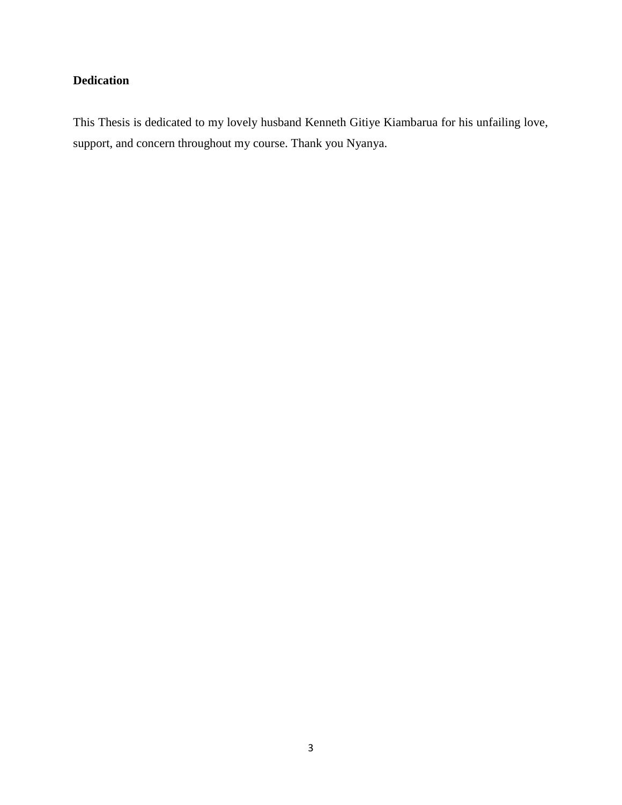# **Dedication**

This Thesis is dedicated to my lovely husband Kenneth Gitiye Kiambarua for his unfailing love, support, and concern throughout my course. Thank you Nyanya.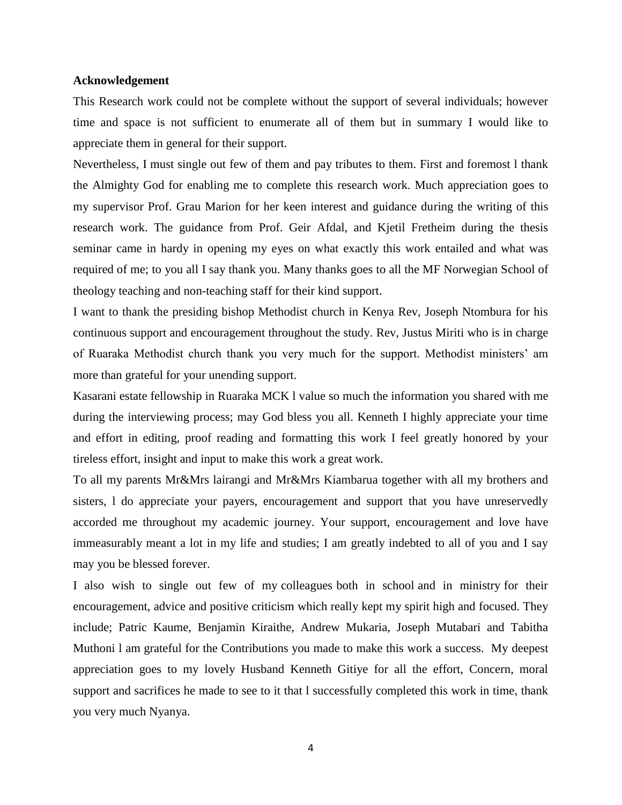#### **Acknowledgement**

This Research work could not be complete without the support of several individuals; however time and space is not sufficient to enumerate all of them but in summary I would like to appreciate them in general for their support.

Nevertheless, I must single out few of them and pay tributes to them. First and foremost l thank the Almighty God for enabling me to complete this research work. Much appreciation goes to my supervisor Prof. Grau Marion for her keen interest and guidance during the writing of this research work. The guidance from Prof. Geir Afdal, and Kjetil Fretheim during the thesis seminar came in hardy in opening my eyes on what exactly this work entailed and what was required of me; to you all I say thank you. Many thanks goes to all the MF Norwegian School of theology teaching and non-teaching staff for their kind support.

I want to thank the presiding bishop Methodist church in Kenya Rev, Joseph Ntombura for his continuous support and encouragement throughout the study. Rev, Justus Miriti who is in charge of Ruaraka Methodist church thank you very much for the support. Methodist ministers' am more than grateful for your unending support.

Kasarani estate fellowship in Ruaraka MCK l value so much the information you shared with me during the interviewing process; may God bless you all. Kenneth I highly appreciate your time and effort in editing, proof reading and formatting this work I feel greatly honored by your tireless effort, insight and input to make this work a great work.

To all my parents Mr&Mrs lairangi and Mr&Mrs Kiambarua together with all my brothers and sisters, l do appreciate your payers, encouragement and support that you have unreservedly accorded me throughout my academic journey. Your support, encouragement and love have immeasurably meant a lot in my life and studies; I am greatly indebted to all of you and I say may you be blessed forever.

I also wish to single out few of my colleagues both in school and in ministry for their encouragement, advice and positive criticism which really kept my spirit high and focused. They include; Patric Kaume, Benjamin Kiraithe, Andrew Mukaria, Joseph Mutabari and Tabitha Muthoni l am grateful for the Contributions you made to make this work a success. My deepest appreciation goes to my lovely Husband Kenneth Gitiye for all the effort, Concern, moral support and sacrifices he made to see to it that l successfully completed this work in time, thank you very much Nyanya.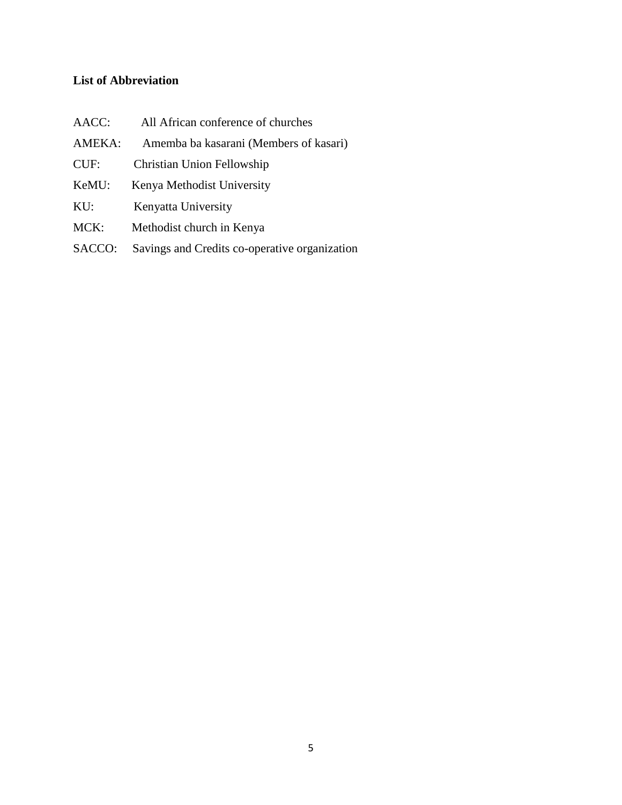# **List of Abbreviation**

| AACC:  | All African conference of churches     |
|--------|----------------------------------------|
| AMEKA: | Amemba ba kasarani (Members of kasari) |
| CUF:   | Christian Union Fellowship             |
| KeMU:  | Kenya Methodist University             |
| $KU$ : | Kenyatta University                    |
| MCK:   | Methodist church in Kenya              |
|        |                                        |

SACCO: Savings and Credits co-operative organization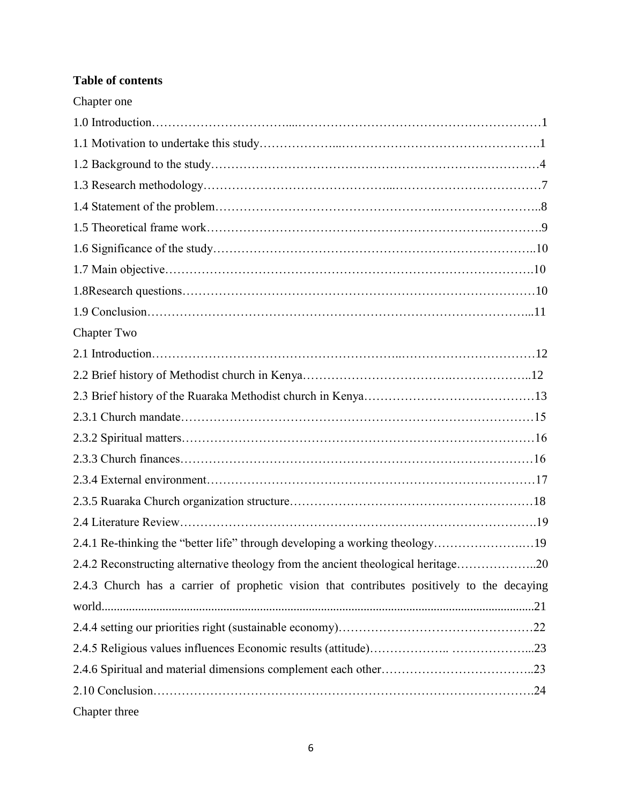# **Table of contents**

| Chapter one                                                                                |  |
|--------------------------------------------------------------------------------------------|--|
|                                                                                            |  |
|                                                                                            |  |
|                                                                                            |  |
|                                                                                            |  |
|                                                                                            |  |
|                                                                                            |  |
|                                                                                            |  |
|                                                                                            |  |
|                                                                                            |  |
|                                                                                            |  |
| <b>Chapter Two</b>                                                                         |  |
|                                                                                            |  |
|                                                                                            |  |
|                                                                                            |  |
|                                                                                            |  |
|                                                                                            |  |
|                                                                                            |  |
|                                                                                            |  |
|                                                                                            |  |
|                                                                                            |  |
| 2.4.1 Re-thinking the "better life" through developing a working theology19                |  |
| 2.4.2 Reconstructing alternative theology from the ancient theological heritage20          |  |
| 2.4.3 Church has a carrier of prophetic vision that contributes positively to the decaying |  |
|                                                                                            |  |
|                                                                                            |  |
|                                                                                            |  |
|                                                                                            |  |
|                                                                                            |  |
| Chapter three                                                                              |  |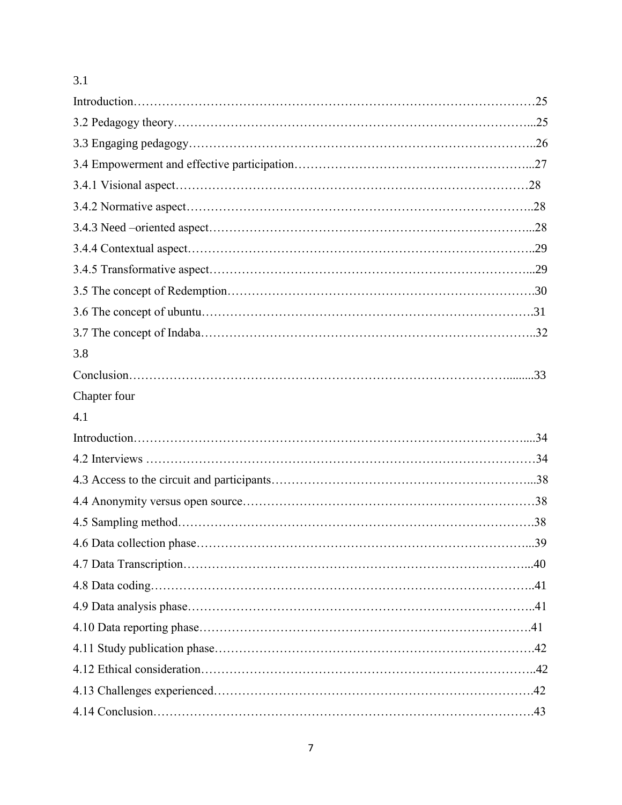# 3.1

| 3.8          |  |
|--------------|--|
|              |  |
| Chapter four |  |
| 4.1          |  |
|              |  |
|              |  |
|              |  |
|              |  |
|              |  |
|              |  |
|              |  |
|              |  |
|              |  |
|              |  |
|              |  |
|              |  |
|              |  |
|              |  |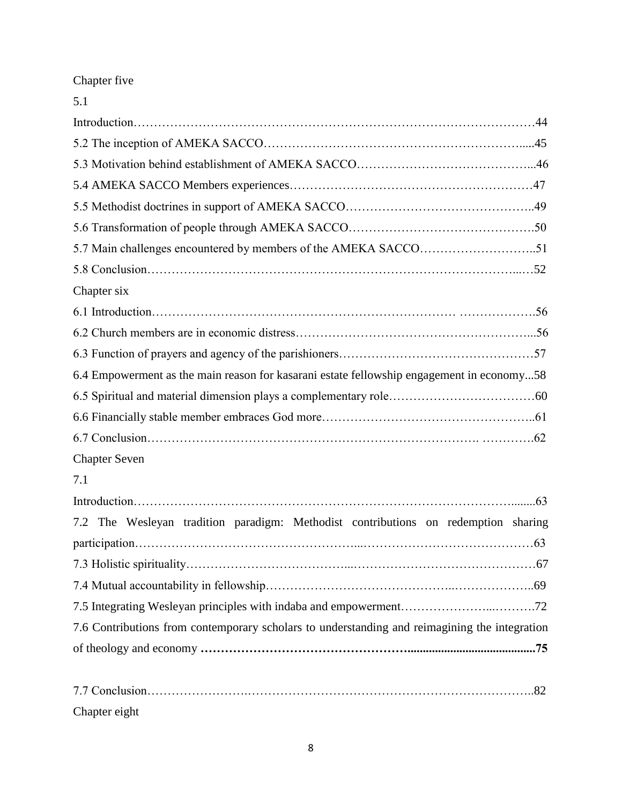# Chapter five

| 5.1                                                                                           |
|-----------------------------------------------------------------------------------------------|
|                                                                                               |
|                                                                                               |
|                                                                                               |
|                                                                                               |
|                                                                                               |
|                                                                                               |
|                                                                                               |
|                                                                                               |
| Chapter six                                                                                   |
|                                                                                               |
|                                                                                               |
|                                                                                               |
| 6.4 Empowerment as the main reason for kasarani estate fellowship engagement in economy58     |
|                                                                                               |
|                                                                                               |
|                                                                                               |
| <b>Chapter Seven</b>                                                                          |
| 7.1                                                                                           |
|                                                                                               |
| 7.2 The Wesleyan tradition paradigm: Methodist contributions on redemption sharing            |
|                                                                                               |
|                                                                                               |
|                                                                                               |
|                                                                                               |
| 7.6 Contributions from contemporary scholars to understanding and reimagining the integration |
|                                                                                               |
|                                                                                               |

Chapter eight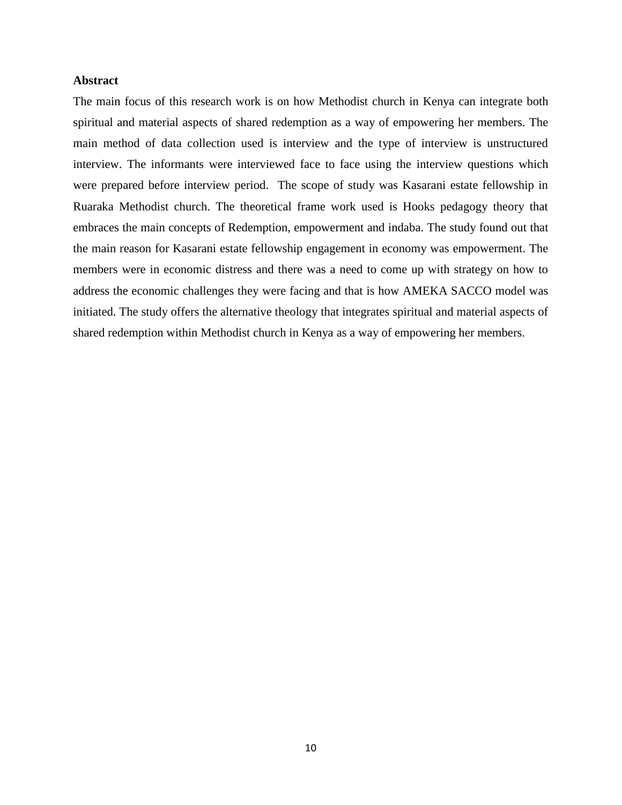#### **Abstract**

The main focus of this research work is on how Methodist church in Kenya can integrate both spiritual and material aspects of shared redemption as a way of empowering her members. The main method of data collection used is interview and the type of interview is unstructured interview. The informants were interviewed face to face using the interview questions which were prepared before interview period. The scope of study was Kasarani estate fellowship in Ruaraka Methodist church. The theoretical frame work used is Hooks pedagogy theory that embraces the main concepts of Redemption, empowerment and indaba. The study found out that the main reason for Kasarani estate fellowship engagement in economy was empowerment. The members were in economic distress and there was a need to come up with strategy on how to address the economic challenges they were facing and that is how AMEKA SACCO model was initiated. The study offers the alternative theology that integrates spiritual and material aspects of shared redemption within Methodist church in Kenya as a way of empowering her members.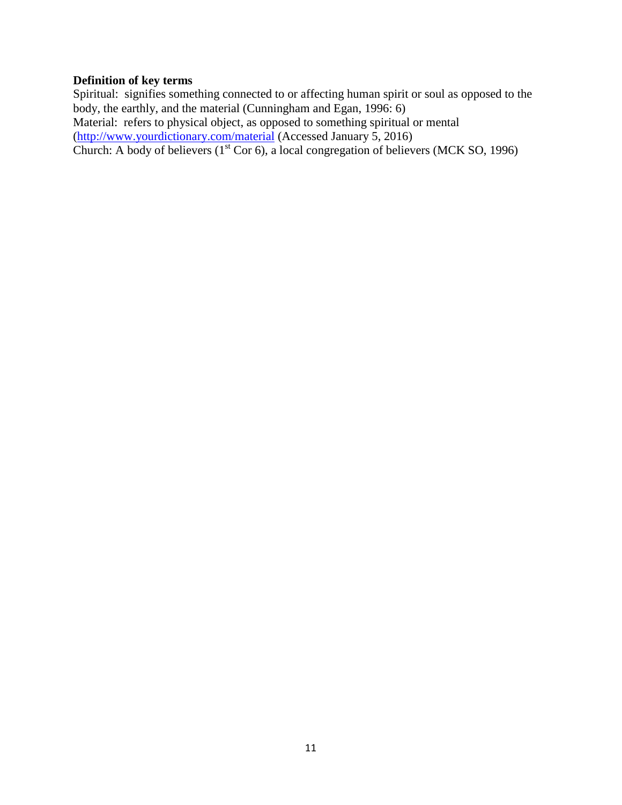### **Definition of key terms**

Spiritual: signifies something connected to or affecting human spirit or soul as opposed to the body, the earthly, and the material (Cunningham and Egan, 1996: 6) Material: refers to physical object, as opposed to something spiritual or mental [\(http://www.yourdictionary.com/material](http://www.yourdictionary.com/material) (Accessed January 5, 2016) Church: A body of believers  $(1<sup>st</sup> Cor 6)$ , a local congregation of believers (MCK SO, 1996)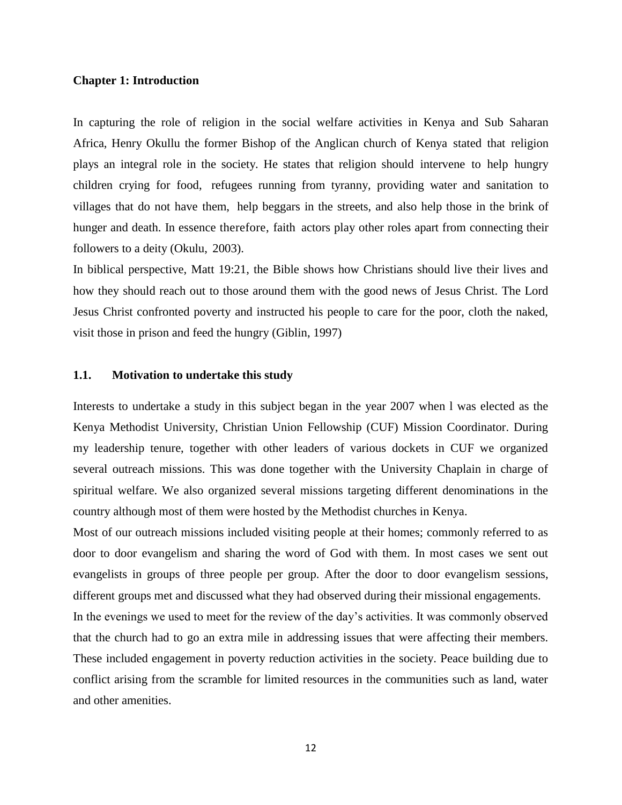#### **Chapter 1: Introduction**

In capturing the role of religion in the social welfare activities in Kenya and Sub Saharan Africa, Henry Okullu the former Bishop of the Anglican church of Kenya stated that religion plays an integral role in the society. He states that religion should intervene to help hungry children crying for food, refugees running from tyranny, providing water and sanitation to villages that do not have them, help beggars in the streets, and also help those in the brink of hunger and death. In essence therefore, faith actors play other roles apart from connecting their followers to a deity (Okulu, 2003).

In biblical perspective, Matt 19:21, the Bible shows how Christians should live their lives and how they should reach out to those around them with the good news of Jesus Christ. The Lord Jesus Christ confronted poverty and instructed his people to care for the poor, cloth the naked, visit those in prison and feed the hungry (Giblin, 1997)

#### **1.1. Motivation to undertake this study**

Interests to undertake a study in this subject began in the year 2007 when l was elected as the Kenya Methodist University, Christian Union Fellowship (CUF) Mission Coordinator. During my leadership tenure, together with other leaders of various dockets in CUF we organized several outreach missions. This was done together with the University Chaplain in charge of spiritual welfare. We also organized several missions targeting different denominations in the country although most of them were hosted by the Methodist churches in Kenya.

Most of our outreach missions included visiting people at their homes; commonly referred to as door to door evangelism and sharing the word of God with them. In most cases we sent out evangelists in groups of three people per group. After the door to door evangelism sessions, different groups met and discussed what they had observed during their missional engagements.

In the evenings we used to meet for the review of the day's activities. It was commonly observed that the church had to go an extra mile in addressing issues that were affecting their members. These included engagement in poverty reduction activities in the society. Peace building due to conflict arising from the scramble for limited resources in the communities such as land, water and other amenities.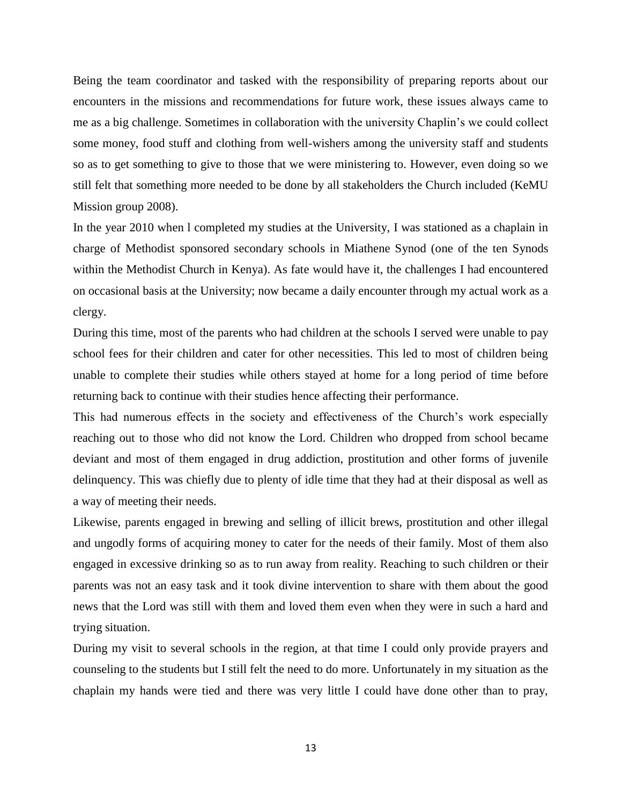Being the team coordinator and tasked with the responsibility of preparing reports about our encounters in the missions and recommendations for future work, these issues always came to me as a big challenge. Sometimes in collaboration with the university Chaplin's we could collect some money, food stuff and clothing from well-wishers among the university staff and students so as to get something to give to those that we were ministering to. However, even doing so we still felt that something more needed to be done by all stakeholders the Church included (KeMU Mission group 2008).

In the year 2010 when l completed my studies at the University, I was stationed as a chaplain in charge of Methodist sponsored secondary schools in Miathene Synod (one of the ten Synods within the Methodist Church in Kenya). As fate would have it, the challenges I had encountered on occasional basis at the University; now became a daily encounter through my actual work as a clergy.

During this time, most of the parents who had children at the schools I served were unable to pay school fees for their children and cater for other necessities. This led to most of children being unable to complete their studies while others stayed at home for a long period of time before returning back to continue with their studies hence affecting their performance.

This had numerous effects in the society and effectiveness of the Church's work especially reaching out to those who did not know the Lord. Children who dropped from school became deviant and most of them engaged in drug addiction, prostitution and other forms of juvenile delinquency. This was chiefly due to plenty of idle time that they had at their disposal as well as a way of meeting their needs.

Likewise, parents engaged in brewing and selling of illicit brews, prostitution and other illegal and ungodly forms of acquiring money to cater for the needs of their family. Most of them also engaged in excessive drinking so as to run away from reality. Reaching to such children or their parents was not an easy task and it took divine intervention to share with them about the good news that the Lord was still with them and loved them even when they were in such a hard and trying situation.

During my visit to several schools in the region, at that time I could only provide prayers and counseling to the students but I still felt the need to do more. Unfortunately in my situation as the chaplain my hands were tied and there was very little I could have done other than to pray,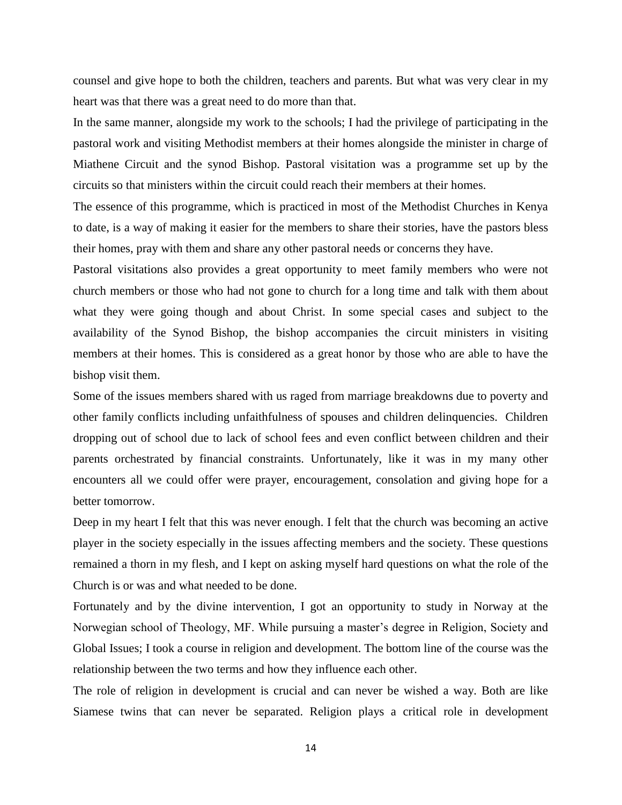counsel and give hope to both the children, teachers and parents. But what was very clear in my heart was that there was a great need to do more than that.

In the same manner, alongside my work to the schools; I had the privilege of participating in the pastoral work and visiting Methodist members at their homes alongside the minister in charge of Miathene Circuit and the synod Bishop. Pastoral visitation was a programme set up by the circuits so that ministers within the circuit could reach their members at their homes.

The essence of this programme, which is practiced in most of the Methodist Churches in Kenya to date, is a way of making it easier for the members to share their stories, have the pastors bless their homes, pray with them and share any other pastoral needs or concerns they have.

Pastoral visitations also provides a great opportunity to meet family members who were not church members or those who had not gone to church for a long time and talk with them about what they were going though and about Christ. In some special cases and subject to the availability of the Synod Bishop, the bishop accompanies the circuit ministers in visiting members at their homes. This is considered as a great honor by those who are able to have the bishop visit them.

Some of the issues members shared with us raged from marriage breakdowns due to poverty and other family conflicts including unfaithfulness of spouses and children delinquencies. Children dropping out of school due to lack of school fees and even conflict between children and their parents orchestrated by financial constraints. Unfortunately, like it was in my many other encounters all we could offer were prayer, encouragement, consolation and giving hope for a better tomorrow.

Deep in my heart I felt that this was never enough. I felt that the church was becoming an active player in the society especially in the issues affecting members and the society. These questions remained a thorn in my flesh, and I kept on asking myself hard questions on what the role of the Church is or was and what needed to be done.

Fortunately and by the divine intervention, I got an opportunity to study in Norway at the Norwegian school of Theology, MF. While pursuing a master's degree in Religion, Society and Global Issues; I took a course in religion and development. The bottom line of the course was the relationship between the two terms and how they influence each other.

The role of religion in development is crucial and can never be wished a way. Both are like Siamese twins that can never be separated. Religion plays a critical role in development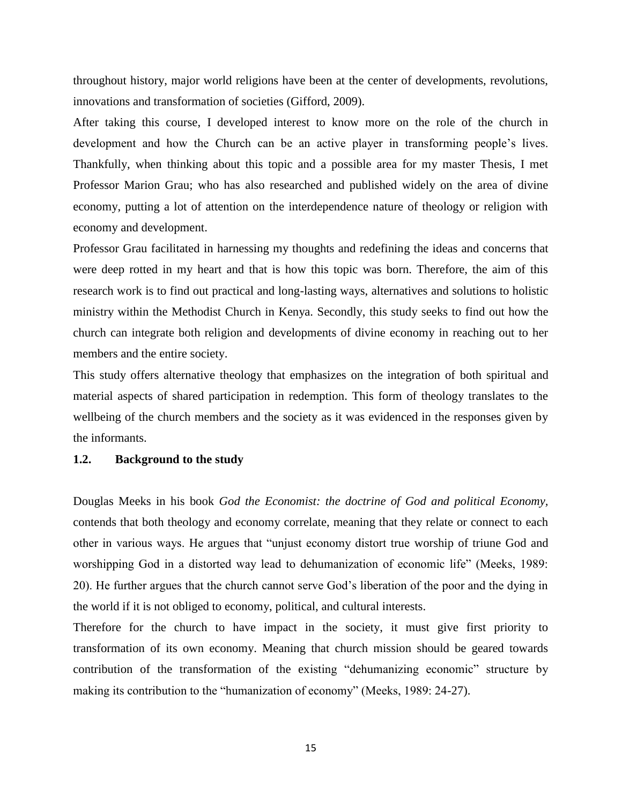throughout history, major world religions have been at the center of developments, revolutions, innovations and transformation of societies (Gifford, 2009).

After taking this course, I developed interest to know more on the role of the church in development and how the Church can be an active player in transforming people's lives. Thankfully, when thinking about this topic and a possible area for my master Thesis, I met Professor Marion Grau; who has also researched and published widely on the area of divine economy, putting a lot of attention on the interdependence nature of theology or religion with economy and development.

Professor Grau facilitated in harnessing my thoughts and redefining the ideas and concerns that were deep rotted in my heart and that is how this topic was born. Therefore, the aim of this research work is to find out practical and long-lasting ways, alternatives and solutions to holistic ministry within the Methodist Church in Kenya. Secondly, this study seeks to find out how the church can integrate both religion and developments of divine economy in reaching out to her members and the entire society.

This study offers alternative theology that emphasizes on the integration of both spiritual and material aspects of shared participation in redemption. This form of theology translates to the wellbeing of the church members and the society as it was evidenced in the responses given by the informants.

#### **1.2. Background to the study**

Douglas Meeks in his book *God the Economist: the doctrine of God and political Economy,* contends that both theology and economy correlate, meaning that they relate or connect to each other in various ways. He argues that "unjust economy distort true worship of triune God and worshipping God in a distorted way lead to dehumanization of economic life" (Meeks, 1989: 20). He further argues that the church cannot serve God's liberation of the poor and the dying in the world if it is not obliged to economy, political, and cultural interests.

Therefore for the church to have impact in the society, it must give first priority to transformation of its own economy. Meaning that church mission should be geared towards contribution of the transformation of the existing "dehumanizing economic" structure by making its contribution to the "humanization of economy" (Meeks, 1989: 24-27).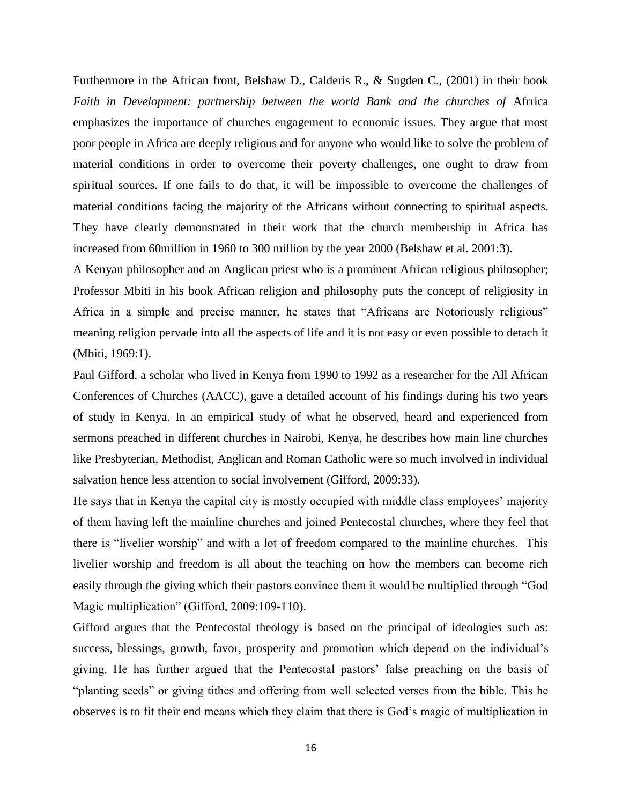Furthermore in the African front, Belshaw D., Calderis R., & Sugden C., (2001) in their book Faith in Development: partnership between the world Bank and the churches of Afrrica emphasizes the importance of churches engagement to economic issues. They argue that most poor people in Africa are deeply religious and for anyone who would like to solve the problem of material conditions in order to overcome their poverty challenges, one ought to draw from spiritual sources. If one fails to do that, it will be impossible to overcome the challenges of material conditions facing the majority of the Africans without connecting to spiritual aspects. They have clearly demonstrated in their work that the church membership in Africa has increased from 60million in 1960 to 300 million by the year 2000 (Belshaw et al. 2001:3).

A Kenyan philosopher and an Anglican priest who is a prominent African religious philosopher; Professor Mbiti in his book African religion and philosophy puts the concept of religiosity in Africa in a simple and precise manner, he states that "Africans are Notoriously religious" meaning religion pervade into all the aspects of life and it is not easy or even possible to detach it (Mbiti, 1969:1).

Paul Gifford, a scholar who lived in Kenya from 1990 to 1992 as a researcher for the All African Conferences of Churches (AACC), gave a detailed account of his findings during his two years of study in Kenya. In an empirical study of what he observed, heard and experienced from sermons preached in different churches in Nairobi, Kenya, he describes how main line churches like Presbyterian, Methodist, Anglican and Roman Catholic were so much involved in individual salvation hence less attention to social involvement (Gifford, 2009:33).

He says that in Kenya the capital city is mostly occupied with middle class employees' majority of them having left the mainline churches and joined Pentecostal churches, where they feel that there is "livelier worship" and with a lot of freedom compared to the mainline churches. This livelier worship and freedom is all about the teaching on how the members can become rich easily through the giving which their pastors convince them it would be multiplied through "God Magic multiplication" (Gifford, 2009:109-110).

Gifford argues that the Pentecostal theology is based on the principal of ideologies such as: success, blessings, growth, favor, prosperity and promotion which depend on the individual's giving. He has further argued that the Pentecostal pastors' false preaching on the basis of "planting seeds" or giving tithes and offering from well selected verses from the bible. This he observes is to fit their end means which they claim that there is God's magic of multiplication in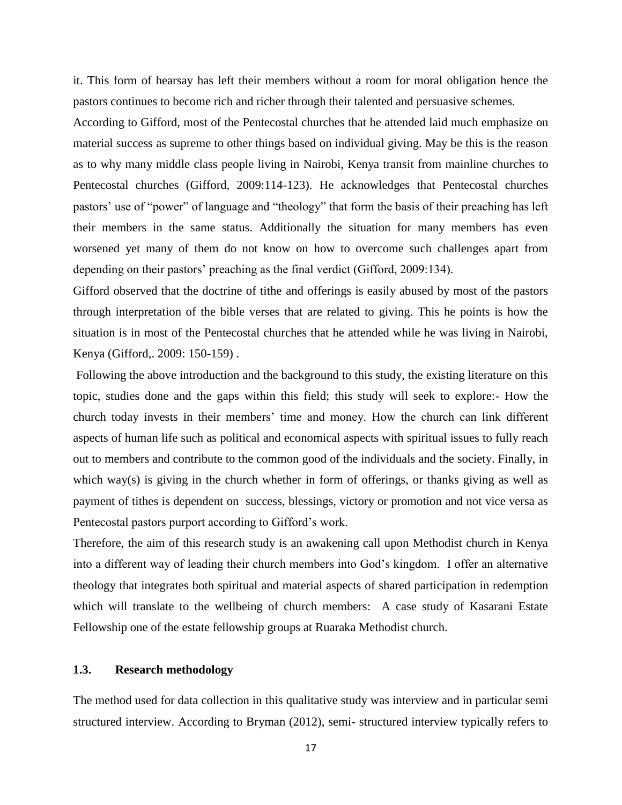it. This form of hearsay has left their members without a room for moral obligation hence the pastors continues to become rich and richer through their talented and persuasive schemes.

According to Gifford, most of the Pentecostal churches that he attended laid much emphasize on material success as supreme to other things based on individual giving. May be this is the reason as to why many middle class people living in Nairobi, Kenya transit from mainline churches to Pentecostal churches (Gifford, 2009:114-123). He acknowledges that Pentecostal churches pastors' use of "power" of language and "theology" that form the basis of their preaching has left their members in the same status. Additionally the situation for many members has even worsened yet many of them do not know on how to overcome such challenges apart from depending on their pastors' preaching as the final verdict (Gifford, 2009:134).

Gifford observed that the doctrine of tithe and offerings is easily abused by most of the pastors through interpretation of the bible verses that are related to giving. This he points is how the situation is in most of the Pentecostal churches that he attended while he was living in Nairobi, Kenya (Gifford,. 2009: 150-159) .

Following the above introduction and the background to this study, the existing literature on this topic, studies done and the gaps within this field; this study will seek to explore:- How the church today invests in their members' time and money. How the church can link different aspects of human life such as political and economical aspects with spiritual issues to fully reach out to members and contribute to the common good of the individuals and the society. Finally, in which way(s) is giving in the church whether in form of offerings, or thanks giving as well as payment of tithes is dependent on success, blessings, victory or promotion and not vice versa as Pentecostal pastors purport according to Gifford's work.

Therefore, the aim of this research study is an awakening call upon Methodist church in Kenya into a different way of leading their church members into God's kingdom. I offer an alternative theology that integrates both spiritual and material aspects of shared participation in redemption which will translate to the wellbeing of church members: A case study of Kasarani Estate Fellowship one of the estate fellowship groups at Ruaraka Methodist church.

#### **1.3. Research methodology**

The method used for data collection in this qualitative study was interview and in particular semi structured interview. According to Bryman (2012), semi- structured interview typically refers to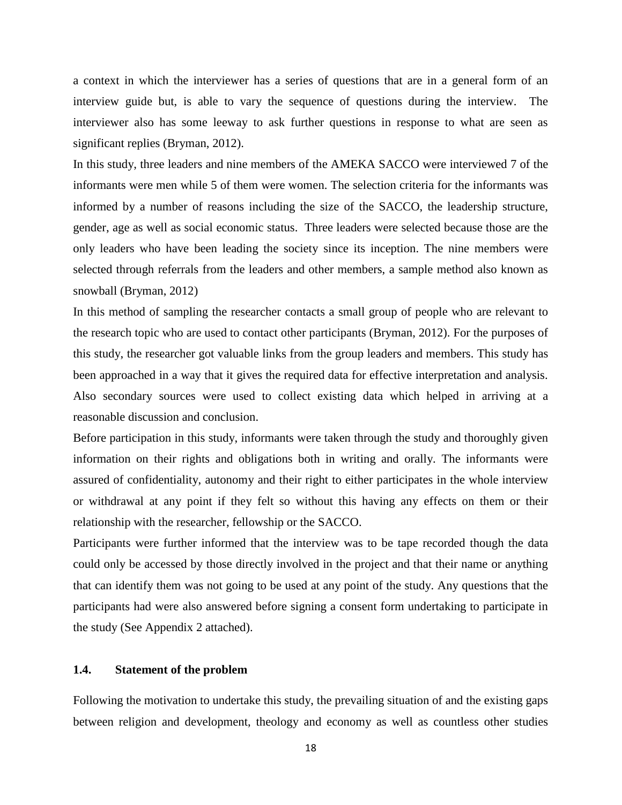a context in which the interviewer has a series of questions that are in a general form of an interview guide but, is able to vary the sequence of questions during the interview. The interviewer also has some leeway to ask further questions in response to what are seen as significant replies (Bryman, 2012).

In this study, three leaders and nine members of the AMEKA SACCO were interviewed 7 of the informants were men while 5 of them were women. The selection criteria for the informants was informed by a number of reasons including the size of the SACCO, the leadership structure, gender, age as well as social economic status. Three leaders were selected because those are the only leaders who have been leading the society since its inception. The nine members were selected through referrals from the leaders and other members, a sample method also known as snowball (Bryman, 2012)

In this method of sampling the researcher contacts a small group of people who are relevant to the research topic who are used to contact other participants (Bryman, 2012). For the purposes of this study, the researcher got valuable links from the group leaders and members. This study has been approached in a way that it gives the required data for effective interpretation and analysis. Also secondary sources were used to collect existing data which helped in arriving at a reasonable discussion and conclusion.

Before participation in this study, informants were taken through the study and thoroughly given information on their rights and obligations both in writing and orally. The informants were assured of confidentiality, autonomy and their right to either participates in the whole interview or withdrawal at any point if they felt so without this having any effects on them or their relationship with the researcher, fellowship or the SACCO.

Participants were further informed that the interview was to be tape recorded though the data could only be accessed by those directly involved in the project and that their name or anything that can identify them was not going to be used at any point of the study. Any questions that the participants had were also answered before signing a consent form undertaking to participate in the study (See Appendix 2 attached).

#### **1.4. Statement of the problem**

Following the motivation to undertake this study, the prevailing situation of and the existing gaps between religion and development, theology and economy as well as countless other studies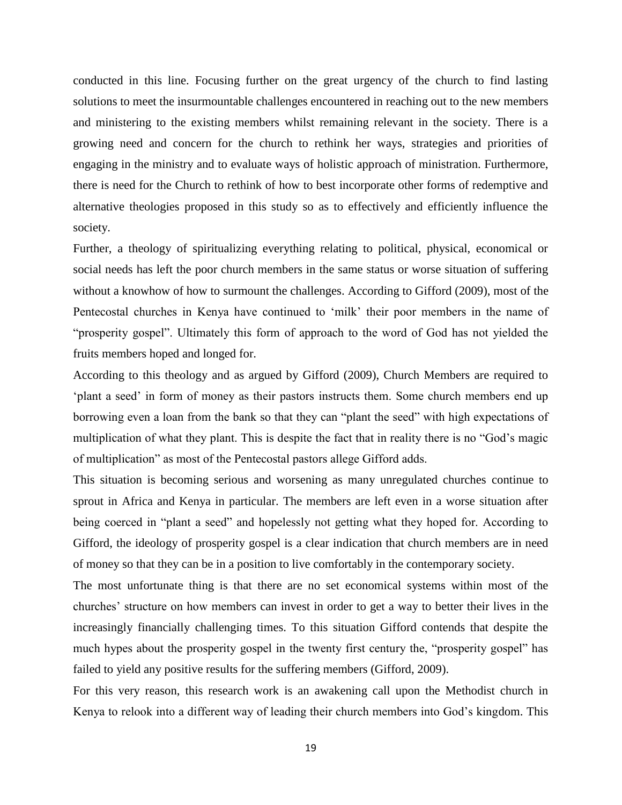conducted in this line. Focusing further on the great urgency of the church to find lasting solutions to meet the insurmountable challenges encountered in reaching out to the new members and ministering to the existing members whilst remaining relevant in the society. There is a growing need and concern for the church to rethink her ways, strategies and priorities of engaging in the ministry and to evaluate ways of holistic approach of ministration. Furthermore, there is need for the Church to rethink of how to best incorporate other forms of redemptive and alternative theologies proposed in this study so as to effectively and efficiently influence the society.

Further, a theology of spiritualizing everything relating to political, physical, economical or social needs has left the poor church members in the same status or worse situation of suffering without a knowhow of how to surmount the challenges. According to Gifford (2009), most of the Pentecostal churches in Kenya have continued to 'milk' their poor members in the name of "prosperity gospel". Ultimately this form of approach to the word of God has not yielded the fruits members hoped and longed for.

According to this theology and as argued by Gifford (2009), Church Members are required to 'plant a seed' in form of money as their pastors instructs them. Some church members end up borrowing even a loan from the bank so that they can "plant the seed" with high expectations of multiplication of what they plant. This is despite the fact that in reality there is no "God's magic of multiplication" as most of the Pentecostal pastors allege Gifford adds.

This situation is becoming serious and worsening as many unregulated churches continue to sprout in Africa and Kenya in particular. The members are left even in a worse situation after being coerced in "plant a seed" and hopelessly not getting what they hoped for. According to Gifford, the ideology of prosperity gospel is a clear indication that church members are in need of money so that they can be in a position to live comfortably in the contemporary society.

The most unfortunate thing is that there are no set economical systems within most of the churches' structure on how members can invest in order to get a way to better their lives in the increasingly financially challenging times. To this situation Gifford contends that despite the much hypes about the prosperity gospel in the twenty first century the, "prosperity gospel" has failed to yield any positive results for the suffering members (Gifford, 2009).

For this very reason, this research work is an awakening call upon the Methodist church in Kenya to relook into a different way of leading their church members into God's kingdom. This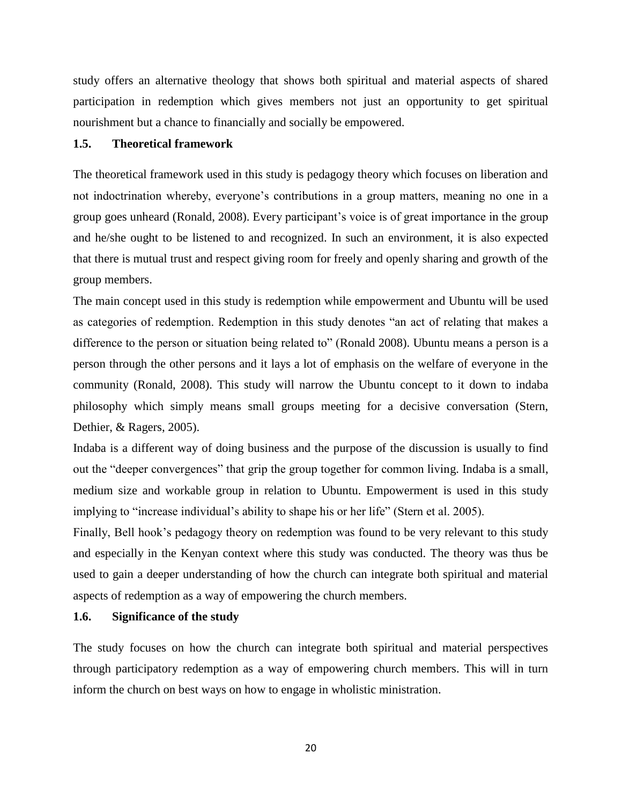study offers an alternative theology that shows both spiritual and material aspects of shared participation in redemption which gives members not just an opportunity to get spiritual nourishment but a chance to financially and socially be empowered.

#### **1.5. Theoretical framework**

The theoretical framework used in this study is pedagogy theory which focuses on liberation and not indoctrination whereby, everyone's contributions in a group matters, meaning no one in a group goes unheard (Ronald, 2008). Every participant's voice is of great importance in the group and he/she ought to be listened to and recognized. In such an environment, it is also expected that there is mutual trust and respect giving room for freely and openly sharing and growth of the group members.

The main concept used in this study is redemption while empowerment and Ubuntu will be used as categories of redemption. Redemption in this study denotes "an act of relating that makes a difference to the person or situation being related to" (Ronald 2008). Ubuntu means a person is a person through the other persons and it lays a lot of emphasis on the welfare of everyone in the community (Ronald, 2008). This study will narrow the Ubuntu concept to it down to indaba philosophy which simply means small groups meeting for a decisive conversation (Stern, Dethier, & Ragers, 2005).

Indaba is a different way of doing business and the purpose of the discussion is usually to find out the "deeper convergences" that grip the group together for common living. Indaba is a small, medium size and workable group in relation to Ubuntu. Empowerment is used in this study implying to "increase individual's ability to shape his or her life" (Stern et al. 2005).

Finally, Bell hook's pedagogy theory on redemption was found to be very relevant to this study and especially in the Kenyan context where this study was conducted. The theory was thus be used to gain a deeper understanding of how the church can integrate both spiritual and material aspects of redemption as a way of empowering the church members.

#### **1.6. Significance of the study**

The study focuses on how the church can integrate both spiritual and material perspectives through participatory redemption as a way of empowering church members. This will in turn inform the church on best ways on how to engage in wholistic ministration.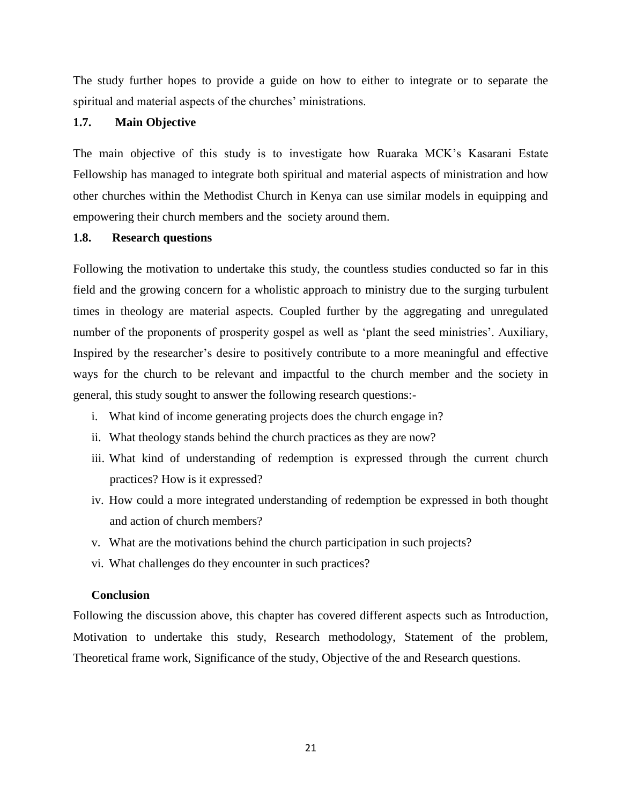The study further hopes to provide a guide on how to either to integrate or to separate the spiritual and material aspects of the churches' ministrations.

#### **1.7. Main Objective**

The main objective of this study is to investigate how Ruaraka MCK's Kasarani Estate Fellowship has managed to integrate both spiritual and material aspects of ministration and how other churches within the Methodist Church in Kenya can use similar models in equipping and empowering their church members and the society around them.

#### **1.8. Research questions**

Following the motivation to undertake this study, the countless studies conducted so far in this field and the growing concern for a wholistic approach to ministry due to the surging turbulent times in theology are material aspects. Coupled further by the aggregating and unregulated number of the proponents of prosperity gospel as well as 'plant the seed ministries'. Auxiliary, Inspired by the researcher's desire to positively contribute to a more meaningful and effective ways for the church to be relevant and impactful to the church member and the society in general, this study sought to answer the following research questions:-

- i. What kind of income generating projects does the church engage in?
- ii. What theology stands behind the church practices as they are now?
- iii. What kind of understanding of redemption is expressed through the current church practices? How is it expressed?
- iv. How could a more integrated understanding of redemption be expressed in both thought and action of church members?
- v. What are the motivations behind the church participation in such projects?
- vi. What challenges do they encounter in such practices?

#### **Conclusion**

Following the discussion above, this chapter has covered different aspects such as Introduction, Motivation to undertake this study, Research methodology, Statement of the problem, Theoretical frame work, Significance of the study, Objective of the and Research questions.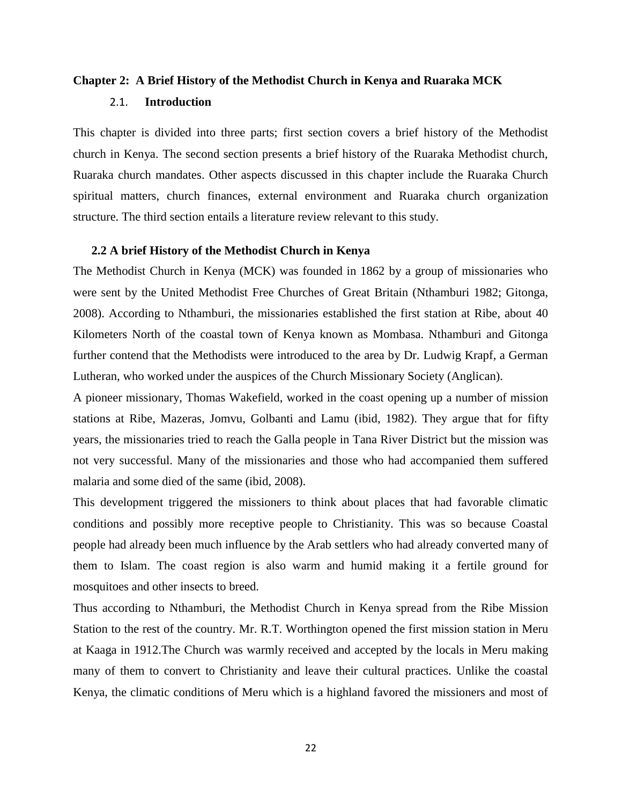# **Chapter 2: A Brief History of the Methodist Church in Kenya and Ruaraka MCK** 2.1. **Introduction**

This chapter is divided into three parts; first section covers a brief history of the Methodist church in Kenya. The second section presents a brief history of the Ruaraka Methodist church, Ruaraka church mandates. Other aspects discussed in this chapter include the Ruaraka Church spiritual matters, church finances, external environment and Ruaraka church organization structure. The third section entails a literature review relevant to this study.

#### **2.2 A brief History of the Methodist Church in Kenya**

The Methodist Church in Kenya (MCK) was founded in 1862 by a group of missionaries who were sent by the United Methodist Free Churches of Great Britain (Nthamburi 1982; Gitonga, 2008). According to Nthamburi, the missionaries established the first station at Ribe, about 40 Kilometers North of the coastal town of Kenya known as Mombasa. Nthamburi and Gitonga further contend that the Methodists were introduced to the area by Dr. Ludwig Krapf, a German Lutheran, who worked under the auspices of the Church Missionary Society (Anglican).

A pioneer missionary, Thomas Wakefield, worked in the coast opening up a number of mission stations at Ribe, Mazeras, Jomvu, Golbanti and Lamu (ibid, 1982). They argue that for fifty years, the missionaries tried to reach the Galla people in Tana River District but the mission was not very successful. Many of the missionaries and those who had accompanied them suffered malaria and some died of the same (ibid, 2008).

This development triggered the missioners to think about places that had favorable climatic conditions and possibly more receptive people to Christianity. This was so because Coastal people had already been much influence by the Arab settlers who had already converted many of them to Islam. The coast region is also warm and humid making it a fertile ground for mosquitoes and other insects to breed.

Thus according to Nthamburi, the Methodist Church in Kenya spread from the Ribe Mission Station to the rest of the country. Mr. R.T. Worthington opened the first mission station in Meru at Kaaga in 1912.The Church was warmly received and accepted by the locals in Meru making many of them to convert to Christianity and leave their cultural practices. Unlike the coastal Kenya, the climatic conditions of Meru which is a highland favored the missioners and most of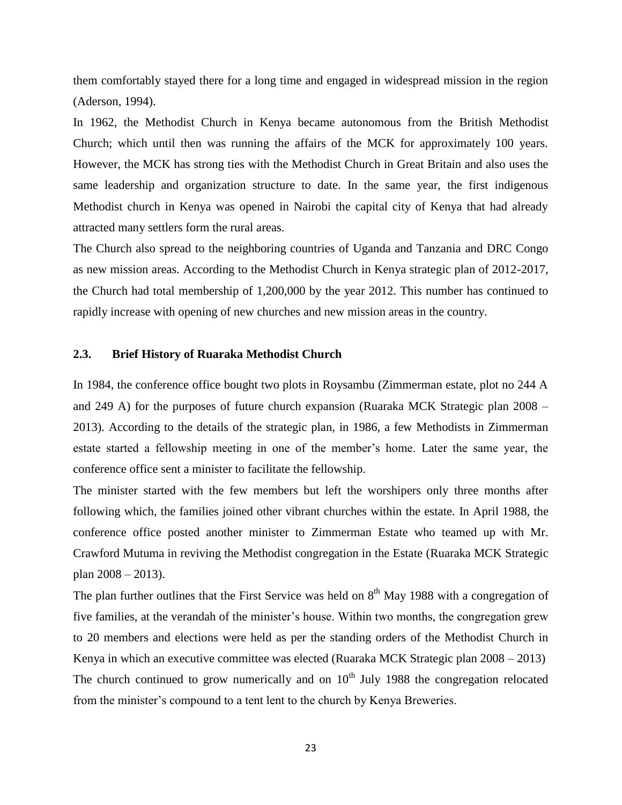them comfortably stayed there for a long time and engaged in widespread mission in the region (Aderson, 1994).

In 1962, the Methodist Church in Kenya became autonomous from the British Methodist Church; which until then was running the affairs of the MCK for approximately 100 years. However, the MCK has strong ties with the Methodist Church in Great Britain and also uses the same leadership and organization structure to date. In the same year, the first indigenous Methodist church in Kenya was opened in Nairobi the capital city of Kenya that had already attracted many settlers form the rural areas.

The Church also spread to the neighboring countries of Uganda and Tanzania and DRC Congo as new mission areas. According to the Methodist Church in Kenya strategic plan of 2012-2017, the Church had total membership of 1,200,000 by the year 2012. This number has continued to rapidly increase with opening of new churches and new mission areas in the country.

#### **2.3. Brief History of Ruaraka Methodist Church**

In 1984, the conference office bought two plots in Roysambu (Zimmerman estate, plot no 244 A and 249 A) for the purposes of future church expansion (Ruaraka MCK Strategic plan 2008 – 2013). According to the details of the strategic plan, in 1986, a few Methodists in Zimmerman estate started a fellowship meeting in one of the member's home. Later the same year, the conference office sent a minister to facilitate the fellowship.

The minister started with the few members but left the worshipers only three months after following which, the families joined other vibrant churches within the estate. In April 1988, the conference office posted another minister to Zimmerman Estate who teamed up with Mr. Crawford Mutuma in reviving the Methodist congregation in the Estate (Ruaraka MCK Strategic plan 2008 – 2013).

The plan further outlines that the First Service was held on  $8<sup>th</sup>$  May 1988 with a congregation of five families, at the verandah of the minister's house. Within two months, the congregation grew to 20 members and elections were held as per the standing orders of the Methodist Church in Kenya in which an executive committee was elected (Ruaraka MCK Strategic plan 2008 – 2013) The church continued to grow numerically and on  $10<sup>th</sup>$  July 1988 the congregation relocated from the minister's compound to a tent lent to the church by Kenya Breweries.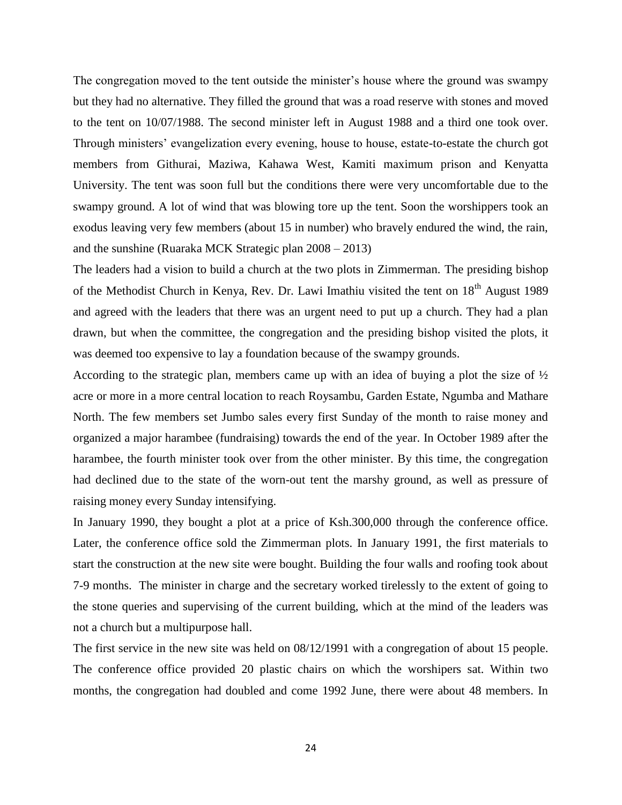The congregation moved to the tent outside the minister's house where the ground was swampy but they had no alternative. They filled the ground that was a road reserve with stones and moved to the tent on 10/07/1988. The second minister left in August 1988 and a third one took over. Through ministers' evangelization every evening, house to house, estate-to-estate the church got members from Githurai, Maziwa, Kahawa West, Kamiti maximum prison and Kenyatta University. The tent was soon full but the conditions there were very uncomfortable due to the swampy ground. A lot of wind that was blowing tore up the tent. Soon the worshippers took an exodus leaving very few members (about 15 in number) who bravely endured the wind, the rain, and the sunshine (Ruaraka MCK Strategic plan 2008 – 2013)

The leaders had a vision to build a church at the two plots in Zimmerman. The presiding bishop of the Methodist Church in Kenya, Rev. Dr. Lawi Imathiu visited the tent on 18<sup>th</sup> August 1989 and agreed with the leaders that there was an urgent need to put up a church. They had a plan drawn, but when the committee, the congregation and the presiding bishop visited the plots, it was deemed too expensive to lay a foundation because of the swampy grounds.

According to the strategic plan, members came up with an idea of buying a plot the size of  $\frac{1}{2}$ acre or more in a more central location to reach Roysambu, Garden Estate, Ngumba and Mathare North. The few members set Jumbo sales every first Sunday of the month to raise money and organized a major harambee (fundraising) towards the end of the year. In October 1989 after the harambee, the fourth minister took over from the other minister. By this time, the congregation had declined due to the state of the worn-out tent the marshy ground, as well as pressure of raising money every Sunday intensifying.

In January 1990, they bought a plot at a price of Ksh.300,000 through the conference office. Later, the conference office sold the Zimmerman plots. In January 1991, the first materials to start the construction at the new site were bought. Building the four walls and roofing took about 7-9 months. The minister in charge and the secretary worked tirelessly to the extent of going to the stone queries and supervising of the current building, which at the mind of the leaders was not a church but a multipurpose hall.

The first service in the new site was held on 08/12/1991 with a congregation of about 15 people. The conference office provided 20 plastic chairs on which the worshipers sat. Within two months, the congregation had doubled and come 1992 June, there were about 48 members. In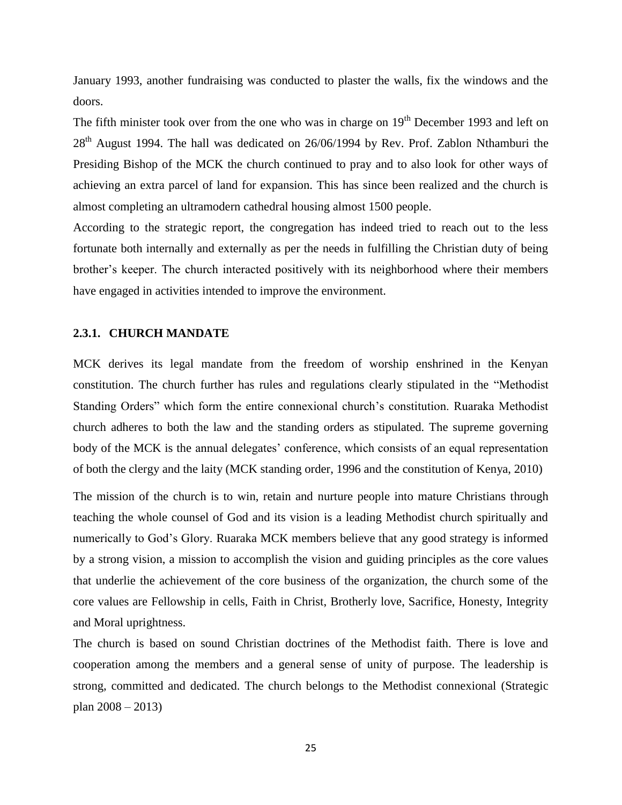January 1993, another fundraising was conducted to plaster the walls, fix the windows and the doors.

The fifth minister took over from the one who was in charge on  $19<sup>th</sup>$  December 1993 and left on  $28<sup>th</sup>$  August 1994. The hall was dedicated on  $26/06/1994$  by Rev. Prof. Zablon Nthamburi the Presiding Bishop of the MCK the church continued to pray and to also look for other ways of achieving an extra parcel of land for expansion. This has since been realized and the church is almost completing an ultramodern cathedral housing almost 1500 people.

According to the strategic report, the congregation has indeed tried to reach out to the less fortunate both internally and externally as per the needs in fulfilling the Christian duty of being brother's keeper. The church interacted positively with its neighborhood where their members have engaged in activities intended to improve the environment.

#### **2.3.1. CHURCH MANDATE**

MCK derives its legal mandate from the freedom of worship enshrined in the Kenyan constitution. The church further has rules and regulations clearly stipulated in the "Methodist Standing Orders" which form the entire connexional church's constitution. Ruaraka Methodist church adheres to both the law and the standing orders as stipulated. The supreme governing body of the MCK is the annual delegates' conference, which consists of an equal representation of both the clergy and the laity (MCK standing order, 1996 and the constitution of Kenya, 2010)

The mission of the church is to win, retain and nurture people into mature Christians through teaching the whole counsel of God and its vision is a leading Methodist church spiritually and numerically to God's Glory. Ruaraka MCK members believe that any good strategy is informed by a strong vision, a mission to accomplish the vision and guiding principles as the core values that underlie the achievement of the core business of the organization, the church some of the core values are Fellowship in cells, Faith in Christ, Brotherly love, Sacrifice, Honesty, Integrity and Moral uprightness.

The church is based on sound Christian doctrines of the Methodist faith. There is love and cooperation among the members and a general sense of unity of purpose. The leadership is strong, committed and dedicated. The church belongs to the Methodist connexional (Strategic plan 2008 – 2013)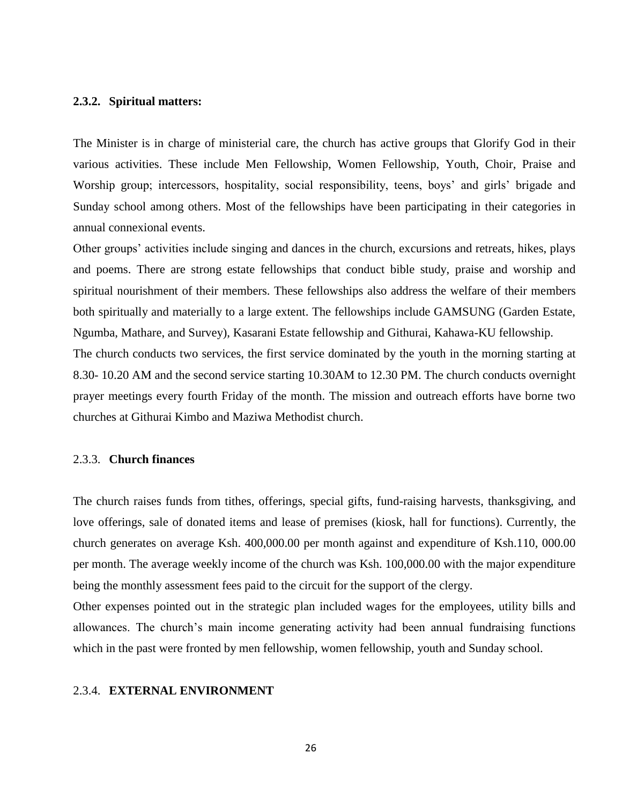#### **2.3.2. Spiritual matters:**

The Minister is in charge of ministerial care, the church has active groups that Glorify God in their various activities. These include Men Fellowship, Women Fellowship, Youth, Choir, Praise and Worship group; intercessors, hospitality, social responsibility, teens, boys' and girls' brigade and Sunday school among others. Most of the fellowships have been participating in their categories in annual connexional events.

Other groups' activities include singing and dances in the church, excursions and retreats, hikes, plays and poems. There are strong estate fellowships that conduct bible study, praise and worship and spiritual nourishment of their members. These fellowships also address the welfare of their members both spiritually and materially to a large extent. The fellowships include GAMSUNG (Garden Estate, Ngumba, Mathare, and Survey), Kasarani Estate fellowship and Githurai, Kahawa-KU fellowship. The church conducts two services, the first service dominated by the youth in the morning starting at 8.30- 10.20 AM and the second service starting 10.30AM to 12.30 PM. The church conducts overnight prayer meetings every fourth Friday of the month. The mission and outreach efforts have borne two churches at Githurai Kimbo and Maziwa Methodist church.

#### 2.3.3. **Church finances**

The church raises funds from tithes, offerings, special gifts, fund-raising harvests, thanksgiving, and love offerings, sale of donated items and lease of premises (kiosk, hall for functions). Currently, the church generates on average Ksh. 400,000.00 per month against and expenditure of Ksh.110, 000.00 per month. The average weekly income of the church was Ksh. 100,000.00 with the major expenditure being the monthly assessment fees paid to the circuit for the support of the clergy.

Other expenses pointed out in the strategic plan included wages for the employees, utility bills and allowances. The church's main income generating activity had been annual fundraising functions which in the past were fronted by men fellowship, women fellowship, youth and Sunday school.

#### 2.3.4. **EXTERNAL ENVIRONMENT**

26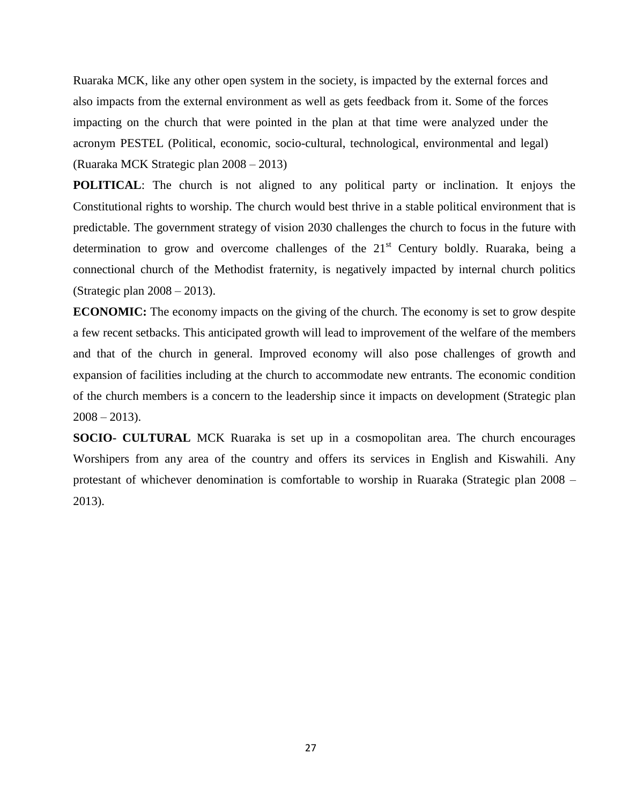Ruaraka MCK, like any other open system in the society, is impacted by the external forces and also impacts from the external environment as well as gets feedback from it. Some of the forces impacting on the church that were pointed in the plan at that time were analyzed under the acronym PESTEL (Political, economic, socio-cultural, technological, environmental and legal) (Ruaraka MCK Strategic plan 2008 – 2013)

**POLITICAL**: The church is not aligned to any political party or inclination. It enjoys the Constitutional rights to worship. The church would best thrive in a stable political environment that is predictable. The government strategy of vision 2030 challenges the church to focus in the future with determination to grow and overcome challenges of the  $21<sup>st</sup>$  Century boldly. Ruaraka, being a connectional church of the Methodist fraternity, is negatively impacted by internal church politics (Strategic plan 2008 – 2013).

**ECONOMIC:** The economy impacts on the giving of the church. The economy is set to grow despite a few recent setbacks. This anticipated growth will lead to improvement of the welfare of the members and that of the church in general. Improved economy will also pose challenges of growth and expansion of facilities including at the church to accommodate new entrants. The economic condition of the church members is a concern to the leadership since it impacts on development (Strategic plan  $2008 - 2013$ .

**SOCIO- CULTURAL** MCK Ruaraka is set up in a cosmopolitan area. The church encourages Worshipers from any area of the country and offers its services in English and Kiswahili. Any protestant of whichever denomination is comfortable to worship in Ruaraka (Strategic plan 2008 – 2013).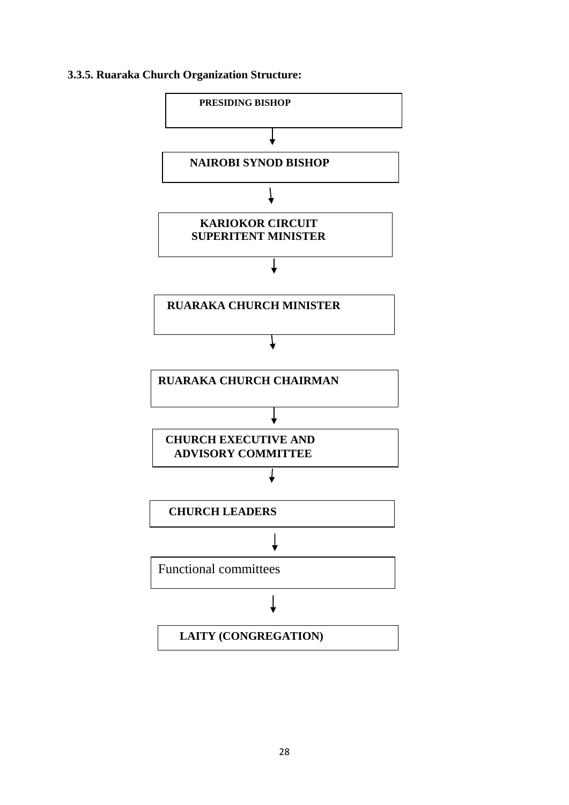### **3.3.5. Ruaraka Church Organization Structure:**

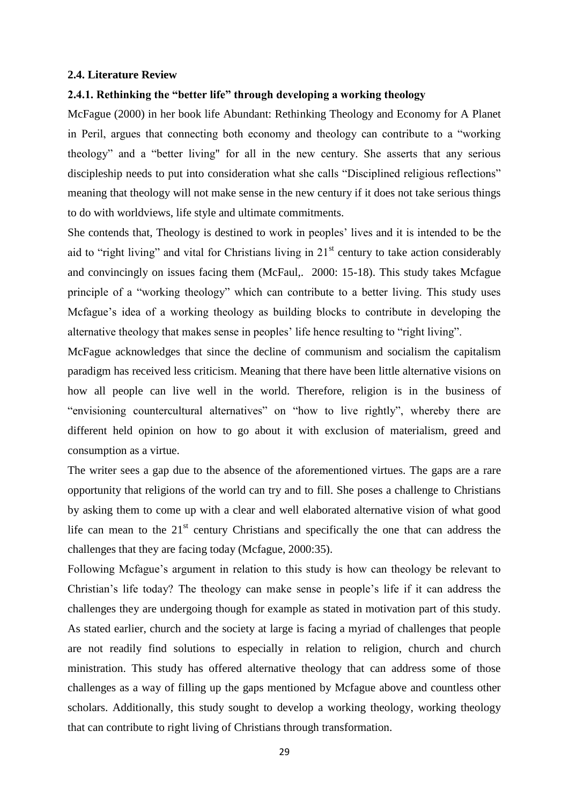#### **2.4. Literature Review**

#### **2.4.1. Rethinking the "better life" through developing a working theology**

McFague (2000) in her book life Abundant: Rethinking Theology and Economy for A Planet in Peril, argues that connecting both economy and theology can contribute to a "working theology" and a "better living" for all in the new century. She asserts that any serious discipleship needs to put into consideration what she calls "Disciplined religious reflections" meaning that theology will not make sense in the new century if it does not take serious things to do with worldviews, life style and ultimate commitments.

She contends that, Theology is destined to work in peoples' lives and it is intended to be the aid to "right living" and vital for Christians living in  $21<sup>st</sup>$  century to take action considerably and convincingly on issues facing them (McFaul,. 2000: 15-18). This study takes Mcfague principle of a "working theology" which can contribute to a better living. This study uses Mcfague's idea of a working theology as building blocks to contribute in developing the alternative theology that makes sense in peoples' life hence resulting to "right living".

McFague acknowledges that since the decline of communism and socialism the capitalism paradigm has received less criticism. Meaning that there have been little alternative visions on how all people can live well in the world. Therefore, religion is in the business of "envisioning countercultural alternatives" on "how to live rightly", whereby there are different held opinion on how to go about it with exclusion of materialism, greed and consumption as a virtue.

The writer sees a gap due to the absence of the aforementioned virtues. The gaps are a rare opportunity that religions of the world can try and to fill. She poses a challenge to Christians by asking them to come up with a clear and well elaborated alternative vision of what good life can mean to the  $21<sup>st</sup>$  century Christians and specifically the one that can address the challenges that they are facing today (Mcfague, 2000:35).

Following Mcfague's argument in relation to this study is how can theology be relevant to Christian's life today? The theology can make sense in people's life if it can address the challenges they are undergoing though for example as stated in motivation part of this study. As stated earlier, church and the society at large is facing a myriad of challenges that people are not readily find solutions to especially in relation to religion, church and church ministration. This study has offered alternative theology that can address some of those challenges as a way of filling up the gaps mentioned by Mcfague above and countless other scholars. Additionally, this study sought to develop a working theology, working theology that can contribute to right living of Christians through transformation.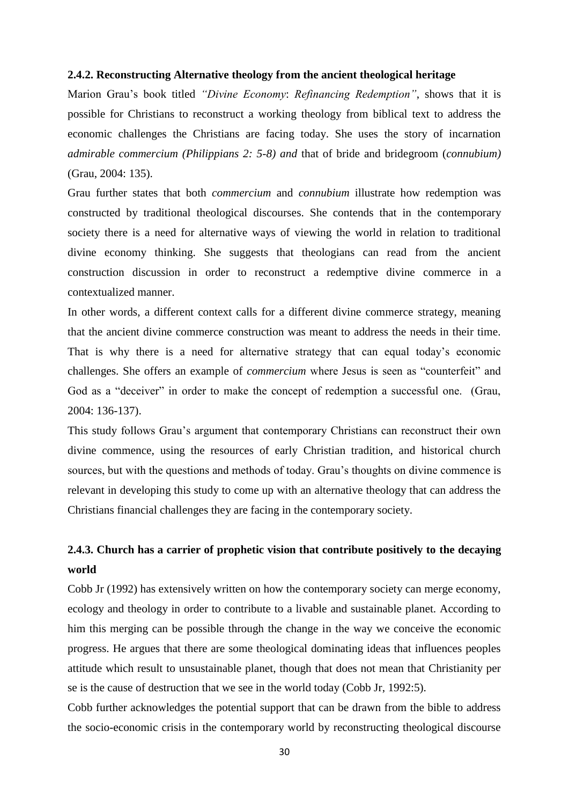#### **2.4.2. Reconstructing Alternative theology from the ancient theological heritage**

Marion Grau's book titled *"Divine Economy*: *Refinancing Redemption"*, shows that it is possible for Christians to reconstruct a working theology from biblical text to address the economic challenges the Christians are facing today. She uses the story of incarnation *admirable commercium (Philippians 2: 5-8) and* that of bride and bridegroom (*connubium)* (Grau, 2004: 135).

Grau further states that both *commercium* and *connubium* illustrate how redemption was constructed by traditional theological discourses. She contends that in the contemporary society there is a need for alternative ways of viewing the world in relation to traditional divine economy thinking. She suggests that theologians can read from the ancient construction discussion in order to reconstruct a redemptive divine commerce in a contextualized manner.

In other words, a different context calls for a different divine commerce strategy, meaning that the ancient divine commerce construction was meant to address the needs in their time. That is why there is a need for alternative strategy that can equal today's economic challenges. She offers an example of *commercium* where Jesus is seen as "counterfeit" and God as a "deceiver" in order to make the concept of redemption a successful one. (Grau, 2004: 136-137).

This study follows Grau's argument that contemporary Christians can reconstruct their own divine commence, using the resources of early Christian tradition, and historical church sources, but with the questions and methods of today. Grau's thoughts on divine commence is relevant in developing this study to come up with an alternative theology that can address the Christians financial challenges they are facing in the contemporary society.

# **2.4.3. Church has a carrier of prophetic vision that contribute positively to the decaying world**

Cobb Jr (1992) has extensively written on how the contemporary society can merge economy, ecology and theology in order to contribute to a livable and sustainable planet. According to him this merging can be possible through the change in the way we conceive the economic progress. He argues that there are some theological dominating ideas that influences peoples attitude which result to unsustainable planet, though that does not mean that Christianity per se is the cause of destruction that we see in the world today (Cobb Jr, 1992:5).

Cobb further acknowledges the potential support that can be drawn from the bible to address the socio-economic crisis in the contemporary world by reconstructing theological discourse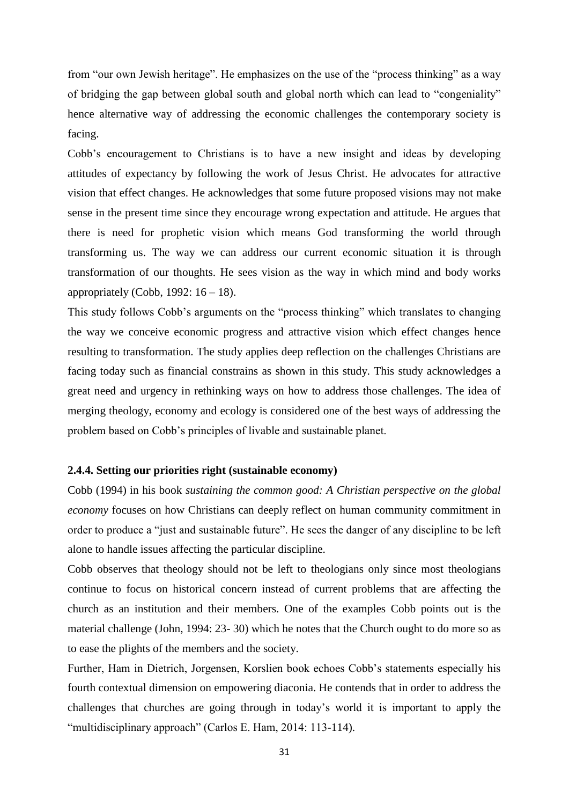from "our own Jewish heritage". He emphasizes on the use of the "process thinking" as a way of bridging the gap between global south and global north which can lead to "congeniality" hence alternative way of addressing the economic challenges the contemporary society is facing.

Cobb's encouragement to Christians is to have a new insight and ideas by developing attitudes of expectancy by following the work of Jesus Christ. He advocates for attractive vision that effect changes. He acknowledges that some future proposed visions may not make sense in the present time since they encourage wrong expectation and attitude. He argues that there is need for prophetic vision which means God transforming the world through transforming us. The way we can address our current economic situation it is through transformation of our thoughts. He sees vision as the way in which mind and body works appropriately (Cobb, 1992:  $16 - 18$ ).

This study follows Cobb's arguments on the "process thinking" which translates to changing the way we conceive economic progress and attractive vision which effect changes hence resulting to transformation. The study applies deep reflection on the challenges Christians are facing today such as financial constrains as shown in this study. This study acknowledges a great need and urgency in rethinking ways on how to address those challenges. The idea of merging theology, economy and ecology is considered one of the best ways of addressing the problem based on Cobb's principles of livable and sustainable planet.

#### **2.4.4. Setting our priorities right (sustainable economy)**

Cobb (1994) in his book *sustaining the common good: A Christian perspective on the global economy* focuses on how Christians can deeply reflect on human community commitment in order to produce a "just and sustainable future". He sees the danger of any discipline to be left alone to handle issues affecting the particular discipline.

Cobb observes that theology should not be left to theologians only since most theologians continue to focus on historical concern instead of current problems that are affecting the church as an institution and their members. One of the examples Cobb points out is the material challenge (John, 1994: 23- 30) which he notes that the Church ought to do more so as to ease the plights of the members and the society.

Further, Ham in Dietrich, Jorgensen, Korslien book echoes Cobb's statements especially his fourth contextual dimension on empowering diaconia. He contends that in order to address the challenges that churches are going through in today's world it is important to apply the "multidisciplinary approach" (Carlos E. Ham, 2014: 113-114).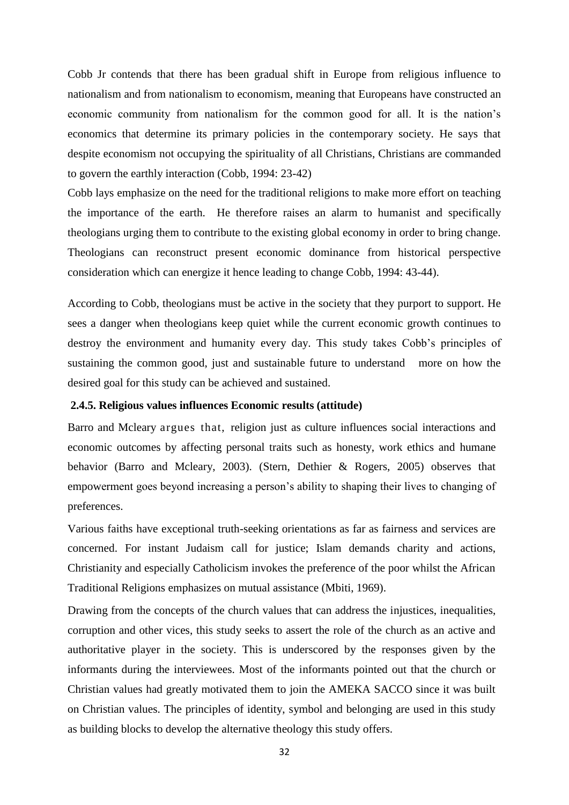Cobb Jr contends that there has been gradual shift in Europe from religious influence to nationalism and from nationalism to economism, meaning that Europeans have constructed an economic community from nationalism for the common good for all. It is the nation's economics that determine its primary policies in the contemporary society. He says that despite economism not occupying the spirituality of all Christians, Christians are commanded to govern the earthly interaction (Cobb, 1994: 23-42)

Cobb lays emphasize on the need for the traditional religions to make more effort on teaching the importance of the earth. He therefore raises an alarm to humanist and specifically theologians urging them to contribute to the existing global economy in order to bring change. Theologians can reconstruct present economic dominance from historical perspective consideration which can energize it hence leading to change Cobb, 1994: 43-44).

According to Cobb, theologians must be active in the society that they purport to support. He sees a danger when theologians keep quiet while the current economic growth continues to destroy the environment and humanity every day. This study takes Cobb's principles of sustaining the common good, just and sustainable future to understand more on how the desired goal for this study can be achieved and sustained.

#### **2.4.5. Religious values influences Economic results (attitude)**

Barro and Mcleary argues that, religion just as culture influences social interactions and economic outcomes by affecting personal traits such as honesty, work ethics and humane behavior (Barro and Mcleary, 2003). (Stern, Dethier & Rogers, 2005) observes that empowerment goes beyond increasing a person's ability to shaping their lives to changing of preferences.

Various faiths have exceptional truth-seeking orientations as far as fairness and services are concerned. For instant Judaism call for justice; Islam demands charity and actions, Christianity and especially Catholicism invokes the preference of the poor whilst the African Traditional Religions emphasizes on mutual assistance (Mbiti, 1969).

Drawing from the concepts of the church values that can address the injustices, inequalities, corruption and other vices, this study seeks to assert the role of the church as an active and authoritative player in the society. This is underscored by the responses given by the informants during the interviewees. Most of the informants pointed out that the church or Christian values had greatly motivated them to join the AMEKA SACCO since it was built on Christian values. The principles of identity, symbol and belonging are used in this study as building blocks to develop the alternative theology this study offers.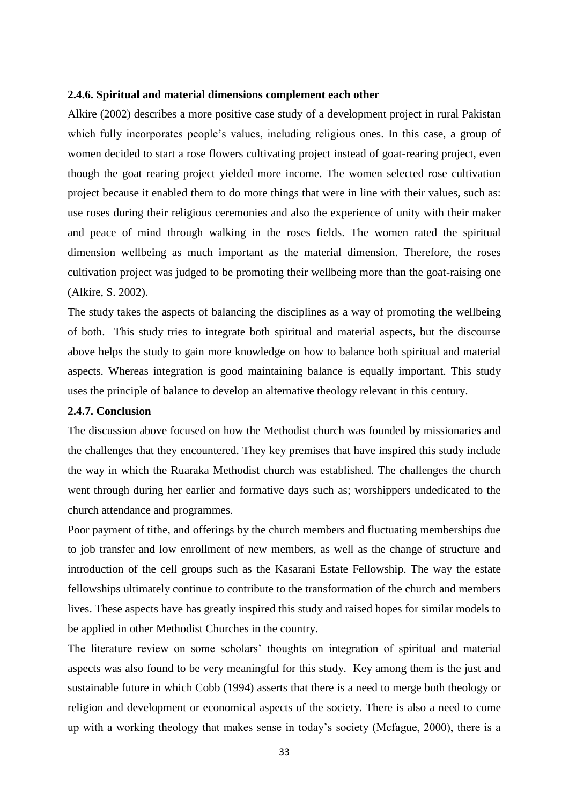#### **2.4.6. Spiritual and material dimensions complement each other**

Alkire (2002) describes a more positive case study of a development project in rural Pakistan which fully incorporates people's values, including religious ones. In this case, a group of women decided to start a rose flowers cultivating project instead of goat-rearing project, even though the goat rearing project yielded more income. The women selected rose cultivation project because it enabled them to do more things that were in line with their values, such as: use roses during their religious ceremonies and also the experience of unity with their maker and peace of mind through walking in the roses fields. The women rated the spiritual dimension wellbeing as much important as the material dimension. Therefore, the roses cultivation project was judged to be promoting their wellbeing more than the goat-raising one (Alkire, S. 2002).

The study takes the aspects of balancing the disciplines as a way of promoting the wellbeing of both. This study tries to integrate both spiritual and material aspects, but the discourse above helps the study to gain more knowledge on how to balance both spiritual and material aspects. Whereas integration is good maintaining balance is equally important. This study uses the principle of balance to develop an alternative theology relevant in this century.

#### **2.4.7. Conclusion**

The discussion above focused on how the Methodist church was founded by missionaries and the challenges that they encountered. They key premises that have inspired this study include the way in which the Ruaraka Methodist church was established. The challenges the church went through during her earlier and formative days such as; worshippers undedicated to the church attendance and programmes.

Poor payment of tithe, and offerings by the church members and fluctuating memberships due to job transfer and low enrollment of new members, as well as the change of structure and introduction of the cell groups such as the Kasarani Estate Fellowship. The way the estate fellowships ultimately continue to contribute to the transformation of the church and members lives. These aspects have has greatly inspired this study and raised hopes for similar models to be applied in other Methodist Churches in the country.

The literature review on some scholars' thoughts on integration of spiritual and material aspects was also found to be very meaningful for this study. Key among them is the just and sustainable future in which Cobb (1994) asserts that there is a need to merge both theology or religion and development or economical aspects of the society. There is also a need to come up with a working theology that makes sense in today's society (Mcfague, 2000), there is a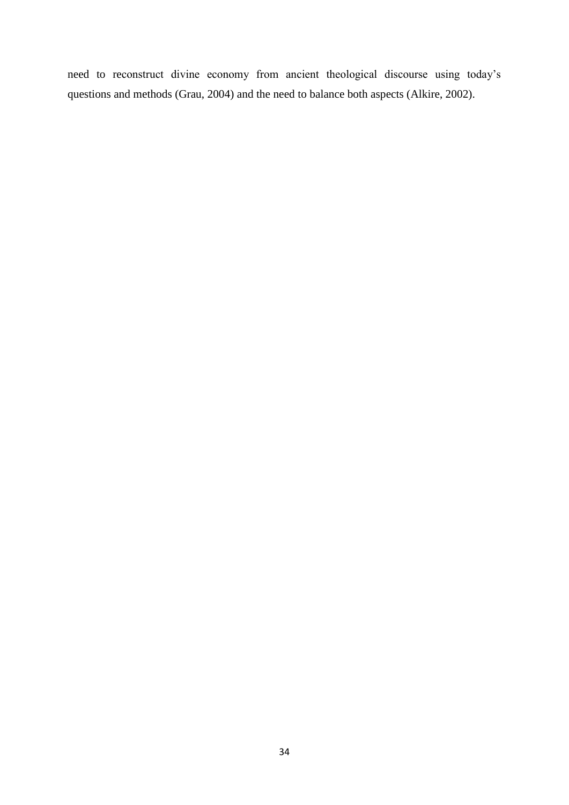need to reconstruct divine economy from ancient theological discourse using today's questions and methods (Grau, 2004) and the need to balance both aspects (Alkire, 2002).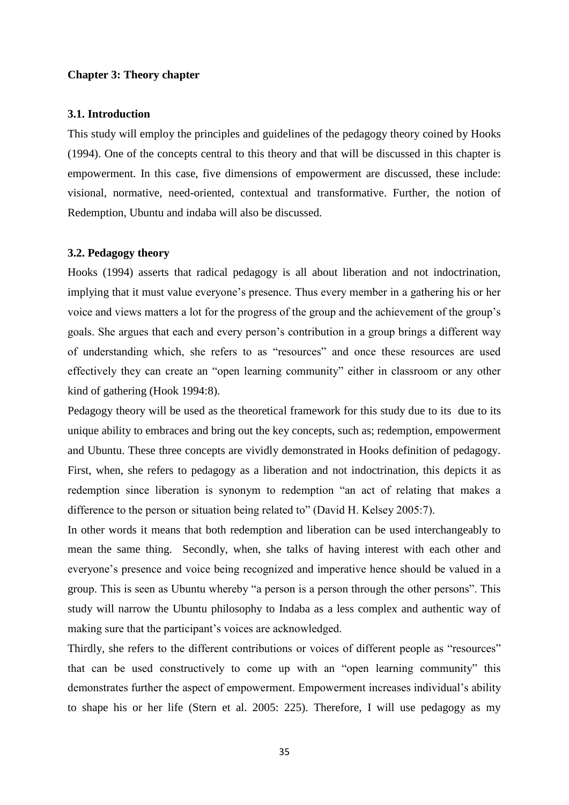#### **Chapter 3: Theory chapter**

#### **3.1. Introduction**

This study will employ the principles and guidelines of the pedagogy theory coined by Hooks (1994). One of the concepts central to this theory and that will be discussed in this chapter is empowerment. In this case, five dimensions of empowerment are discussed, these include: visional, normative, need-oriented, contextual and transformative. Further, the notion of Redemption, Ubuntu and indaba will also be discussed.

#### **3.2. Pedagogy theory**

Hooks (1994) asserts that radical pedagogy is all about liberation and not indoctrination, implying that it must value everyone's presence. Thus every member in a gathering his or her voice and views matters a lot for the progress of the group and the achievement of the group's goals. She argues that each and every person's contribution in a group brings a different way of understanding which, she refers to as "resources" and once these resources are used effectively they can create an "open learning community" either in classroom or any other kind of gathering (Hook 1994:8).

Pedagogy theory will be used as the theoretical framework for this study due to its due to its unique ability to embraces and bring out the key concepts, such as; redemption, empowerment and Ubuntu. These three concepts are vividly demonstrated in Hooks definition of pedagogy. First, when, she refers to pedagogy as a liberation and not indoctrination, this depicts it as redemption since liberation is synonym to redemption "an act of relating that makes a difference to the person or situation being related to" (David H. Kelsey 2005:7).

In other words it means that both redemption and liberation can be used interchangeably to mean the same thing. Secondly, when, she talks of having interest with each other and everyone's presence and voice being recognized and imperative hence should be valued in a group. This is seen as Ubuntu whereby "a person is a person through the other persons". This study will narrow the Ubuntu philosophy to Indaba as a less complex and authentic way of making sure that the participant's voices are acknowledged.

Thirdly, she refers to the different contributions or voices of different people as "resources" that can be used constructively to come up with an "open learning community" this demonstrates further the aspect of empowerment. Empowerment increases individual's ability to shape his or her life (Stern et al. 2005: 225). Therefore, I will use pedagogy as my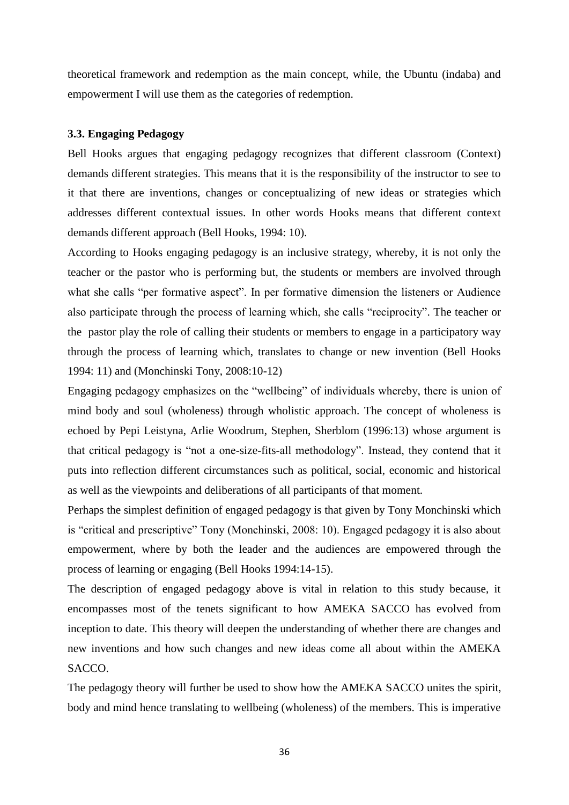theoretical framework and redemption as the main concept, while, the Ubuntu (indaba) and empowerment I will use them as the categories of redemption.

#### **3.3. Engaging Pedagogy**

Bell Hooks argues that engaging pedagogy recognizes that different classroom (Context) demands different strategies. This means that it is the responsibility of the instructor to see to it that there are inventions, changes or conceptualizing of new ideas or strategies which addresses different contextual issues. In other words Hooks means that different context demands different approach (Bell Hooks, 1994: 10).

According to Hooks engaging pedagogy is an inclusive strategy, whereby, it is not only the teacher or the pastor who is performing but, the students or members are involved through what she calls "per formative aspect". In per formative dimension the listeners or Audience also participate through the process of learning which, she calls "reciprocity". The teacher or the pastor play the role of calling their students or members to engage in a participatory way through the process of learning which, translates to change or new invention (Bell Hooks 1994: 11) and (Monchinski Tony, 2008:10-12)

Engaging pedagogy emphasizes on the "wellbeing" of individuals whereby, there is union of mind body and soul (wholeness) through wholistic approach. The concept of wholeness is echoed by Pepi Leistyna, Arlie Woodrum, Stephen, Sherblom (1996:13) whose argument is that critical pedagogy is "not a one-size-fits-all methodology". Instead, they contend that it puts into reflection different circumstances such as political, social, economic and historical as well as the viewpoints and deliberations of all participants of that moment.

Perhaps the simplest definition of engaged pedagogy is that given by Tony Monchinski which is "critical and prescriptive" Tony (Monchinski, 2008: 10). Engaged pedagogy it is also about empowerment, where by both the leader and the audiences are empowered through the process of learning or engaging (Bell Hooks 1994:14-15).

The description of engaged pedagogy above is vital in relation to this study because, it encompasses most of the tenets significant to how AMEKA SACCO has evolved from inception to date. This theory will deepen the understanding of whether there are changes and new inventions and how such changes and new ideas come all about within the AMEKA SACCO.

The pedagogy theory will further be used to show how the AMEKA SACCO unites the spirit, body and mind hence translating to wellbeing (wholeness) of the members. This is imperative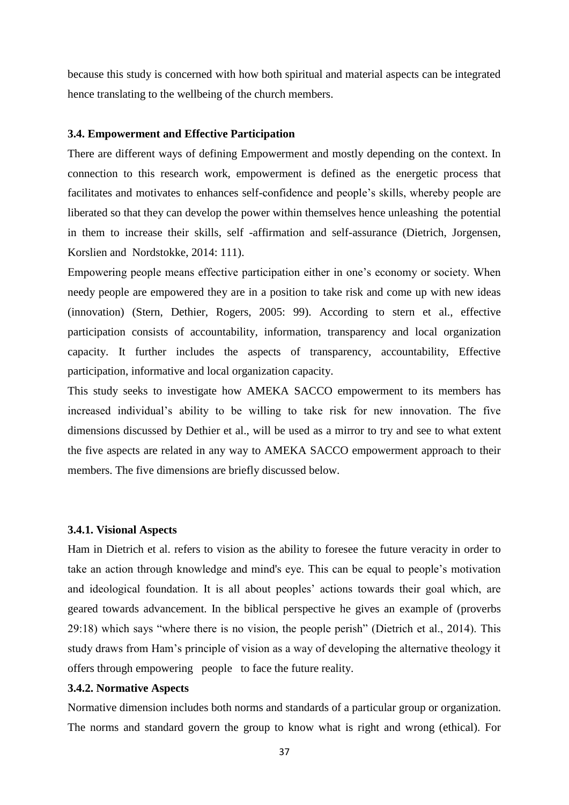because this study is concerned with how both spiritual and material aspects can be integrated hence translating to the wellbeing of the church members.

#### **3.4. Empowerment and Effective Participation**

There are different ways of defining Empowerment and mostly depending on the context. In connection to this research work, empowerment is defined as the energetic process that facilitates and motivates to enhances self-confidence and people's skills, whereby people are liberated so that they can develop the power within themselves hence unleashing the potential in them to increase their skills, self -affirmation and self-assurance (Dietrich, Jorgensen, Korslien and Nordstokke, 2014: 111).

Empowering people means effective participation either in one's economy or society. When needy people are empowered they are in a position to take risk and come up with new ideas (innovation) (Stern, Dethier, Rogers, 2005: 99). According to stern et al., effective participation consists of accountability, information, transparency and local organization capacity. It further includes the aspects of transparency, accountability, Effective participation, informative and local organization capacity.

This study seeks to investigate how AMEKA SACCO empowerment to its members has increased individual's ability to be willing to take risk for new innovation. The five dimensions discussed by Dethier et al., will be used as a mirror to try and see to what extent the five aspects are related in any way to AMEKA SACCO empowerment approach to their members. The five dimensions are briefly discussed below.

#### **3.4.1. Visional Aspects**

Ham in Dietrich et al. refers to vision as the ability to foresee the future veracity in order to take an action through knowledge and mind's eye. This can be equal to people's motivation and ideological foundation. It is all about peoples' actions towards their goal which, are geared towards advancement. In the biblical perspective he gives an example of (proverbs 29:18) which says "where there is no vision, the people perish" (Dietrich et al., 2014). This study draws from Ham's principle of vision as a way of developing the alternative theology it offers through empowering people to face the future reality.

## **3.4.2. Normative Aspects**

Normative dimension includes both norms and standards of a particular group or organization. The norms and standard govern the group to know what is right and wrong (ethical). For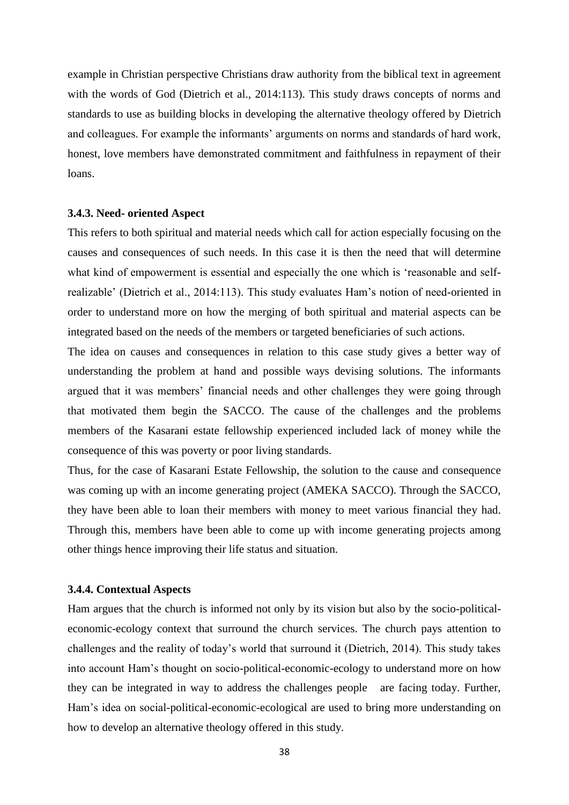example in Christian perspective Christians draw authority from the biblical text in agreement with the words of God (Dietrich et al., 2014:113). This study draws concepts of norms and standards to use as building blocks in developing the alternative theology offered by Dietrich and colleagues. For example the informants' arguments on norms and standards of hard work, honest, love members have demonstrated commitment and faithfulness in repayment of their loans.

#### **3.4.3. Need- oriented Aspect**

This refers to both spiritual and material needs which call for action especially focusing on the causes and consequences of such needs. In this case it is then the need that will determine what kind of empowerment is essential and especially the one which is 'reasonable and selfrealizable' (Dietrich et al., 2014:113). This study evaluates Ham's notion of need-oriented in order to understand more on how the merging of both spiritual and material aspects can be integrated based on the needs of the members or targeted beneficiaries of such actions.

The idea on causes and consequences in relation to this case study gives a better way of understanding the problem at hand and possible ways devising solutions. The informants argued that it was members' financial needs and other challenges they were going through that motivated them begin the SACCO. The cause of the challenges and the problems members of the Kasarani estate fellowship experienced included lack of money while the consequence of this was poverty or poor living standards.

Thus, for the case of Kasarani Estate Fellowship, the solution to the cause and consequence was coming up with an income generating project (AMEKA SACCO). Through the SACCO, they have been able to loan their members with money to meet various financial they had. Through this, members have been able to come up with income generating projects among other things hence improving their life status and situation.

#### **3.4.4. Contextual Aspects**

Ham argues that the church is informed not only by its vision but also by the socio-politicaleconomic-ecology context that surround the church services. The church pays attention to challenges and the reality of today's world that surround it (Dietrich, 2014). This study takes into account Ham's thought on socio-political-economic-ecology to understand more on how they can be integrated in way to address the challenges people are facing today. Further, Ham's idea on social-political-economic-ecological are used to bring more understanding on how to develop an alternative theology offered in this study.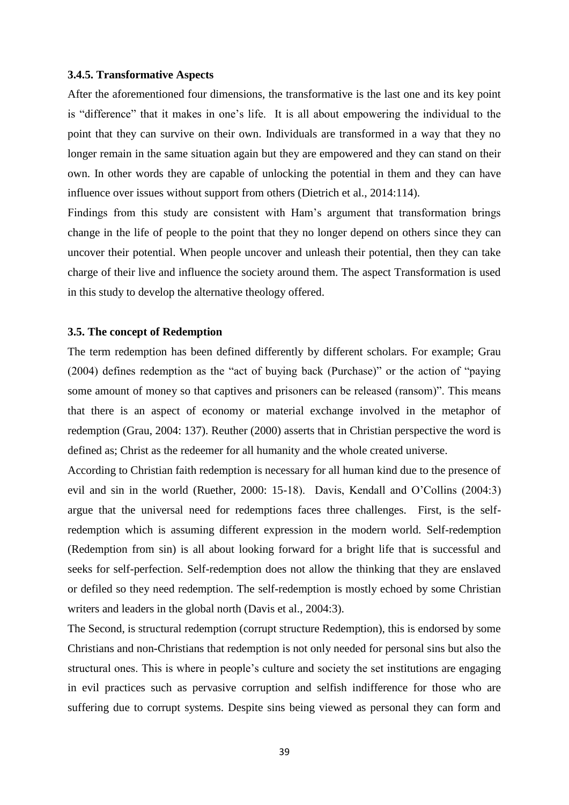#### **3.4.5. Transformative Aspects**

After the aforementioned four dimensions, the transformative is the last one and its key point is "difference" that it makes in one's life. It is all about empowering the individual to the point that they can survive on their own. Individuals are transformed in a way that they no longer remain in the same situation again but they are empowered and they can stand on their own. In other words they are capable of unlocking the potential in them and they can have influence over issues without support from others (Dietrich et al., 2014:114).

Findings from this study are consistent with Ham's argument that transformation brings change in the life of people to the point that they no longer depend on others since they can uncover their potential. When people uncover and unleash their potential, then they can take charge of their live and influence the society around them. The aspect Transformation is used in this study to develop the alternative theology offered.

#### **3.5. The concept of Redemption**

The term redemption has been defined differently by different scholars. For example; Grau (2004) defines redemption as the "act of buying back (Purchase)" or the action of "paying some amount of money so that captives and prisoners can be released (ransom)". This means that there is an aspect of economy or material exchange involved in the metaphor of redemption (Grau, 2004: 137). Reuther (2000) asserts that in Christian perspective the word is defined as; Christ as the redeemer for all humanity and the whole created universe.

According to Christian faith redemption is necessary for all human kind due to the presence of evil and sin in the world (Ruether, 2000: 15-18). Davis, Kendall and O'Collins (2004:3) argue that the universal need for redemptions faces three challenges. First, is the selfredemption which is assuming different expression in the modern world. Self-redemption (Redemption from sin) is all about looking forward for a bright life that is successful and seeks for self-perfection. Self-redemption does not allow the thinking that they are enslaved or defiled so they need redemption. The self-redemption is mostly echoed by some Christian writers and leaders in the global north (Davis et al., 2004:3).

The Second, is structural redemption (corrupt structure Redemption), this is endorsed by some Christians and non-Christians that redemption is not only needed for personal sins but also the structural ones. This is where in people's culture and society the set institutions are engaging in evil practices such as pervasive corruption and selfish indifference for those who are suffering due to corrupt systems. Despite sins being viewed as personal they can form and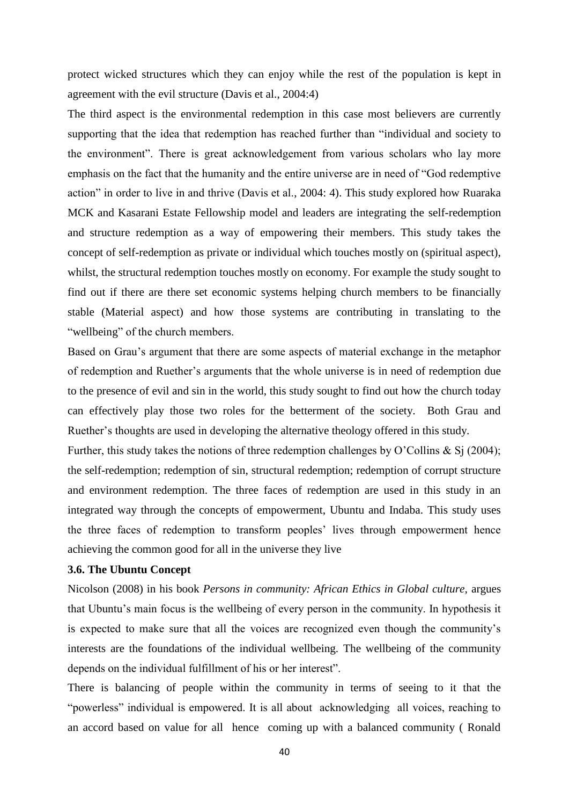protect wicked structures which they can enjoy while the rest of the population is kept in agreement with the evil structure (Davis et al., 2004:4)

The third aspect is the environmental redemption in this case most believers are currently supporting that the idea that redemption has reached further than "individual and society to the environment". There is great acknowledgement from various scholars who lay more emphasis on the fact that the humanity and the entire universe are in need of "God redemptive action" in order to live in and thrive (Davis et al., 2004: 4). This study explored how Ruaraka MCK and Kasarani Estate Fellowship model and leaders are integrating the self-redemption and structure redemption as a way of empowering their members. This study takes the concept of self-redemption as private or individual which touches mostly on (spiritual aspect), whilst, the structural redemption touches mostly on economy. For example the study sought to find out if there are there set economic systems helping church members to be financially stable (Material aspect) and how those systems are contributing in translating to the "wellbeing" of the church members.

Based on Grau's argument that there are some aspects of material exchange in the metaphor of redemption and Ruether's arguments that the whole universe is in need of redemption due to the presence of evil and sin in the world, this study sought to find out how the church today can effectively play those two roles for the betterment of the society. Both Grau and Ruether's thoughts are used in developing the alternative theology offered in this study.

Further, this study takes the notions of three redemption challenges by O'Collins & Sj (2004); the self-redemption; redemption of sin, structural redemption; redemption of corrupt structure and environment redemption. The three faces of redemption are used in this study in an integrated way through the concepts of empowerment, Ubuntu and Indaba. This study uses the three faces of redemption to transform peoples' lives through empowerment hence achieving the common good for all in the universe they live

# **3.6. The Ubuntu Concept**

Nicolson (2008) in his book *Persons in community: African Ethics in Global culture,* argues that Ubuntu's main focus is the wellbeing of every person in the community. In hypothesis it is expected to make sure that all the voices are recognized even though the community's interests are the foundations of the individual wellbeing. The wellbeing of the community depends on the individual fulfillment of his or her interest".

There is balancing of people within the community in terms of seeing to it that the "powerless" individual is empowered. It is all about acknowledging all voices, reaching to an accord based on value for all hence coming up with a balanced community ( Ronald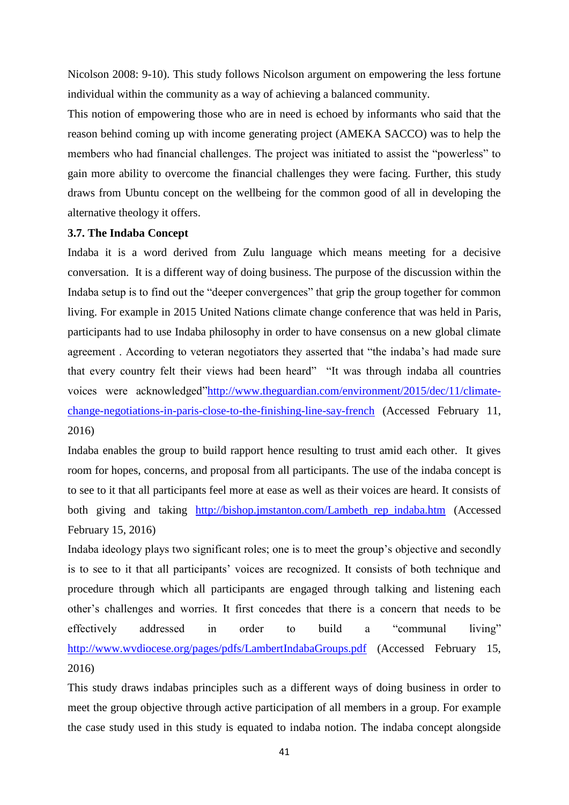Nicolson 2008: 9-10). This study follows Nicolson argument on empowering the less fortune individual within the community as a way of achieving a balanced community.

This notion of empowering those who are in need is echoed by informants who said that the reason behind coming up with income generating project (AMEKA SACCO) was to help the members who had financial challenges. The project was initiated to assist the "powerless" to gain more ability to overcome the financial challenges they were facing. Further, this study draws from Ubuntu concept on the wellbeing for the common good of all in developing the alternative theology it offers.

## **3.7. The Indaba Concept**

Indaba it is a word derived from Zulu language which means meeting for a decisive conversation. It is a different way of doing business. The purpose of the discussion within the Indaba setup is to find out the "deeper convergences" that grip the group together for common living. For example in 2015 United Nations climate change conference that was held in Paris, participants had to use Indaba philosophy in order to have consensus on a new global climate agreement . According to veteran negotiators they asserted that "the indaba's had made sure that every country felt their views had been heard" "It was through indaba all countries voices were acknowledged["http://www.theguardian.com/environment/2015/dec/11/climate](http://www.theguardian.com/environment/2015/dec/11/climate-change-negotiations-in-paris-close-to-the-finishing-line-say-french)[change-negotiations-in-paris-close-to-the-finishing-line-say-french](http://www.theguardian.com/environment/2015/dec/11/climate-change-negotiations-in-paris-close-to-the-finishing-line-say-french) (Accessed February 11, 2016)

Indaba enables the group to build rapport hence resulting to trust amid each other. It gives room for hopes, concerns, and proposal from all participants. The use of the indaba concept is to see to it that all participants feel more at ease as well as their voices are heard. It consists of both giving and taking http://bishop.jmstanton.com/Lambeth rep indaba.htm (Accessed February 15, 2016)

Indaba ideology plays two significant roles; one is to meet the group's objective and secondly is to see to it that all participants' voices are recognized. It consists of both technique and procedure through which all participants are engaged through talking and listening each other's challenges and worries. It first concedes that there is a concern that needs to be effectively addressed in order to build a "communal living" <http://www.wvdiocese.org/pages/pdfs/LambertIndabaGroups.pdf> (Accessed February 15, 2016)

This study draws indabas principles such as a different ways of doing business in order to meet the group objective through active participation of all members in a group. For example the case study used in this study is equated to indaba notion. The indaba concept alongside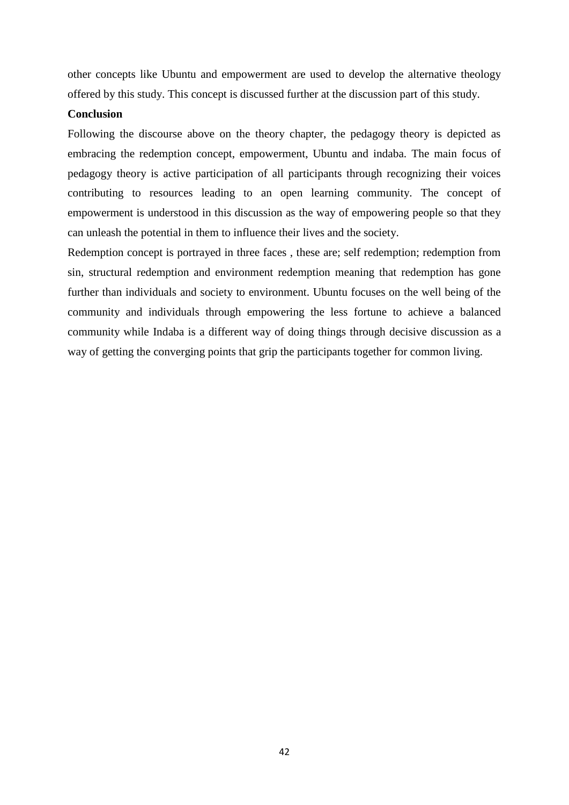other concepts like Ubuntu and empowerment are used to develop the alternative theology offered by this study. This concept is discussed further at the discussion part of this study.

# **Conclusion**

Following the discourse above on the theory chapter, the pedagogy theory is depicted as embracing the redemption concept, empowerment, Ubuntu and indaba. The main focus of pedagogy theory is active participation of all participants through recognizing their voices contributing to resources leading to an open learning community. The concept of empowerment is understood in this discussion as the way of empowering people so that they can unleash the potential in them to influence their lives and the society.

Redemption concept is portrayed in three faces , these are; self redemption; redemption from sin, structural redemption and environment redemption meaning that redemption has gone further than individuals and society to environment. Ubuntu focuses on the well being of the community and individuals through empowering the less fortune to achieve a balanced community while Indaba is a different way of doing things through decisive discussion as a way of getting the converging points that grip the participants together for common living.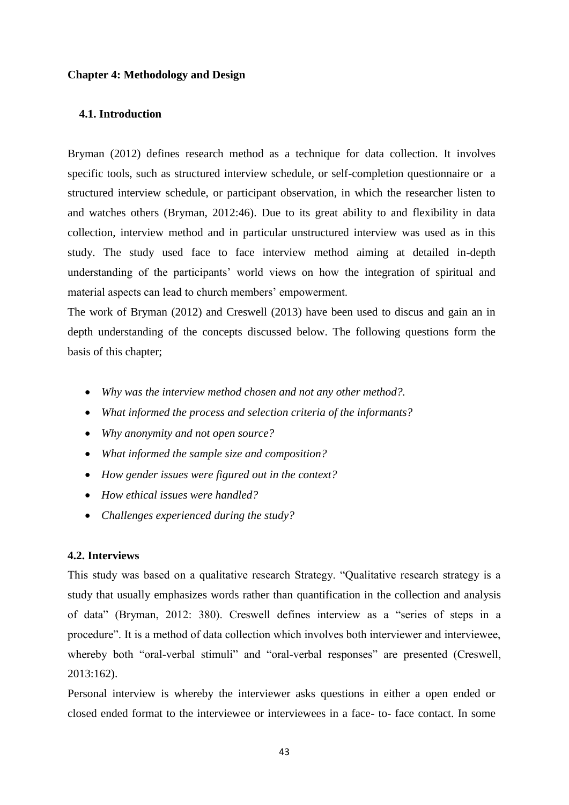## **Chapter 4: Methodology and Design**

# **4.1. Introduction**

Bryman (2012) defines research method as a technique for data collection. It involves specific tools, such as structured interview schedule, or self-completion questionnaire or a structured interview schedule, or participant observation, in which the researcher listen to and watches others (Bryman, 2012:46). Due to its great ability to and flexibility in data collection, interview method and in particular unstructured interview was used as in this study. The study used face to face interview method aiming at detailed in-depth understanding of the participants' world views on how the integration of spiritual and material aspects can lead to church members' empowerment.

The work of Bryman (2012) and Creswell (2013) have been used to discus and gain an in depth understanding of the concepts discussed below. The following questions form the basis of this chapter;

- *Why was the interview method chosen and not any other method?.*
- *What informed the process and selection criteria of the informants?*
- *Why anonymity and not open source?*
- *What informed the sample size and composition?*
- *How gender issues were figured out in the context?*
- *How ethical issues were handled?*
- *Challenges experienced during the study?*

## **4.2. Interviews**

This study was based on a qualitative research Strategy. "Qualitative research strategy is a study that usually emphasizes words rather than quantification in the collection and analysis of data" (Bryman, 2012: 380). Creswell defines interview as a "series of steps in a procedure". It is a method of data collection which involves both interviewer and interviewee, whereby both "oral-verbal stimuli" and "oral-verbal responses" are presented (Creswell, 2013:162).

Personal interview is whereby the interviewer asks questions in either a open ended or closed ended format to the interviewee or interviewees in a face- to- face contact. In some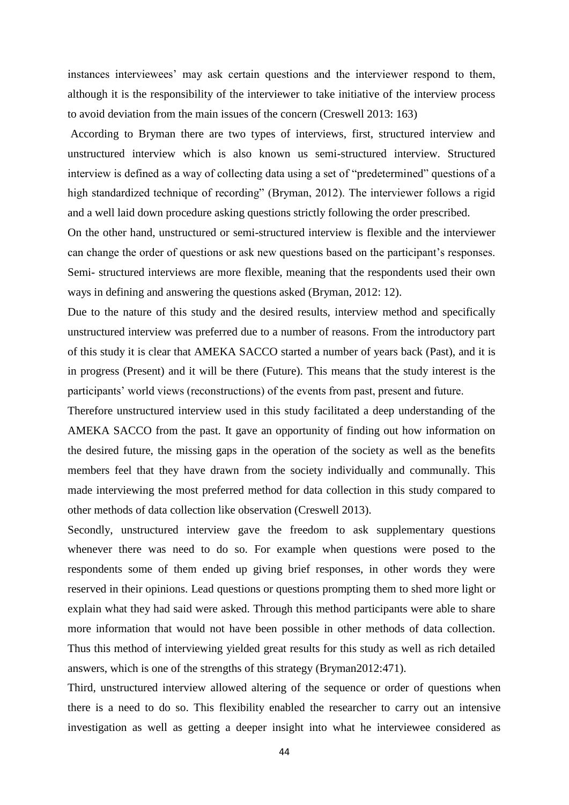instances interviewees' may ask certain questions and the interviewer respond to them, although it is the responsibility of the interviewer to take initiative of the interview process to avoid deviation from the main issues of the concern (Creswell 2013: 163)

According to Bryman there are two types of interviews, first, structured interview and unstructured interview which is also known us semi-structured interview. Structured interview is defined as a way of collecting data using a set of "predetermined" questions of a high standardized technique of recording" (Bryman, 2012). The interviewer follows a rigid and a well laid down procedure asking questions strictly following the order prescribed.

On the other hand, unstructured or semi-structured interview is flexible and the interviewer can change the order of questions or ask new questions based on the participant's responses. Semi- structured interviews are more flexible, meaning that the respondents used their own ways in defining and answering the questions asked (Bryman, 2012: 12).

Due to the nature of this study and the desired results, interview method and specifically unstructured interview was preferred due to a number of reasons. From the introductory part of this study it is clear that AMEKA SACCO started a number of years back (Past), and it is in progress (Present) and it will be there (Future). This means that the study interest is the participants' world views (reconstructions) of the events from past, present and future.

Therefore unstructured interview used in this study facilitated a deep understanding of the AMEKA SACCO from the past. It gave an opportunity of finding out how information on the desired future, the missing gaps in the operation of the society as well as the benefits members feel that they have drawn from the society individually and communally. This made interviewing the most preferred method for data collection in this study compared to other methods of data collection like observation (Creswell 2013).

Secondly, unstructured interview gave the freedom to ask supplementary questions whenever there was need to do so. For example when questions were posed to the respondents some of them ended up giving brief responses, in other words they were reserved in their opinions. Lead questions or questions prompting them to shed more light or explain what they had said were asked. Through this method participants were able to share more information that would not have been possible in other methods of data collection. Thus this method of interviewing yielded great results for this study as well as rich detailed answers, which is one of the strengths of this strategy (Bryman2012:471).

Third, unstructured interview allowed altering of the sequence or order of questions when there is a need to do so. This flexibility enabled the researcher to carry out an intensive investigation as well as getting a deeper insight into what he interviewee considered as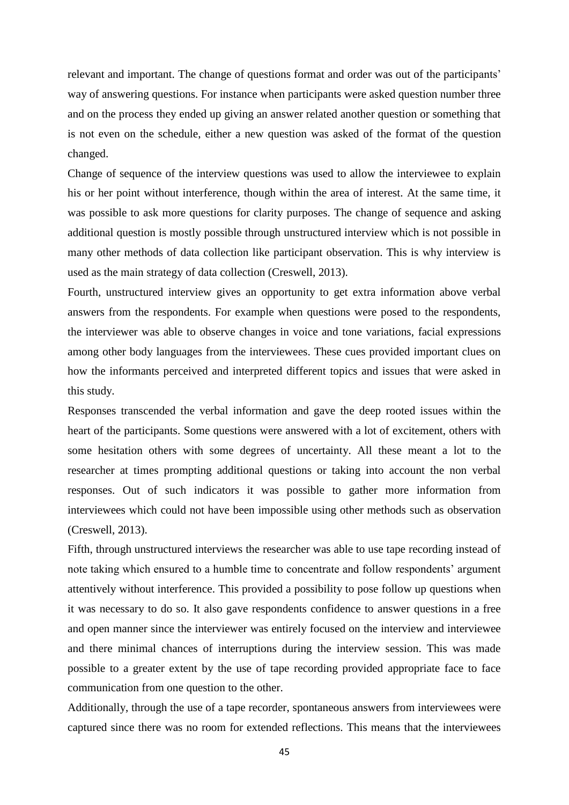relevant and important. The change of questions format and order was out of the participants' way of answering questions. For instance when participants were asked question number three and on the process they ended up giving an answer related another question or something that is not even on the schedule, either a new question was asked of the format of the question changed.

Change of sequence of the interview questions was used to allow the interviewee to explain his or her point without interference, though within the area of interest. At the same time, it was possible to ask more questions for clarity purposes. The change of sequence and asking additional question is mostly possible through unstructured interview which is not possible in many other methods of data collection like participant observation. This is why interview is used as the main strategy of data collection (Creswell, 2013).

Fourth, unstructured interview gives an opportunity to get extra information above verbal answers from the respondents. For example when questions were posed to the respondents, the interviewer was able to observe changes in voice and tone variations, facial expressions among other body languages from the interviewees. These cues provided important clues on how the informants perceived and interpreted different topics and issues that were asked in this study.

Responses transcended the verbal information and gave the deep rooted issues within the heart of the participants. Some questions were answered with a lot of excitement, others with some hesitation others with some degrees of uncertainty. All these meant a lot to the researcher at times prompting additional questions or taking into account the non verbal responses. Out of such indicators it was possible to gather more information from interviewees which could not have been impossible using other methods such as observation (Creswell, 2013).

Fifth, through unstructured interviews the researcher was able to use tape recording instead of note taking which ensured to a humble time to concentrate and follow respondents' argument attentively without interference. This provided a possibility to pose follow up questions when it was necessary to do so. It also gave respondents confidence to answer questions in a free and open manner since the interviewer was entirely focused on the interview and interviewee and there minimal chances of interruptions during the interview session. This was made possible to a greater extent by the use of tape recording provided appropriate face to face communication from one question to the other.

Additionally, through the use of a tape recorder, spontaneous answers from interviewees were captured since there was no room for extended reflections. This means that the interviewees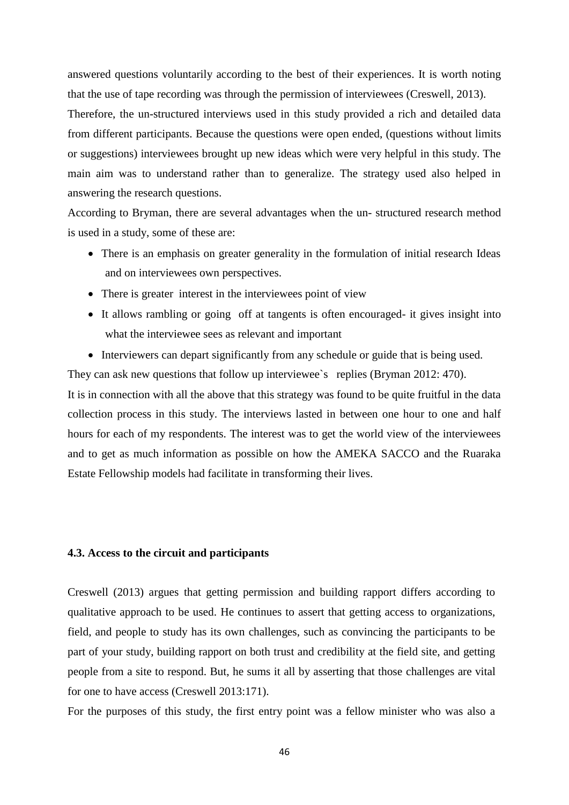answered questions voluntarily according to the best of their experiences. It is worth noting that the use of tape recording was through the permission of interviewees (Creswell, 2013).

Therefore, the un-structured interviews used in this study provided a rich and detailed data from different participants. Because the questions were open ended, (questions without limits or suggestions) interviewees brought up new ideas which were very helpful in this study. The main aim was to understand rather than to generalize. The strategy used also helped in answering the research questions.

According to Bryman, there are several advantages when the un- structured research method is used in a study, some of these are:

- There is an emphasis on greater generality in the formulation of initial research Ideas and on interviewees own perspectives.
- There is greater interest in the interviewees point of view
- It allows rambling or going off at tangents is often encouraged- it gives insight into what the interviewee sees as relevant and important
- Interviewers can depart significantly from any schedule or guide that is being used.

They can ask new questions that follow up interviewee`s replies (Bryman 2012: 470).

It is in connection with all the above that this strategy was found to be quite fruitful in the data collection process in this study. The interviews lasted in between one hour to one and half hours for each of my respondents. The interest was to get the world view of the interviewees and to get as much information as possible on how the AMEKA SACCO and the Ruaraka Estate Fellowship models had facilitate in transforming their lives.

#### **4.3. Access to the circuit and participants**

Creswell (2013) argues that getting permission and building rapport differs according to qualitative approach to be used. He continues to assert that getting access to organizations, field, and people to study has its own challenges, such as convincing the participants to be part of your study, building rapport on both trust and credibility at the field site, and getting people from a site to respond. But, he sums it all by asserting that those challenges are vital for one to have access (Creswell 2013:171).

For the purposes of this study, the first entry point was a fellow minister who was also a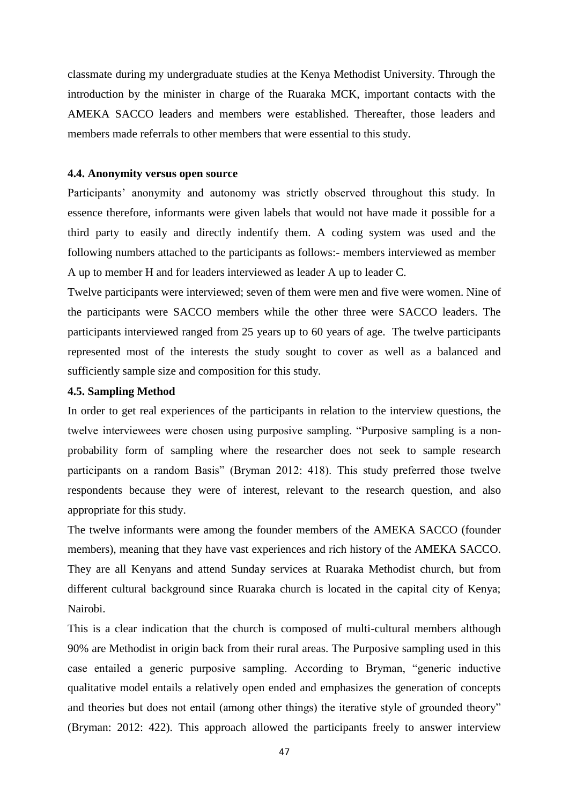classmate during my undergraduate studies at the Kenya Methodist University. Through the introduction by the minister in charge of the Ruaraka MCK, important contacts with the AMEKA SACCO leaders and members were established. Thereafter, those leaders and members made referrals to other members that were essential to this study.

## **4.4. Anonymity versus open source**

Participants' anonymity and autonomy was strictly observed throughout this study. In essence therefore, informants were given labels that would not have made it possible for a third party to easily and directly indentify them. A coding system was used and the following numbers attached to the participants as follows:- members interviewed as member A up to member H and for leaders interviewed as leader A up to leader C.

Twelve participants were interviewed; seven of them were men and five were women. Nine of the participants were SACCO members while the other three were SACCO leaders. The participants interviewed ranged from 25 years up to 60 years of age. The twelve participants represented most of the interests the study sought to cover as well as a balanced and sufficiently sample size and composition for this study.

## **4.5. Sampling Method**

In order to get real experiences of the participants in relation to the interview questions, the twelve interviewees were chosen using purposive sampling. "Purposive sampling is a nonprobability form of sampling where the researcher does not seek to sample research participants on a random Basis" (Bryman 2012: 418). This study preferred those twelve respondents because they were of interest, relevant to the research question, and also appropriate for this study.

The twelve informants were among the founder members of the AMEKA SACCO (founder members), meaning that they have vast experiences and rich history of the AMEKA SACCO. They are all Kenyans and attend Sunday services at Ruaraka Methodist church, but from different cultural background since Ruaraka church is located in the capital city of Kenya; Nairobi.

This is a clear indication that the church is composed of multi-cultural members although 90% are Methodist in origin back from their rural areas. The Purposive sampling used in this case entailed a generic purposive sampling. According to Bryman, "generic inductive qualitative model entails a relatively open ended and emphasizes the generation of concepts and theories but does not entail (among other things) the iterative style of grounded theory" (Bryman: 2012: 422). This approach allowed the participants freely to answer interview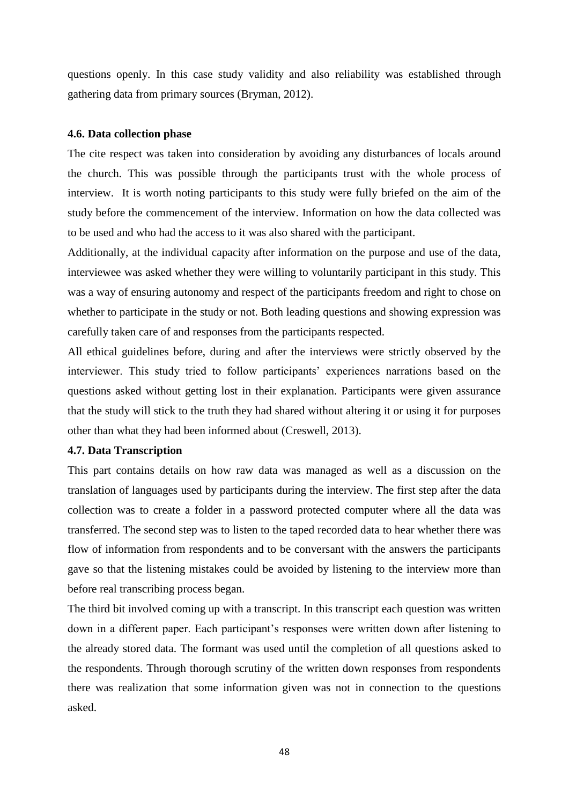questions openly. In this case study validity and also reliability was established through gathering data from primary sources (Bryman, 2012).

## **4.6. Data collection phase**

The cite respect was taken into consideration by avoiding any disturbances of locals around the church. This was possible through the participants trust with the whole process of interview. It is worth noting participants to this study were fully briefed on the aim of the study before the commencement of the interview. Information on how the data collected was to be used and who had the access to it was also shared with the participant.

Additionally, at the individual capacity after information on the purpose and use of the data, interviewee was asked whether they were willing to voluntarily participant in this study. This was a way of ensuring autonomy and respect of the participants freedom and right to chose on whether to participate in the study or not. Both leading questions and showing expression was carefully taken care of and responses from the participants respected.

All ethical guidelines before, during and after the interviews were strictly observed by the interviewer. This study tried to follow participants' experiences narrations based on the questions asked without getting lost in their explanation. Participants were given assurance that the study will stick to the truth they had shared without altering it or using it for purposes other than what they had been informed about (Creswell, 2013).

# **4.7. Data Transcription**

This part contains details on how raw data was managed as well as a discussion on the translation of languages used by participants during the interview. The first step after the data collection was to create a folder in a password protected computer where all the data was transferred. The second step was to listen to the taped recorded data to hear whether there was flow of information from respondents and to be conversant with the answers the participants gave so that the listening mistakes could be avoided by listening to the interview more than before real transcribing process began.

The third bit involved coming up with a transcript. In this transcript each question was written down in a different paper. Each participant's responses were written down after listening to the already stored data. The formant was used until the completion of all questions asked to the respondents. Through thorough scrutiny of the written down responses from respondents there was realization that some information given was not in connection to the questions asked.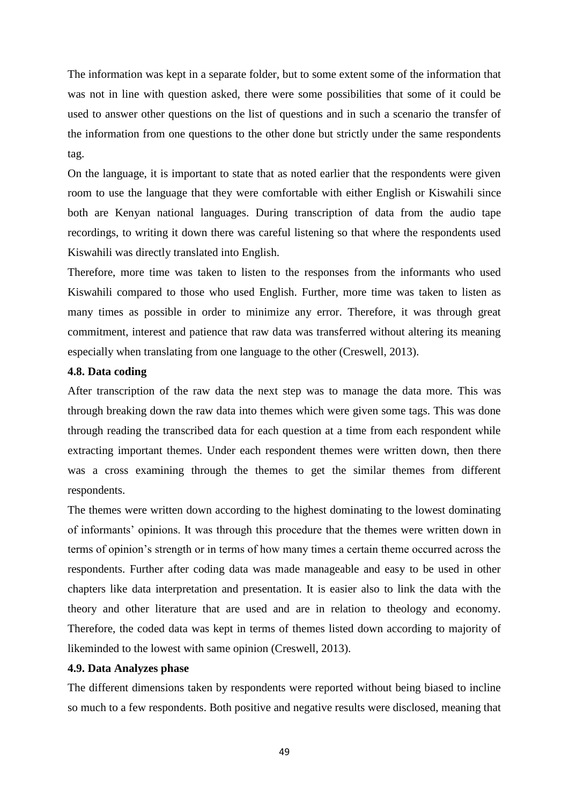The information was kept in a separate folder, but to some extent some of the information that was not in line with question asked, there were some possibilities that some of it could be used to answer other questions on the list of questions and in such a scenario the transfer of the information from one questions to the other done but strictly under the same respondents tag.

On the language, it is important to state that as noted earlier that the respondents were given room to use the language that they were comfortable with either English or Kiswahili since both are Kenyan national languages. During transcription of data from the audio tape recordings, to writing it down there was careful listening so that where the respondents used Kiswahili was directly translated into English.

Therefore, more time was taken to listen to the responses from the informants who used Kiswahili compared to those who used English. Further, more time was taken to listen as many times as possible in order to minimize any error. Therefore, it was through great commitment, interest and patience that raw data was transferred without altering its meaning especially when translating from one language to the other (Creswell, 2013).

# **4.8. Data coding**

After transcription of the raw data the next step was to manage the data more. This was through breaking down the raw data into themes which were given some tags. This was done through reading the transcribed data for each question at a time from each respondent while extracting important themes. Under each respondent themes were written down, then there was a cross examining through the themes to get the similar themes from different respondents.

The themes were written down according to the highest dominating to the lowest dominating of informants' opinions. It was through this procedure that the themes were written down in terms of opinion's strength or in terms of how many times a certain theme occurred across the respondents. Further after coding data was made manageable and easy to be used in other chapters like data interpretation and presentation. It is easier also to link the data with the theory and other literature that are used and are in relation to theology and economy. Therefore, the coded data was kept in terms of themes listed down according to majority of likeminded to the lowest with same opinion (Creswell, 2013).

## **4.9. Data Analyzes phase**

The different dimensions taken by respondents were reported without being biased to incline so much to a few respondents. Both positive and negative results were disclosed, meaning that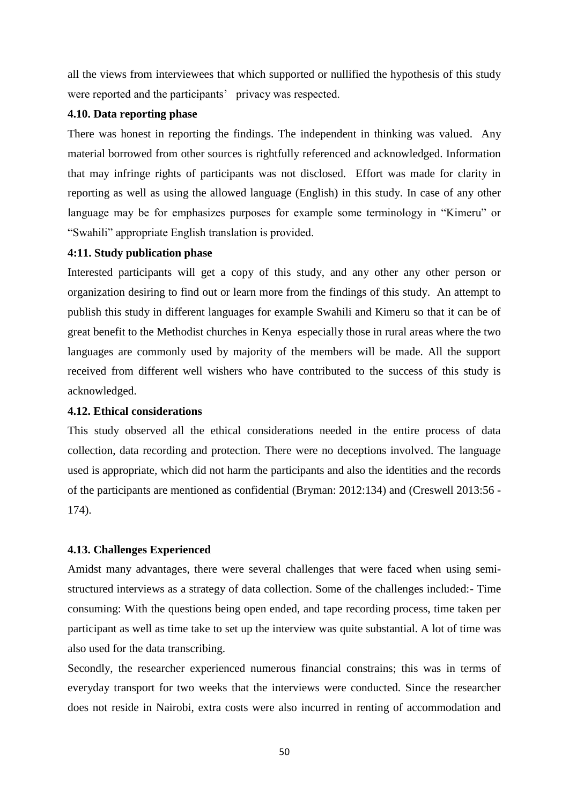all the views from interviewees that which supported or nullified the hypothesis of this study were reported and the participants' privacy was respected.

# **4.10. Data reporting phase**

There was honest in reporting the findings. The independent in thinking was valued. Any material borrowed from other sources is rightfully referenced and acknowledged. Information that may infringe rights of participants was not disclosed. Effort was made for clarity in reporting as well as using the allowed language (English) in this study. In case of any other language may be for emphasizes purposes for example some terminology in "Kimeru" or "Swahili" appropriate English translation is provided.

## **4:11. Study publication phase**

Interested participants will get a copy of this study, and any other any other person or organization desiring to find out or learn more from the findings of this study. An attempt to publish this study in different languages for example Swahili and Kimeru so that it can be of great benefit to the Methodist churches in Kenya especially those in rural areas where the two languages are commonly used by majority of the members will be made. All the support received from different well wishers who have contributed to the success of this study is acknowledged.

# **4.12. Ethical considerations**

This study observed all the ethical considerations needed in the entire process of data collection, data recording and protection. There were no deceptions involved. The language used is appropriate, which did not harm the participants and also the identities and the records of the participants are mentioned as confidential (Bryman: 2012:134) and (Creswell 2013:56 - 174).

# **4.13. Challenges Experienced**

Amidst many advantages, there were several challenges that were faced when using semistructured interviews as a strategy of data collection. Some of the challenges included:- Time consuming: With the questions being open ended, and tape recording process, time taken per participant as well as time take to set up the interview was quite substantial. A lot of time was also used for the data transcribing.

Secondly, the researcher experienced numerous financial constrains; this was in terms of everyday transport for two weeks that the interviews were conducted. Since the researcher does not reside in Nairobi, extra costs were also incurred in renting of accommodation and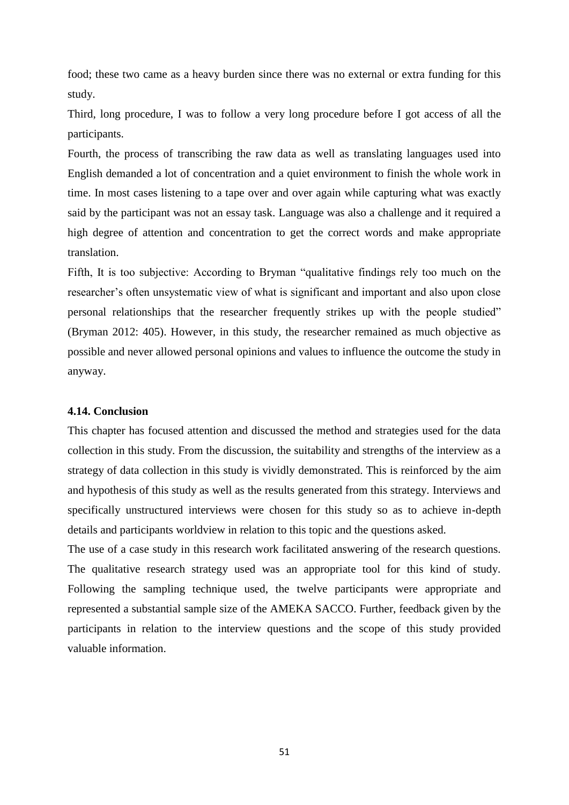food; these two came as a heavy burden since there was no external or extra funding for this study.

Third, long procedure, I was to follow a very long procedure before I got access of all the participants.

Fourth, the process of transcribing the raw data as well as translating languages used into English demanded a lot of concentration and a quiet environment to finish the whole work in time. In most cases listening to a tape over and over again while capturing what was exactly said by the participant was not an essay task. Language was also a challenge and it required a high degree of attention and concentration to get the correct words and make appropriate translation.

Fifth, It is too subjective: According to Bryman "qualitative findings rely too much on the researcher's often unsystematic view of what is significant and important and also upon close personal relationships that the researcher frequently strikes up with the people studied" (Bryman 2012: 405). However, in this study, the researcher remained as much objective as possible and never allowed personal opinions and values to influence the outcome the study in anyway.

## **4.14. Conclusion**

This chapter has focused attention and discussed the method and strategies used for the data collection in this study. From the discussion, the suitability and strengths of the interview as a strategy of data collection in this study is vividly demonstrated. This is reinforced by the aim and hypothesis of this study as well as the results generated from this strategy. Interviews and specifically unstructured interviews were chosen for this study so as to achieve in-depth details and participants worldview in relation to this topic and the questions asked.

The use of a case study in this research work facilitated answering of the research questions. The qualitative research strategy used was an appropriate tool for this kind of study. Following the sampling technique used, the twelve participants were appropriate and represented a substantial sample size of the AMEKA SACCO. Further, feedback given by the participants in relation to the interview questions and the scope of this study provided valuable information.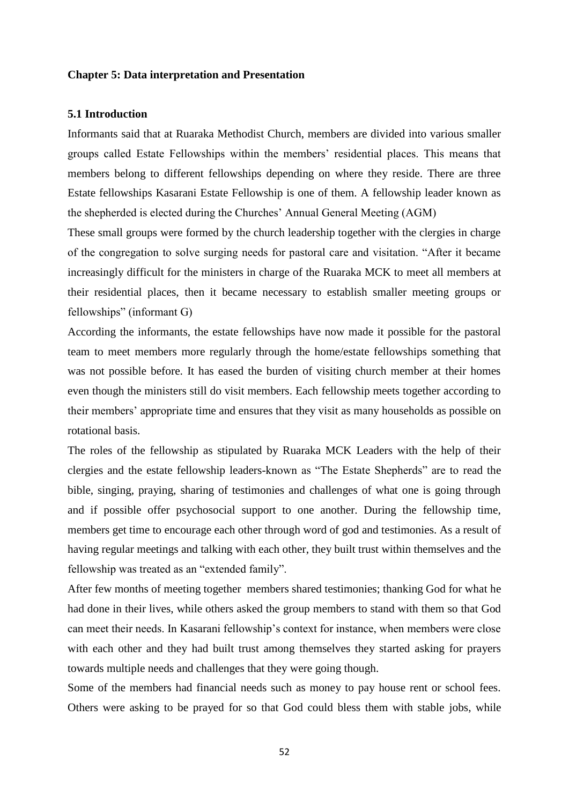## **Chapter 5: Data interpretation and Presentation**

# **5.1 Introduction**

Informants said that at Ruaraka Methodist Church, members are divided into various smaller groups called Estate Fellowships within the members' residential places. This means that members belong to different fellowships depending on where they reside. There are three Estate fellowships Kasarani Estate Fellowship is one of them. A fellowship leader known as the shepherded is elected during the Churches' Annual General Meeting (AGM)

These small groups were formed by the church leadership together with the clergies in charge of the congregation to solve surging needs for pastoral care and visitation. "After it became increasingly difficult for the ministers in charge of the Ruaraka MCK to meet all members at their residential places, then it became necessary to establish smaller meeting groups or fellowships" (informant G)

According the informants, the estate fellowships have now made it possible for the pastoral team to meet members more regularly through the home/estate fellowships something that was not possible before. It has eased the burden of visiting church member at their homes even though the ministers still do visit members. Each fellowship meets together according to their members' appropriate time and ensures that they visit as many households as possible on rotational basis.

The roles of the fellowship as stipulated by Ruaraka MCK Leaders with the help of their clergies and the estate fellowship leaders-known as "The Estate Shepherds" are to read the bible, singing, praying, sharing of testimonies and challenges of what one is going through and if possible offer psychosocial support to one another. During the fellowship time, members get time to encourage each other through word of god and testimonies. As a result of having regular meetings and talking with each other, they built trust within themselves and the fellowship was treated as an "extended family".

After few months of meeting together members shared testimonies; thanking God for what he had done in their lives, while others asked the group members to stand with them so that God can meet their needs. In Kasarani fellowship's context for instance, when members were close with each other and they had built trust among themselves they started asking for prayers towards multiple needs and challenges that they were going though.

Some of the members had financial needs such as money to pay house rent or school fees. Others were asking to be prayed for so that God could bless them with stable jobs, while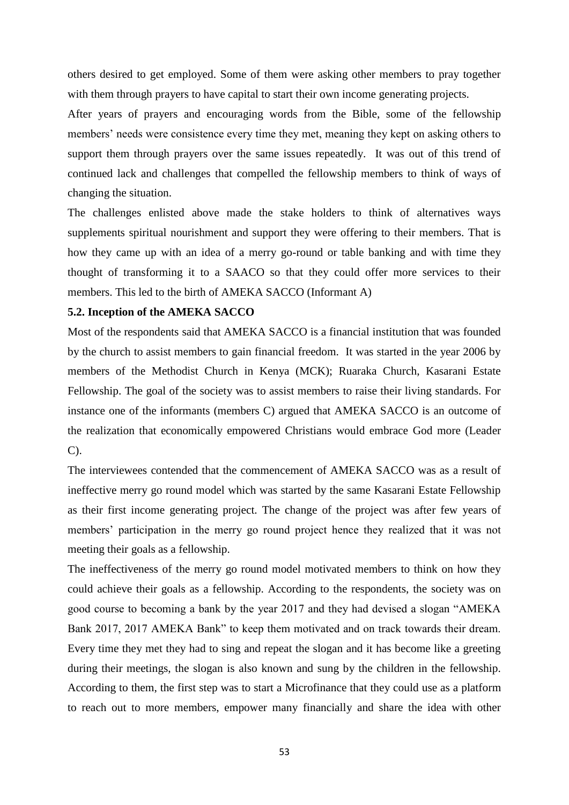others desired to get employed. Some of them were asking other members to pray together with them through prayers to have capital to start their own income generating projects.

After years of prayers and encouraging words from the Bible, some of the fellowship members' needs were consistence every time they met, meaning they kept on asking others to support them through prayers over the same issues repeatedly. It was out of this trend of continued lack and challenges that compelled the fellowship members to think of ways of changing the situation.

The challenges enlisted above made the stake holders to think of alternatives ways supplements spiritual nourishment and support they were offering to their members. That is how they came up with an idea of a merry go-round or table banking and with time they thought of transforming it to a SAACO so that they could offer more services to their members. This led to the birth of AMEKA SACCO (Informant A)

# **5.2. Inception of the AMEKA SACCO**

Most of the respondents said that AMEKA SACCO is a financial institution that was founded by the church to assist members to gain financial freedom. It was started in the year 2006 by members of the Methodist Church in Kenya (MCK); Ruaraka Church, Kasarani Estate Fellowship. The goal of the society was to assist members to raise their living standards. For instance one of the informants (members C) argued that AMEKA SACCO is an outcome of the realization that economically empowered Christians would embrace God more (Leader  $C$ ).

The interviewees contended that the commencement of AMEKA SACCO was as a result of ineffective merry go round model which was started by the same Kasarani Estate Fellowship as their first income generating project. The change of the project was after few years of members' participation in the merry go round project hence they realized that it was not meeting their goals as a fellowship.

The ineffectiveness of the merry go round model motivated members to think on how they could achieve their goals as a fellowship. According to the respondents, the society was on good course to becoming a bank by the year 2017 and they had devised a slogan "AMEKA Bank 2017, 2017 AMEKA Bank" to keep them motivated and on track towards their dream. Every time they met they had to sing and repeat the slogan and it has become like a greeting during their meetings, the slogan is also known and sung by the children in the fellowship. According to them, the first step was to start a Microfinance that they could use as a platform to reach out to more members, empower many financially and share the idea with other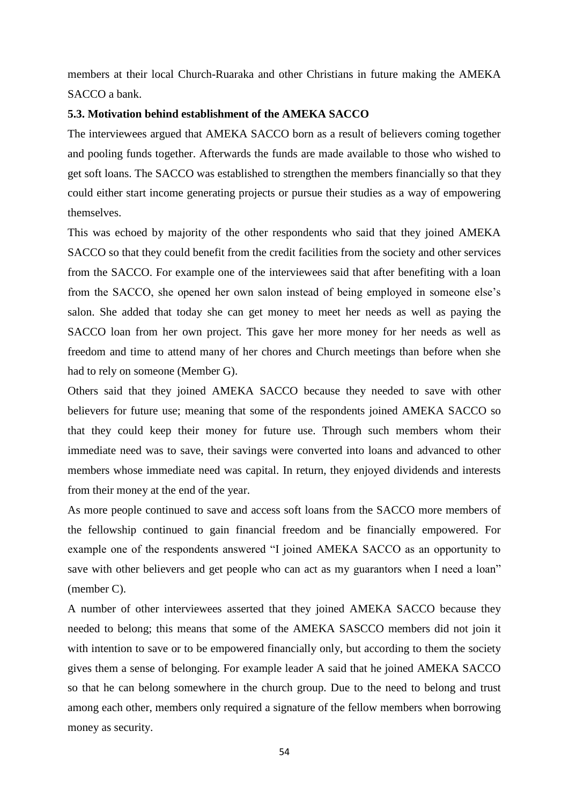members at their local Church-Ruaraka and other Christians in future making the AMEKA SACCO a bank.

# **5.3. Motivation behind establishment of the AMEKA SACCO**

The interviewees argued that AMEKA SACCO born as a result of believers coming together and pooling funds together. Afterwards the funds are made available to those who wished to get soft loans. The SACCO was established to strengthen the members financially so that they could either start income generating projects or pursue their studies as a way of empowering themselves.

This was echoed by majority of the other respondents who said that they joined AMEKA SACCO so that they could benefit from the credit facilities from the society and other services from the SACCO. For example one of the interviewees said that after benefiting with a loan from the SACCO, she opened her own salon instead of being employed in someone else's salon. She added that today she can get money to meet her needs as well as paying the SACCO loan from her own project. This gave her more money for her needs as well as freedom and time to attend many of her chores and Church meetings than before when she had to rely on someone (Member G).

Others said that they joined AMEKA SACCO because they needed to save with other believers for future use; meaning that some of the respondents joined AMEKA SACCO so that they could keep their money for future use. Through such members whom their immediate need was to save, their savings were converted into loans and advanced to other members whose immediate need was capital. In return, they enjoyed dividends and interests from their money at the end of the year.

As more people continued to save and access soft loans from the SACCO more members of the fellowship continued to gain financial freedom and be financially empowered. For example one of the respondents answered "I joined AMEKA SACCO as an opportunity to save with other believers and get people who can act as my guarantors when I need a loan" (member C).

A number of other interviewees asserted that they joined AMEKA SACCO because they needed to belong; this means that some of the AMEKA SASCCO members did not join it with intention to save or to be empowered financially only, but according to them the society gives them a sense of belonging. For example leader A said that he joined AMEKA SACCO so that he can belong somewhere in the church group. Due to the need to belong and trust among each other, members only required a signature of the fellow members when borrowing money as security.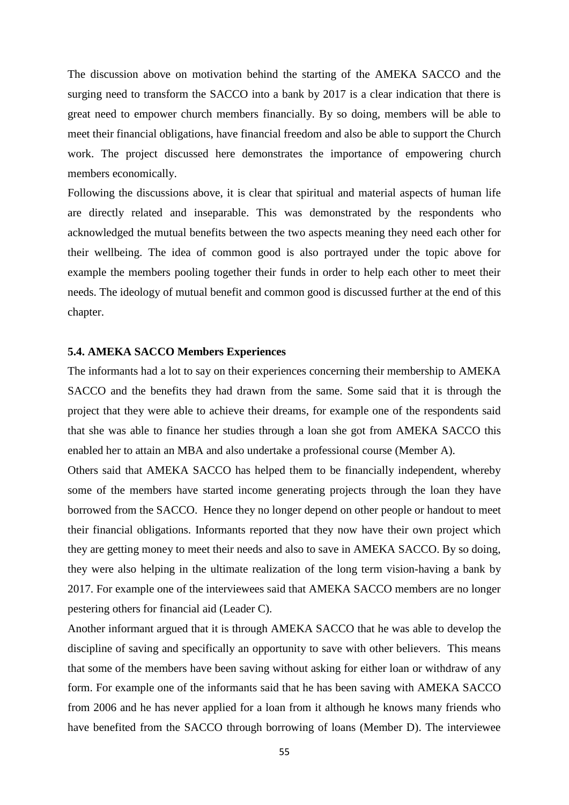The discussion above on motivation behind the starting of the AMEKA SACCO and the surging need to transform the SACCO into a bank by 2017 is a clear indication that there is great need to empower church members financially. By so doing, members will be able to meet their financial obligations, have financial freedom and also be able to support the Church work. The project discussed here demonstrates the importance of empowering church members economically.

Following the discussions above, it is clear that spiritual and material aspects of human life are directly related and inseparable. This was demonstrated by the respondents who acknowledged the mutual benefits between the two aspects meaning they need each other for their wellbeing. The idea of common good is also portrayed under the topic above for example the members pooling together their funds in order to help each other to meet their needs. The ideology of mutual benefit and common good is discussed further at the end of this chapter.

#### **5.4. AMEKA SACCO Members Experiences**

The informants had a lot to say on their experiences concerning their membership to AMEKA SACCO and the benefits they had drawn from the same. Some said that it is through the project that they were able to achieve their dreams, for example one of the respondents said that she was able to finance her studies through a loan she got from AMEKA SACCO this enabled her to attain an MBA and also undertake a professional course (Member A).

Others said that AMEKA SACCO has helped them to be financially independent, whereby some of the members have started income generating projects through the loan they have borrowed from the SACCO. Hence they no longer depend on other people or handout to meet their financial obligations. Informants reported that they now have their own project which they are getting money to meet their needs and also to save in AMEKA SACCO. By so doing, they were also helping in the ultimate realization of the long term vision-having a bank by 2017. For example one of the interviewees said that AMEKA SACCO members are no longer pestering others for financial aid (Leader C).

Another informant argued that it is through AMEKA SACCO that he was able to develop the discipline of saving and specifically an opportunity to save with other believers. This means that some of the members have been saving without asking for either loan or withdraw of any form. For example one of the informants said that he has been saving with AMEKA SACCO from 2006 and he has never applied for a loan from it although he knows many friends who have benefited from the SACCO through borrowing of loans (Member D). The interviewee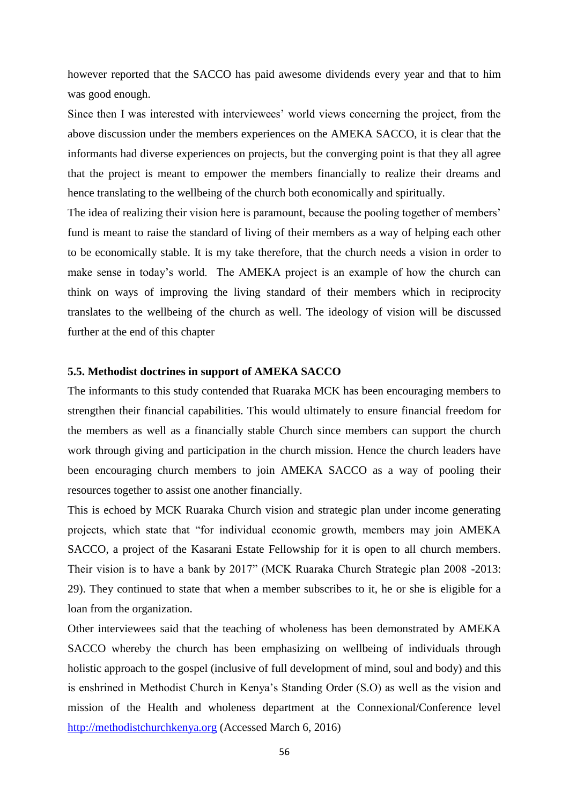however reported that the SACCO has paid awesome dividends every year and that to him was good enough.

Since then I was interested with interviewees' world views concerning the project, from the above discussion under the members experiences on the AMEKA SACCO, it is clear that the informants had diverse experiences on projects, but the converging point is that they all agree that the project is meant to empower the members financially to realize their dreams and hence translating to the wellbeing of the church both economically and spiritually.

The idea of realizing their vision here is paramount, because the pooling together of members' fund is meant to raise the standard of living of their members as a way of helping each other to be economically stable. It is my take therefore, that the church needs a vision in order to make sense in today's world. The AMEKA project is an example of how the church can think on ways of improving the living standard of their members which in reciprocity translates to the wellbeing of the church as well. The ideology of vision will be discussed further at the end of this chapter

# **5.5. Methodist doctrines in support of AMEKA SACCO**

The informants to this study contended that Ruaraka MCK has been encouraging members to strengthen their financial capabilities. This would ultimately to ensure financial freedom for the members as well as a financially stable Church since members can support the church work through giving and participation in the church mission. Hence the church leaders have been encouraging church members to join AMEKA SACCO as a way of pooling their resources together to assist one another financially.

This is echoed by MCK Ruaraka Church vision and strategic plan under income generating projects, which state that "for individual economic growth, members may join AMEKA SACCO, a project of the Kasarani Estate Fellowship for it is open to all church members. Their vision is to have a bank by 2017" (MCK Ruaraka Church Strategic plan 2008 -2013: 29). They continued to state that when a member subscribes to it, he or she is eligible for a loan from the organization.

Other interviewees said that the teaching of wholeness has been demonstrated by AMEKA SACCO whereby the church has been emphasizing on wellbeing of individuals through holistic approach to the gospel (inclusive of full development of mind, soul and body) and this is enshrined in Methodist Church in Kenya's Standing Order (S.O) as well as the vision and mission of the Health and wholeness department at the Connexional/Conference level [http://methodistchurchkenya.org](http://methodistchurchkenya.org/) (Accessed March 6, 2016)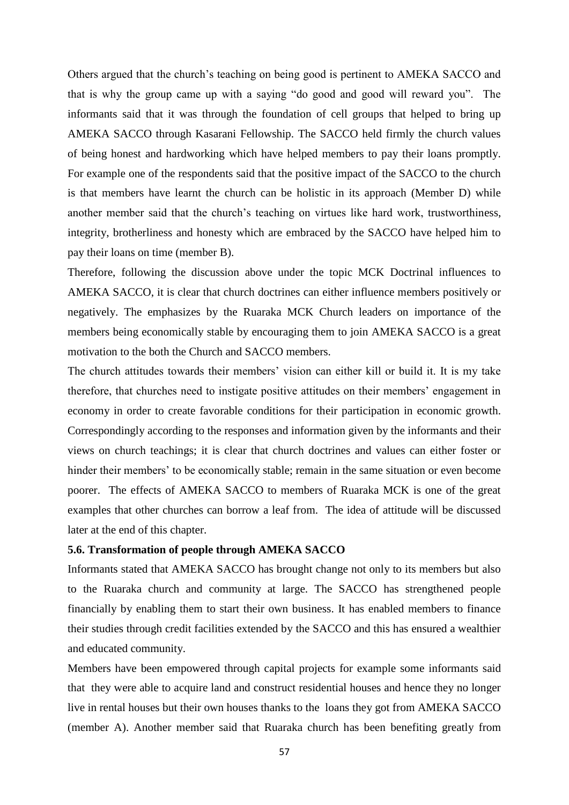Others argued that the church's teaching on being good is pertinent to AMEKA SACCO and that is why the group came up with a saying "do good and good will reward you". The informants said that it was through the foundation of cell groups that helped to bring up AMEKA SACCO through Kasarani Fellowship. The SACCO held firmly the church values of being honest and hardworking which have helped members to pay their loans promptly. For example one of the respondents said that the positive impact of the SACCO to the church is that members have learnt the church can be holistic in its approach (Member D) while another member said that the church's teaching on virtues like hard work, trustworthiness, integrity, brotherliness and honesty which are embraced by the SACCO have helped him to pay their loans on time (member B).

Therefore, following the discussion above under the topic MCK Doctrinal influences to AMEKA SACCO, it is clear that church doctrines can either influence members positively or negatively. The emphasizes by the Ruaraka MCK Church leaders on importance of the members being economically stable by encouraging them to join AMEKA SACCO is a great motivation to the both the Church and SACCO members.

The church attitudes towards their members' vision can either kill or build it. It is my take therefore, that churches need to instigate positive attitudes on their members' engagement in economy in order to create favorable conditions for their participation in economic growth. Correspondingly according to the responses and information given by the informants and their views on church teachings; it is clear that church doctrines and values can either foster or hinder their members' to be economically stable; remain in the same situation or even become poorer. The effects of AMEKA SACCO to members of Ruaraka MCK is one of the great examples that other churches can borrow a leaf from. The idea of attitude will be discussed later at the end of this chapter.

## **5.6. Transformation of people through AMEKA SACCO**

Informants stated that AMEKA SACCO has brought change not only to its members but also to the Ruaraka church and community at large. The SACCO has strengthened people financially by enabling them to start their own business. It has enabled members to finance their studies through credit facilities extended by the SACCO and this has ensured a wealthier and educated community.

Members have been empowered through capital projects for example some informants said that they were able to acquire land and construct residential houses and hence they no longer live in rental houses but their own houses thanks to the loans they got from AMEKA SACCO (member A). Another member said that Ruaraka church has been benefiting greatly from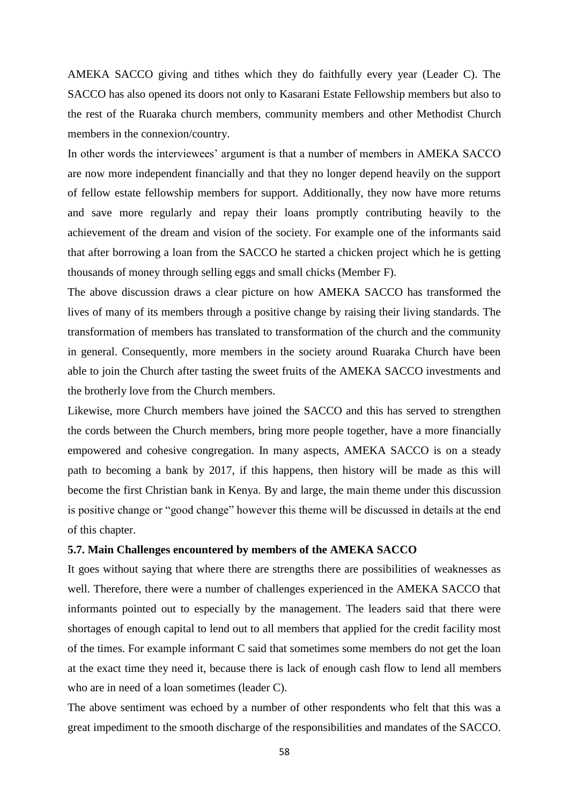AMEKA SACCO giving and tithes which they do faithfully every year (Leader C). The SACCO has also opened its doors not only to Kasarani Estate Fellowship members but also to the rest of the Ruaraka church members, community members and other Methodist Church members in the connexion/country.

In other words the interviewees' argument is that a number of members in AMEKA SACCO are now more independent financially and that they no longer depend heavily on the support of fellow estate fellowship members for support. Additionally, they now have more returns and save more regularly and repay their loans promptly contributing heavily to the achievement of the dream and vision of the society. For example one of the informants said that after borrowing a loan from the SACCO he started a chicken project which he is getting thousands of money through selling eggs and small chicks (Member F).

The above discussion draws a clear picture on how AMEKA SACCO has transformed the lives of many of its members through a positive change by raising their living standards. The transformation of members has translated to transformation of the church and the community in general. Consequently, more members in the society around Ruaraka Church have been able to join the Church after tasting the sweet fruits of the AMEKA SACCO investments and the brotherly love from the Church members.

Likewise, more Church members have joined the SACCO and this has served to strengthen the cords between the Church members, bring more people together, have a more financially empowered and cohesive congregation. In many aspects, AMEKA SACCO is on a steady path to becoming a bank by 2017, if this happens, then history will be made as this will become the first Christian bank in Kenya. By and large, the main theme under this discussion is positive change or "good change" however this theme will be discussed in details at the end of this chapter.

## **5.7. Main Challenges encountered by members of the AMEKA SACCO**

It goes without saying that where there are strengths there are possibilities of weaknesses as well. Therefore, there were a number of challenges experienced in the AMEKA SACCO that informants pointed out to especially by the management. The leaders said that there were shortages of enough capital to lend out to all members that applied for the credit facility most of the times. For example informant C said that sometimes some members do not get the loan at the exact time they need it, because there is lack of enough cash flow to lend all members who are in need of a loan sometimes (leader C).

The above sentiment was echoed by a number of other respondents who felt that this was a great impediment to the smooth discharge of the responsibilities and mandates of the SACCO.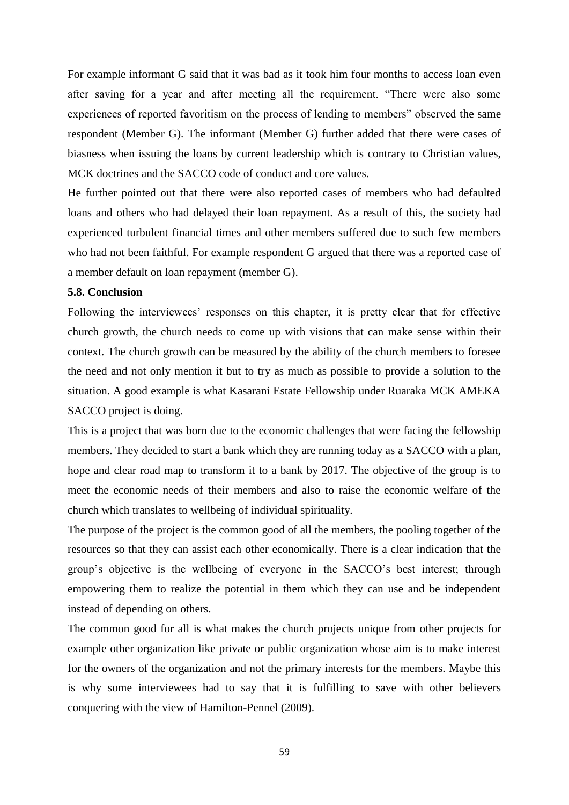For example informant G said that it was bad as it took him four months to access loan even after saving for a year and after meeting all the requirement. "There were also some experiences of reported favoritism on the process of lending to members" observed the same respondent (Member G). The informant (Member G) further added that there were cases of biasness when issuing the loans by current leadership which is contrary to Christian values, MCK doctrines and the SACCO code of conduct and core values.

He further pointed out that there were also reported cases of members who had defaulted loans and others who had delayed their loan repayment. As a result of this, the society had experienced turbulent financial times and other members suffered due to such few members who had not been faithful. For example respondent G argued that there was a reported case of a member default on loan repayment (member G).

## **5.8. Conclusion**

Following the interviewees' responses on this chapter, it is pretty clear that for effective church growth, the church needs to come up with visions that can make sense within their context. The church growth can be measured by the ability of the church members to foresee the need and not only mention it but to try as much as possible to provide a solution to the situation. A good example is what Kasarani Estate Fellowship under Ruaraka MCK AMEKA SACCO project is doing.

This is a project that was born due to the economic challenges that were facing the fellowship members. They decided to start a bank which they are running today as a SACCO with a plan, hope and clear road map to transform it to a bank by 2017. The objective of the group is to meet the economic needs of their members and also to raise the economic welfare of the church which translates to wellbeing of individual spirituality.

The purpose of the project is the common good of all the members, the pooling together of the resources so that they can assist each other economically. There is a clear indication that the group's objective is the wellbeing of everyone in the SACCO's best interest; through empowering them to realize the potential in them which they can use and be independent instead of depending on others.

The common good for all is what makes the church projects unique from other projects for example other organization like private or public organization whose aim is to make interest for the owners of the organization and not the primary interests for the members. Maybe this is why some interviewees had to say that it is fulfilling to save with other believers conquering with the view of Hamilton-Pennel (2009).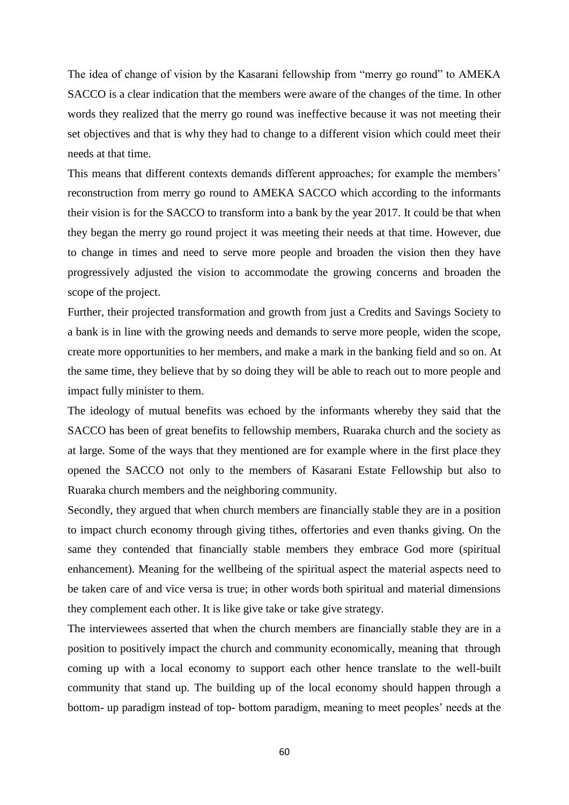The idea of change of vision by the Kasarani fellowship from "merry go round" to AMEKA SACCO is a clear indication that the members were aware of the changes of the time. In other words they realized that the merry go round was ineffective because it was not meeting their set objectives and that is why they had to change to a different vision which could meet their needs at that time.

This means that different contexts demands different approaches; for example the members' reconstruction from merry go round to AMEKA SACCO which according to the informants their vision is for the SACCO to transform into a bank by the year 2017. It could be that when they began the merry go round project it was meeting their needs at that time. However, due to change in times and need to serve more people and broaden the vision then they have progressively adjusted the vision to accommodate the growing concerns and broaden the scope of the project.

Further, their projected transformation and growth from just a Credits and Savings Society to a bank is in line with the growing needs and demands to serve more people, widen the scope, create more opportunities to her members, and make a mark in the banking field and so on. At the same time, they believe that by so doing they will be able to reach out to more people and impact fully minister to them.

The ideology of mutual benefits was echoed by the informants whereby they said that the SACCO has been of great benefits to fellowship members, Ruaraka church and the society as at large. Some of the ways that they mentioned are for example where in the first place they opened the SACCO not only to the members of Kasarani Estate Fellowship but also to Ruaraka church members and the neighboring community.

Secondly, they argued that when church members are financially stable they are in a position to impact church economy through giving tithes, offertories and even thanks giving. On the same they contended that financially stable members they embrace God more (spiritual enhancement). Meaning for the wellbeing of the spiritual aspect the material aspects need to be taken care of and vice versa is true; in other words both spiritual and material dimensions they complement each other. It is like give take or take give strategy.

The interviewees asserted that when the church members are financially stable they are in a position to positively impact the church and community economically, meaning that through coming up with a local economy to support each other hence translate to the well-built community that stand up. The building up of the local economy should happen through a bottom- up paradigm instead of top- bottom paradigm, meaning to meet peoples' needs at the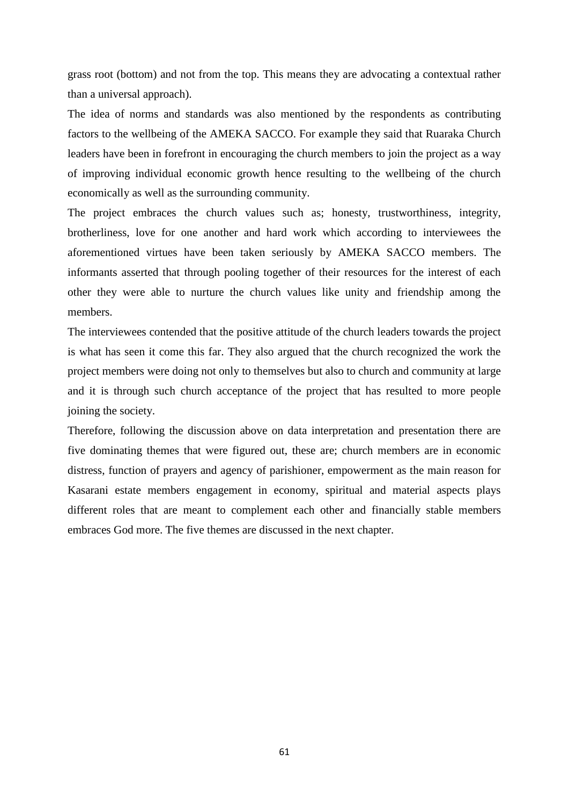grass root (bottom) and not from the top. This means they are advocating a contextual rather than a universal approach).

The idea of norms and standards was also mentioned by the respondents as contributing factors to the wellbeing of the AMEKA SACCO. For example they said that Ruaraka Church leaders have been in forefront in encouraging the church members to join the project as a way of improving individual economic growth hence resulting to the wellbeing of the church economically as well as the surrounding community.

The project embraces the church values such as; honesty, trustworthiness, integrity, brotherliness, love for one another and hard work which according to interviewees the aforementioned virtues have been taken seriously by AMEKA SACCO members. The informants asserted that through pooling together of their resources for the interest of each other they were able to nurture the church values like unity and friendship among the members.

The interviewees contended that the positive attitude of the church leaders towards the project is what has seen it come this far. They also argued that the church recognized the work the project members were doing not only to themselves but also to church and community at large and it is through such church acceptance of the project that has resulted to more people joining the society.

Therefore, following the discussion above on data interpretation and presentation there are five dominating themes that were figured out, these are; church members are in economic distress, function of prayers and agency of parishioner, empowerment as the main reason for Kasarani estate members engagement in economy, spiritual and material aspects plays different roles that are meant to complement each other and financially stable members embraces God more. The five themes are discussed in the next chapter.

61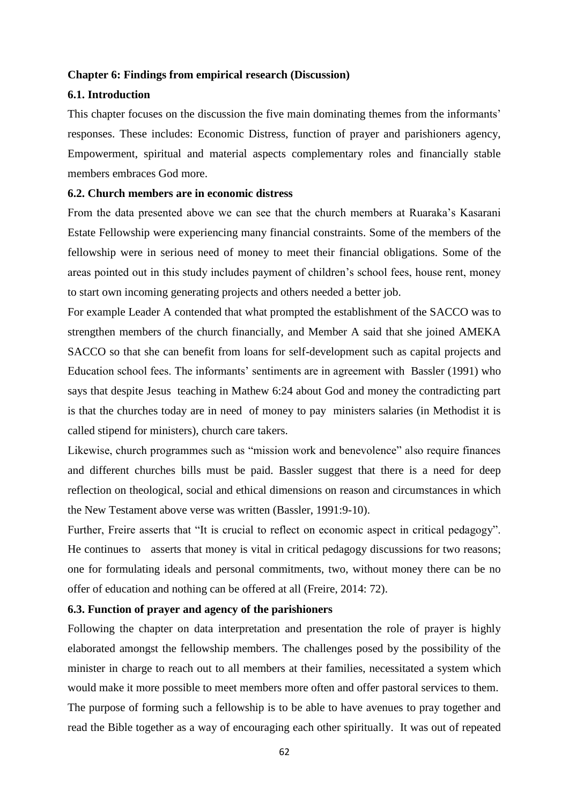### **Chapter 6: Findings from empirical research (Discussion)**

#### **6.1. Introduction**

This chapter focuses on the discussion the five main dominating themes from the informants' responses. These includes: Economic Distress, function of prayer and parishioners agency, Empowerment, spiritual and material aspects complementary roles and financially stable members embraces God more.

## **6.2. Church members are in economic distress**

From the data presented above we can see that the church members at Ruaraka's Kasarani Estate Fellowship were experiencing many financial constraints. Some of the members of the fellowship were in serious need of money to meet their financial obligations. Some of the areas pointed out in this study includes payment of children's school fees, house rent, money to start own incoming generating projects and others needed a better job.

For example Leader A contended that what prompted the establishment of the SACCO was to strengthen members of the church financially, and Member A said that she joined AMEKA SACCO so that she can benefit from loans for self-development such as capital projects and Education school fees. The informants' sentiments are in agreement with Bassler (1991) who says that despite Jesus teaching in Mathew 6:24 about God and money the contradicting part is that the churches today are in need of money to pay ministers salaries (in Methodist it is called stipend for ministers), church care takers.

Likewise, church programmes such as "mission work and benevolence" also require finances and different churches bills must be paid. Bassler suggest that there is a need for deep reflection on theological, social and ethical dimensions on reason and circumstances in which the New Testament above verse was written (Bassler, 1991:9-10).

Further, Freire asserts that "It is crucial to reflect on economic aspect in critical pedagogy". He continues to asserts that money is vital in critical pedagogy discussions for two reasons; one for formulating ideals and personal commitments, two, without money there can be no offer of education and nothing can be offered at all (Freire, 2014: 72).

## **6.3. Function of prayer and agency of the parishioners**

Following the chapter on data interpretation and presentation the role of prayer is highly elaborated amongst the fellowship members. The challenges posed by the possibility of the minister in charge to reach out to all members at their families, necessitated a system which would make it more possible to meet members more often and offer pastoral services to them. The purpose of forming such a fellowship is to be able to have avenues to pray together and read the Bible together as a way of encouraging each other spiritually. It was out of repeated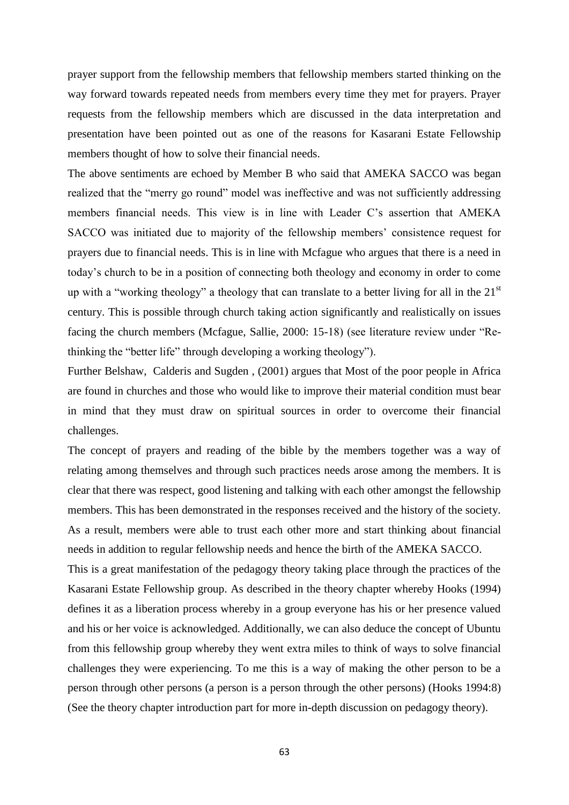prayer support from the fellowship members that fellowship members started thinking on the way forward towards repeated needs from members every time they met for prayers. Prayer requests from the fellowship members which are discussed in the data interpretation and presentation have been pointed out as one of the reasons for Kasarani Estate Fellowship members thought of how to solve their financial needs.

The above sentiments are echoed by Member B who said that AMEKA SACCO was began realized that the "merry go round" model was ineffective and was not sufficiently addressing members financial needs. This view is in line with Leader C's assertion that AMEKA SACCO was initiated due to majority of the fellowship members' consistence request for prayers due to financial needs. This is in line with Mcfague who argues that there is a need in today's church to be in a position of connecting both theology and economy in order to come up with a "working theology" a theology that can translate to a better living for all in the  $21<sup>st</sup>$ century. This is possible through church taking action significantly and realistically on issues facing the church members (Mcfague, Sallie, 2000: 15-18) (see literature review under "Rethinking the "better life" through developing a working theology").

Further Belshaw, Calderis and Sugden , (2001) argues that Most of the poor people in Africa are found in churches and those who would like to improve their material condition must bear in mind that they must draw on spiritual sources in order to overcome their financial challenges.

The concept of prayers and reading of the bible by the members together was a way of relating among themselves and through such practices needs arose among the members. It is clear that there was respect, good listening and talking with each other amongst the fellowship members. This has been demonstrated in the responses received and the history of the society. As a result, members were able to trust each other more and start thinking about financial needs in addition to regular fellowship needs and hence the birth of the AMEKA SACCO.

This is a great manifestation of the pedagogy theory taking place through the practices of the Kasarani Estate Fellowship group. As described in the theory chapter whereby Hooks (1994) defines it as a liberation process whereby in a group everyone has his or her presence valued and his or her voice is acknowledged. Additionally, we can also deduce the concept of Ubuntu from this fellowship group whereby they went extra miles to think of ways to solve financial challenges they were experiencing. To me this is a way of making the other person to be a person through other persons (a person is a person through the other persons) (Hooks 1994:8) (See the theory chapter introduction part for more in-depth discussion on pedagogy theory).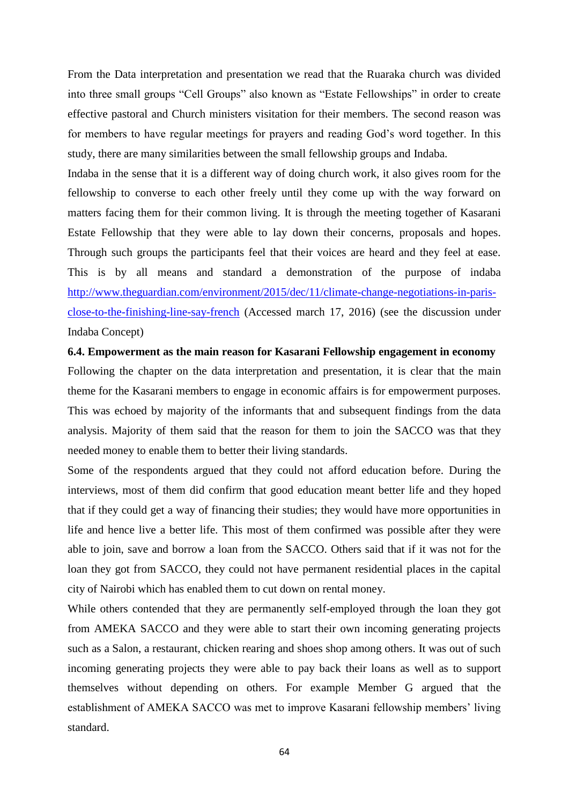From the Data interpretation and presentation we read that the Ruaraka church was divided into three small groups "Cell Groups" also known as "Estate Fellowships" in order to create effective pastoral and Church ministers visitation for their members. The second reason was for members to have regular meetings for prayers and reading God's word together. In this study, there are many similarities between the small fellowship groups and Indaba.

Indaba in the sense that it is a different way of doing church work, it also gives room for the fellowship to converse to each other freely until they come up with the way forward on matters facing them for their common living. It is through the meeting together of Kasarani Estate Fellowship that they were able to lay down their concerns, proposals and hopes. Through such groups the participants feel that their voices are heard and they feel at ease. This is by all means and standard a demonstration of the purpose of indaba [http://www.theguardian.com/environment/2015/dec/11/climate-change-negotiations-in-paris](http://www.theguardian.com/environment/2015/dec/11/climate-change-negotiations-in-paris-close-to-the-finishing-line-say-french)[close-to-the-finishing-line-say-french](http://www.theguardian.com/environment/2015/dec/11/climate-change-negotiations-in-paris-close-to-the-finishing-line-say-french) (Accessed march 17, 2016) (see the discussion under Indaba Concept)

**6.4. Empowerment as the main reason for Kasarani Fellowship engagement in economy**  Following the chapter on the data interpretation and presentation, it is clear that the main theme for the Kasarani members to engage in economic affairs is for empowerment purposes. This was echoed by majority of the informants that and subsequent findings from the data analysis. Majority of them said that the reason for them to join the SACCO was that they needed money to enable them to better their living standards.

Some of the respondents argued that they could not afford education before. During the interviews, most of them did confirm that good education meant better life and they hoped that if they could get a way of financing their studies; they would have more opportunities in life and hence live a better life. This most of them confirmed was possible after they were able to join, save and borrow a loan from the SACCO. Others said that if it was not for the loan they got from SACCO, they could not have permanent residential places in the capital city of Nairobi which has enabled them to cut down on rental money.

While others contended that they are permanently self-employed through the loan they got from AMEKA SACCO and they were able to start their own incoming generating projects such as a Salon, a restaurant, chicken rearing and shoes shop among others. It was out of such incoming generating projects they were able to pay back their loans as well as to support themselves without depending on others. For example Member G argued that the establishment of AMEKA SACCO was met to improve Kasarani fellowship members' living standard.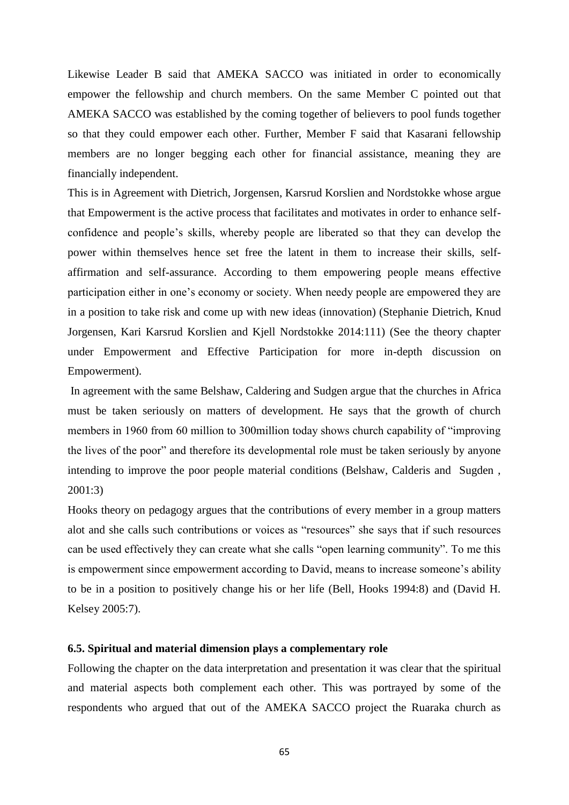Likewise Leader B said that AMEKA SACCO was initiated in order to economically empower the fellowship and church members. On the same Member C pointed out that AMEKA SACCO was established by the coming together of believers to pool funds together so that they could empower each other. Further, Member F said that Kasarani fellowship members are no longer begging each other for financial assistance, meaning they are financially independent.

This is in Agreement with Dietrich, Jorgensen, Karsrud Korslien and Nordstokke whose argue that Empowerment is the active process that facilitates and motivates in order to enhance selfconfidence and people's skills, whereby people are liberated so that they can develop the power within themselves hence set free the latent in them to increase their skills, selfaffirmation and self-assurance. According to them empowering people means effective participation either in one's economy or society. When needy people are empowered they are in a position to take risk and come up with new ideas (innovation) (Stephanie Dietrich, Knud Jorgensen, Kari Karsrud Korslien and Kjell Nordstokke 2014:111) (See the theory chapter under Empowerment and Effective Participation for more in-depth discussion on Empowerment).

In agreement with the same Belshaw, Caldering and Sudgen argue that the churches in Africa must be taken seriously on matters of development. He says that the growth of church members in 1960 from 60 million to 300million today shows church capability of "improving the lives of the poor" and therefore its developmental role must be taken seriously by anyone intending to improve the poor people material conditions (Belshaw, Calderis and Sugden , 2001:3)

Hooks theory on pedagogy argues that the contributions of every member in a group matters alot and she calls such contributions or voices as "resources" she says that if such resources can be used effectively they can create what she calls "open learning community". To me this is empowerment since empowerment according to David, means to increase someone's ability to be in a position to positively change his or her life (Bell, Hooks 1994:8) and (David H. Kelsey 2005:7).

## **6.5. Spiritual and material dimension plays a complementary role**

Following the chapter on the data interpretation and presentation it was clear that the spiritual and material aspects both complement each other. This was portrayed by some of the respondents who argued that out of the AMEKA SACCO project the Ruaraka church as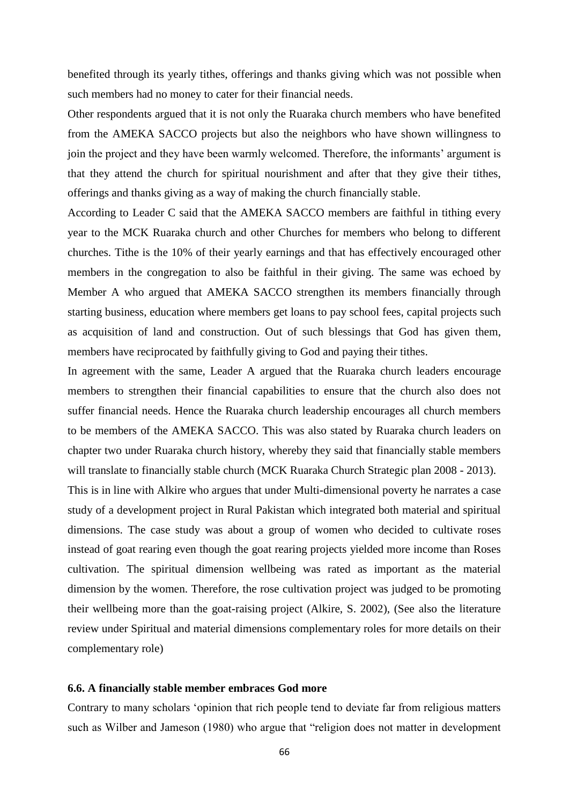benefited through its yearly tithes, offerings and thanks giving which was not possible when such members had no money to cater for their financial needs.

Other respondents argued that it is not only the Ruaraka church members who have benefited from the AMEKA SACCO projects but also the neighbors who have shown willingness to join the project and they have been warmly welcomed. Therefore, the informants' argument is that they attend the church for spiritual nourishment and after that they give their tithes, offerings and thanks giving as a way of making the church financially stable.

According to Leader C said that the AMEKA SACCO members are faithful in tithing every year to the MCK Ruaraka church and other Churches for members who belong to different churches. Tithe is the 10% of their yearly earnings and that has effectively encouraged other members in the congregation to also be faithful in their giving. The same was echoed by Member A who argued that AMEKA SACCO strengthen its members financially through starting business, education where members get loans to pay school fees, capital projects such as acquisition of land and construction. Out of such blessings that God has given them, members have reciprocated by faithfully giving to God and paying their tithes.

In agreement with the same, Leader A argued that the Ruaraka church leaders encourage members to strengthen their financial capabilities to ensure that the church also does not suffer financial needs. Hence the Ruaraka church leadership encourages all church members to be members of the AMEKA SACCO. This was also stated by Ruaraka church leaders on chapter two under Ruaraka church history, whereby they said that financially stable members will translate to financially stable church (MCK Ruaraka Church Strategic plan 2008 - 2013).

This is in line with Alkire who argues that under Multi-dimensional poverty he narrates a case study of a development project in Rural Pakistan which integrated both material and spiritual dimensions. The case study was about a group of women who decided to cultivate roses instead of goat rearing even though the goat rearing projects yielded more income than Roses cultivation. The spiritual dimension wellbeing was rated as important as the material dimension by the women. Therefore, the rose cultivation project was judged to be promoting their wellbeing more than the goat-raising project (Alkire, S. 2002), (See also the literature review under Spiritual and material dimensions complementary roles for more details on their complementary role)

#### **6.6. A financially stable member embraces God more**

Contrary to many scholars 'opinion that rich people tend to deviate far from religious matters such as Wilber and Jameson (1980) who argue that "religion does not matter in development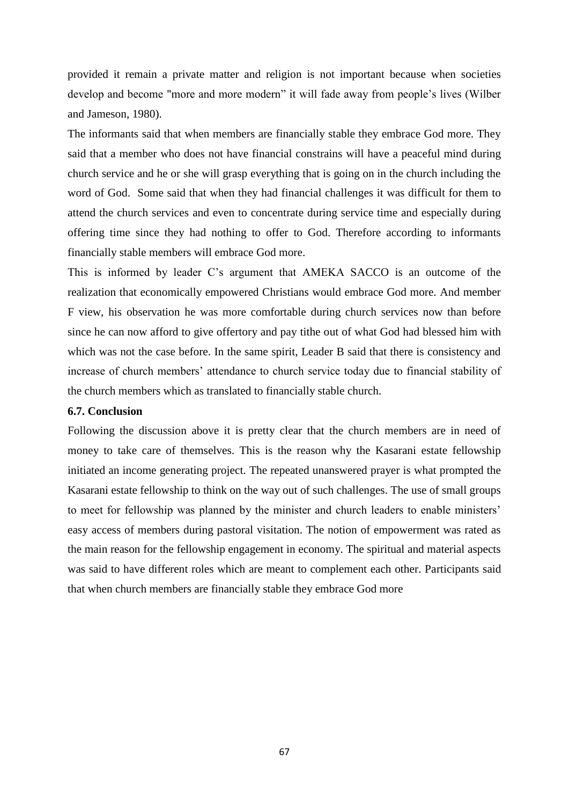provided it remain a private matter and religion is not important because when societies develop and become "more and more modern" it will fade away from people's lives (Wilber and Jameson, 1980).

The informants said that when members are financially stable they embrace God more. They said that a member who does not have financial constrains will have a peaceful mind during church service and he or she will grasp everything that is going on in the church including the word of God. Some said that when they had financial challenges it was difficult for them to attend the church services and even to concentrate during service time and especially during offering time since they had nothing to offer to God. Therefore according to informants financially stable members will embrace God more.

This is informed by leader C's argument that AMEKA SACCO is an outcome of the realization that economically empowered Christians would embrace God more. And member F view, his observation he was more comfortable during church services now than before since he can now afford to give offertory and pay tithe out of what God had blessed him with which was not the case before. In the same spirit, Leader B said that there is consistency and increase of church members' attendance to church service today due to financial stability of the church members which as translated to financially stable church.

## **6.7. Conclusion**

Following the discussion above it is pretty clear that the church members are in need of money to take care of themselves. This is the reason why the Kasarani estate fellowship initiated an income generating project. The repeated unanswered prayer is what prompted the Kasarani estate fellowship to think on the way out of such challenges. The use of small groups to meet for fellowship was planned by the minister and church leaders to enable ministers' easy access of members during pastoral visitation. The notion of empowerment was rated as the main reason for the fellowship engagement in economy. The spiritual and material aspects was said to have different roles which are meant to complement each other. Participants said that when church members are financially stable they embrace God more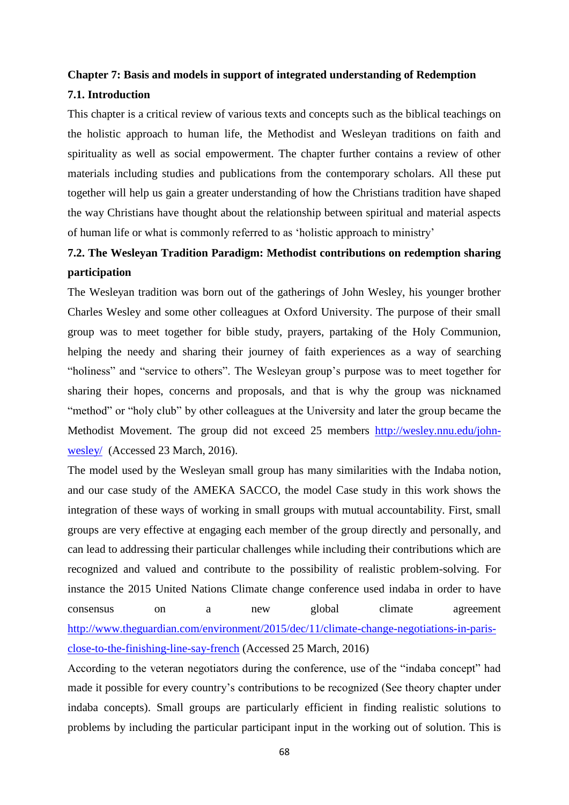# **Chapter 7: Basis and models in support of integrated understanding of Redemption**

# **7.1. Introduction**

This chapter is a critical review of various texts and concepts such as the biblical teachings on the holistic approach to human life, the Methodist and Wesleyan traditions on faith and spirituality as well as social empowerment. The chapter further contains a review of other materials including studies and publications from the contemporary scholars. All these put together will help us gain a greater understanding of how the Christians tradition have shaped the way Christians have thought about the relationship between spiritual and material aspects of human life or what is commonly referred to as 'holistic approach to ministry'

# **7.2. The Wesleyan Tradition Paradigm: Methodist contributions on redemption sharing participation**

The Wesleyan tradition was born out of the gatherings of John Wesley, his younger brother Charles Wesley and some other colleagues at Oxford University. The purpose of their small group was to meet together for bible study, prayers, partaking of the Holy Communion, helping the needy and sharing their journey of faith experiences as a way of searching "holiness" and "service to others". The Wesleyan group's purpose was to meet together for sharing their hopes, concerns and proposals, and that is why the group was nicknamed "method" or "holy club" by other colleagues at the University and later the group became the Methodist Movement. The group did not exceed 25 members [http://wesley.nnu.edu/john](http://wesley.nnu.edu/john-wesley/)[wesley/](http://wesley.nnu.edu/john-wesley/) (Accessed 23 March, 2016).

The model used by the Wesleyan small group has many similarities with the Indaba notion, and our case study of the AMEKA SACCO, the model Case study in this work shows the integration of these ways of working in small groups with mutual accountability. First, small groups are very effective at engaging each member of the group directly and personally, and can lead to addressing their particular challenges while including their contributions which are recognized and valued and contribute to the possibility of realistic problem-solving. For instance the 2015 United Nations Climate change conference used indaba in order to have consensus on a new global climate agreement [http://www.theguardian.com/environment/2015/dec/11/climate-change-negotiations-in-paris](http://www.theguardian.com/environment/2015/dec/11/climate-change-negotiations-in-paris-close-to-the-finishing-line-say-french)[close-to-the-finishing-line-say-french](http://www.theguardian.com/environment/2015/dec/11/climate-change-negotiations-in-paris-close-to-the-finishing-line-say-french) (Accessed 25 March, 2016)

According to the veteran negotiators during the conference, use of the "indaba concept" had made it possible for every country's contributions to be recognized (See theory chapter under indaba concepts). Small groups are particularly efficient in finding realistic solutions to problems by including the particular participant input in the working out of solution. This is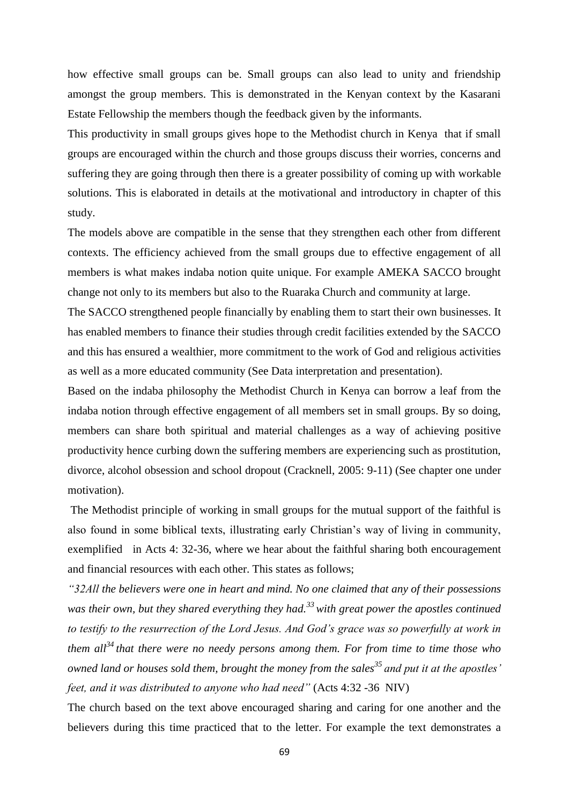how effective small groups can be. Small groups can also lead to unity and friendship amongst the group members. This is demonstrated in the Kenyan context by the Kasarani Estate Fellowship the members though the feedback given by the informants.

This productivity in small groups gives hope to the Methodist church in Kenya that if small groups are encouraged within the church and those groups discuss their worries, concerns and suffering they are going through then there is a greater possibility of coming up with workable solutions. This is elaborated in details at the motivational and introductory in chapter of this study.

The models above are compatible in the sense that they strengthen each other from different contexts. The efficiency achieved from the small groups due to effective engagement of all members is what makes indaba notion quite unique. For example AMEKA SACCO brought change not only to its members but also to the Ruaraka Church and community at large.

The SACCO strengthened people financially by enabling them to start their own businesses. It has enabled members to finance their studies through credit facilities extended by the SACCO and this has ensured a wealthier, more commitment to the work of God and religious activities as well as a more educated community (See Data interpretation and presentation).

Based on the indaba philosophy the Methodist Church in Kenya can borrow a leaf from the indaba notion through effective engagement of all members set in small groups. By so doing, members can share both spiritual and material challenges as a way of achieving positive productivity hence curbing down the suffering members are experiencing such as prostitution, divorce, alcohol obsession and school dropout (Cracknell, 2005: 9-11) (See chapter one under motivation).

The Methodist principle of working in small groups for the mutual support of the faithful is also found in some biblical texts, illustrating early Christian's way of living in community, exemplified in Acts 4: 32-36, where we hear about the faithful sharing both encouragement and financial resources with each other. This states as follows;

*"32All the believers were one in heart and mind. No one claimed that any of their possessions was their own, but they shared everything they had.<sup>33</sup>with great power the apostles continued to testify to the resurrection of the Lord Jesus. And God's grace was so powerfully at work in them all<sup>34</sup> that there were no needy persons among them. For from time to time those who owned land or houses sold them, brought the money from the sales<sup>35</sup> and put it at the apostles' feet, and it was distributed to anyone who had need"* (Acts 4:32 -36 NIV)

The church based on the text above encouraged sharing and caring for one another and the believers during this time practiced that to the letter. For example the text demonstrates a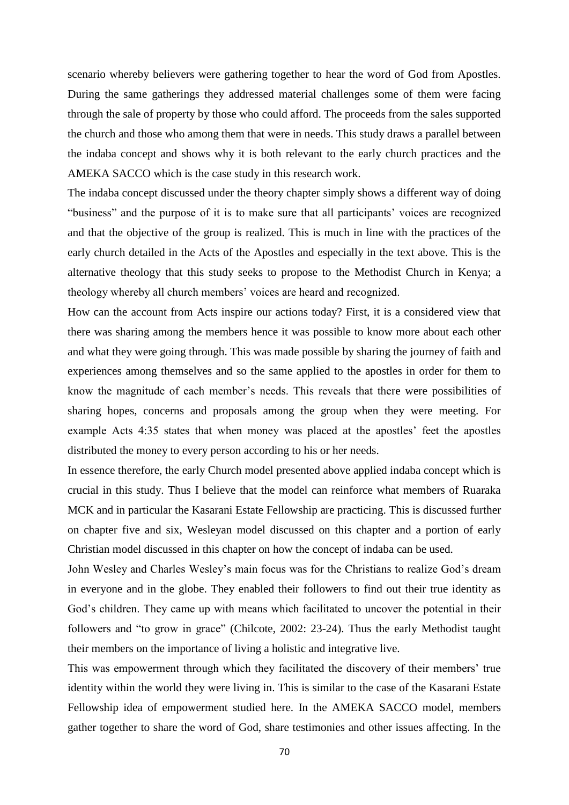scenario whereby believers were gathering together to hear the word of God from Apostles. During the same gatherings they addressed material challenges some of them were facing through the sale of property by those who could afford. The proceeds from the sales supported the church and those who among them that were in needs. This study draws a parallel between the indaba concept and shows why it is both relevant to the early church practices and the AMEKA SACCO which is the case study in this research work.

The indaba concept discussed under the theory chapter simply shows a different way of doing "business" and the purpose of it is to make sure that all participants' voices are recognized and that the objective of the group is realized. This is much in line with the practices of the early church detailed in the Acts of the Apostles and especially in the text above. This is the alternative theology that this study seeks to propose to the Methodist Church in Kenya; a theology whereby all church members' voices are heard and recognized.

How can the account from Acts inspire our actions today? First, it is a considered view that there was sharing among the members hence it was possible to know more about each other and what they were going through. This was made possible by sharing the journey of faith and experiences among themselves and so the same applied to the apostles in order for them to know the magnitude of each member's needs. This reveals that there were possibilities of sharing hopes, concerns and proposals among the group when they were meeting. For example Acts 4:35 states that when money was placed at the apostles' feet the apostles distributed the money to every person according to his or her needs.

In essence therefore, the early Church model presented above applied indaba concept which is crucial in this study. Thus I believe that the model can reinforce what members of Ruaraka MCK and in particular the Kasarani Estate Fellowship are practicing. This is discussed further on chapter five and six, Wesleyan model discussed on this chapter and a portion of early Christian model discussed in this chapter on how the concept of indaba can be used.

John Wesley and Charles Wesley's main focus was for the Christians to realize God's dream in everyone and in the globe. They enabled their followers to find out their true identity as God's children. They came up with means which facilitated to uncover the potential in their followers and "to grow in grace" (Chilcote, 2002: 23-24). Thus the early Methodist taught their members on the importance of living a holistic and integrative live.

This was empowerment through which they facilitated the discovery of their members' true identity within the world they were living in. This is similar to the case of the Kasarani Estate Fellowship idea of empowerment studied here. In the AMEKA SACCO model, members gather together to share the word of God, share testimonies and other issues affecting. In the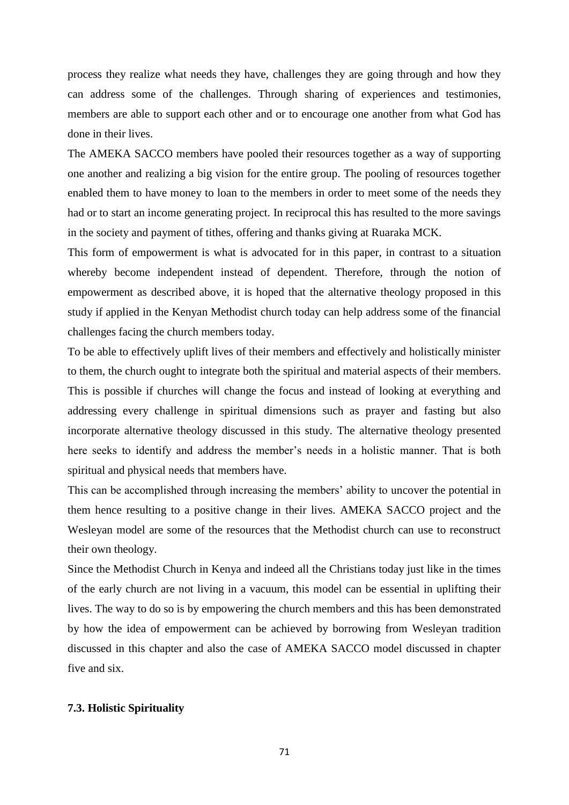process they realize what needs they have, challenges they are going through and how they can address some of the challenges. Through sharing of experiences and testimonies, members are able to support each other and or to encourage one another from what God has done in their lives.

The AMEKA SACCO members have pooled their resources together as a way of supporting one another and realizing a big vision for the entire group. The pooling of resources together enabled them to have money to loan to the members in order to meet some of the needs they had or to start an income generating project. In reciprocal this has resulted to the more savings in the society and payment of tithes, offering and thanks giving at Ruaraka MCK.

This form of empowerment is what is advocated for in this paper, in contrast to a situation whereby become independent instead of dependent. Therefore, through the notion of empowerment as described above, it is hoped that the alternative theology proposed in this study if applied in the Kenyan Methodist church today can help address some of the financial challenges facing the church members today.

To be able to effectively uplift lives of their members and effectively and holistically minister to them, the church ought to integrate both the spiritual and material aspects of their members. This is possible if churches will change the focus and instead of looking at everything and addressing every challenge in spiritual dimensions such as prayer and fasting but also incorporate alternative theology discussed in this study. The alternative theology presented here seeks to identify and address the member's needs in a holistic manner. That is both spiritual and physical needs that members have.

This can be accomplished through increasing the members' ability to uncover the potential in them hence resulting to a positive change in their lives. AMEKA SACCO project and the Wesleyan model are some of the resources that the Methodist church can use to reconstruct their own theology.

Since the Methodist Church in Kenya and indeed all the Christians today just like in the times of the early church are not living in a vacuum, this model can be essential in uplifting their lives. The way to do so is by empowering the church members and this has been demonstrated by how the idea of empowerment can be achieved by borrowing from Wesleyan tradition discussed in this chapter and also the case of AMEKA SACCO model discussed in chapter five and six.

## **7.3. Holistic Spirituality**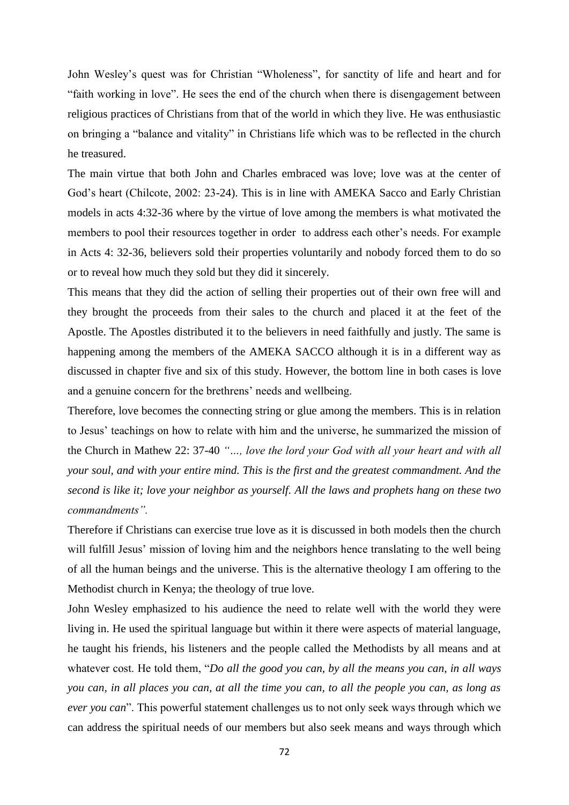John Wesley's quest was for Christian "Wholeness", for sanctity of life and heart and for "faith working in love". He sees the end of the church when there is disengagement between religious practices of Christians from that of the world in which they live. He was enthusiastic on bringing a "balance and vitality" in Christians life which was to be reflected in the church he treasured.

The main virtue that both John and Charles embraced was love; love was at the center of God's heart (Chilcote, 2002: 23-24). This is in line with AMEKA Sacco and Early Christian models in acts 4:32-36 where by the virtue of love among the members is what motivated the members to pool their resources together in order to address each other's needs. For example in Acts 4: 32-36, believers sold their properties voluntarily and nobody forced them to do so or to reveal how much they sold but they did it sincerely.

This means that they did the action of selling their properties out of their own free will and they brought the proceeds from their sales to the church and placed it at the feet of the Apostle. The Apostles distributed it to the believers in need faithfully and justly. The same is happening among the members of the AMEKA SACCO although it is in a different way as discussed in chapter five and six of this study. However, the bottom line in both cases is love and a genuine concern for the brethrens' needs and wellbeing.

Therefore, love becomes the connecting string or glue among the members. This is in relation to Jesus' teachings on how to relate with him and the universe, he summarized the mission of the Church in Mathew 22: 37-40 *"…, love the lord your God with all your heart and with all your soul, and with your entire mind. This is the first and the greatest commandment. And the second is like it; love your neighbor as yourself. All the laws and prophets hang on these two commandments".*

Therefore if Christians can exercise true love as it is discussed in both models then the church will fulfill Jesus' mission of loving him and the neighbors hence translating to the well being of all the human beings and the universe. This is the alternative theology I am offering to the Methodist church in Kenya; the theology of true love.

John Wesley emphasized to his audience the need to relate well with the world they were living in. He used the spiritual language but within it there were aspects of material language, he taught his friends, his listeners and the people called the Methodists by all means and at whatever cost. He told them, "*Do all the good you can, by all the means you can, in all ways you can, in all places you can, at all the time you can, to all the people you can, as long as ever you can*". This powerful statement challenges us to not only seek ways through which we can address the spiritual needs of our members but also seek means and ways through which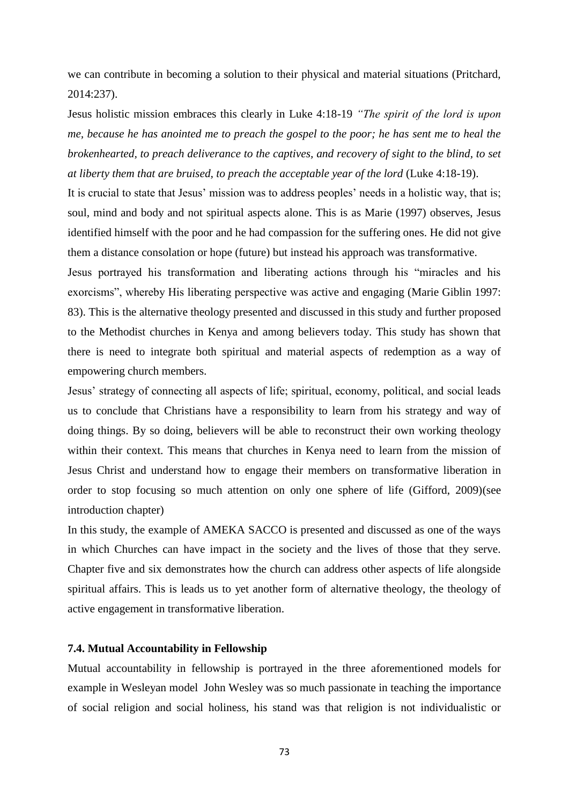we can contribute in becoming a solution to their physical and material situations (Pritchard, 2014:237).

Jesus holistic mission embraces this clearly in Luke 4:18-19 *"The spirit of the lord is upon me, because he has anointed me to preach the gospel to the poor; he has sent me to heal the brokenhearted, to preach deliverance to the captives, and recovery of sight to the blind, to set at liberty them that are bruised, to preach the acceptable year of the lord* (Luke 4:18-19).

It is crucial to state that Jesus' mission was to address peoples' needs in a holistic way, that is; soul, mind and body and not spiritual aspects alone. This is as Marie (1997) observes, Jesus identified himself with the poor and he had compassion for the suffering ones. He did not give them a distance consolation or hope (future) but instead his approach was transformative.

Jesus portrayed his transformation and liberating actions through his "miracles and his exorcisms", whereby His liberating perspective was active and engaging (Marie Giblin 1997: 83). This is the alternative theology presented and discussed in this study and further proposed to the Methodist churches in Kenya and among believers today. This study has shown that there is need to integrate both spiritual and material aspects of redemption as a way of empowering church members.

Jesus' strategy of connecting all aspects of life; spiritual, economy, political, and social leads us to conclude that Christians have a responsibility to learn from his strategy and way of doing things. By so doing, believers will be able to reconstruct their own working theology within their context. This means that churches in Kenya need to learn from the mission of Jesus Christ and understand how to engage their members on transformative liberation in order to stop focusing so much attention on only one sphere of life (Gifford, 2009)(see introduction chapter)

In this study, the example of AMEKA SACCO is presented and discussed as one of the ways in which Churches can have impact in the society and the lives of those that they serve. Chapter five and six demonstrates how the church can address other aspects of life alongside spiritual affairs. This is leads us to yet another form of alternative theology, the theology of active engagement in transformative liberation.

## **7.4. Mutual Accountability in Fellowship**

Mutual accountability in fellowship is portrayed in the three aforementioned models for example in Wesleyan model John Wesley was so much passionate in teaching the importance of social religion and social holiness, his stand was that religion is not individualistic or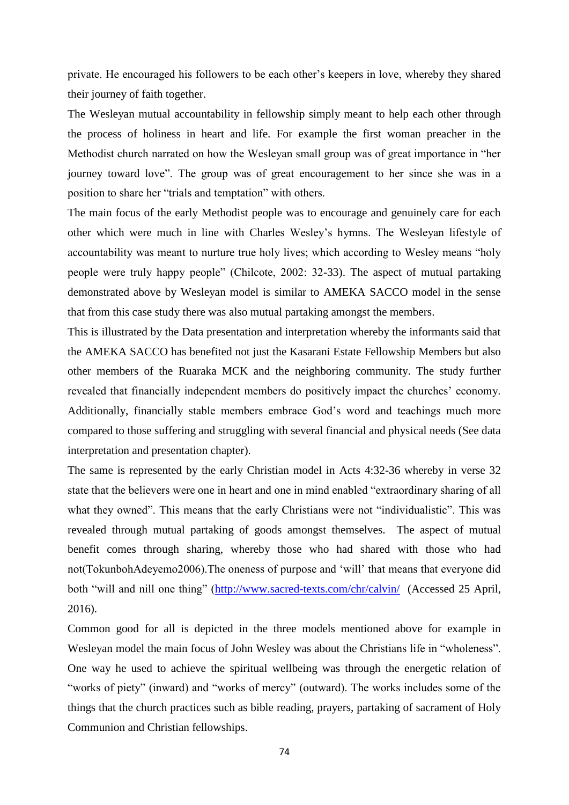private. He encouraged his followers to be each other's keepers in love, whereby they shared their journey of faith together.

The Wesleyan mutual accountability in fellowship simply meant to help each other through the process of holiness in heart and life. For example the first woman preacher in the Methodist church narrated on how the Wesleyan small group was of great importance in "her journey toward love". The group was of great encouragement to her since she was in a position to share her "trials and temptation" with others.

The main focus of the early Methodist people was to encourage and genuinely care for each other which were much in line with Charles Wesley's hymns. The Wesleyan lifestyle of accountability was meant to nurture true holy lives; which according to Wesley means "holy people were truly happy people" (Chilcote, 2002: 32-33). The aspect of mutual partaking demonstrated above by Wesleyan model is similar to AMEKA SACCO model in the sense that from this case study there was also mutual partaking amongst the members.

This is illustrated by the Data presentation and interpretation whereby the informants said that the AMEKA SACCO has benefited not just the Kasarani Estate Fellowship Members but also other members of the Ruaraka MCK and the neighboring community. The study further revealed that financially independent members do positively impact the churches' economy. Additionally, financially stable members embrace God's word and teachings much more compared to those suffering and struggling with several financial and physical needs (See data interpretation and presentation chapter).

The same is represented by the early Christian model in Acts 4:32-36 whereby in verse 32 state that the believers were one in heart and one in mind enabled "extraordinary sharing of all what they owned". This means that the early Christians were not "individualistic". This was revealed through mutual partaking of goods amongst themselves. The aspect of mutual benefit comes through sharing, whereby those who had shared with those who had not(TokunbohAdeyemo2006).The oneness of purpose and 'will' that means that everyone did both "will and nill one thing" [\(http://www.sacred-texts.com/chr/calvin/](http://www.sacred-texts.com/chr/calvin/) (Accessed 25 April, 2016).

Common good for all is depicted in the three models mentioned above for example in Wesleyan model the main focus of John Wesley was about the Christians life in "wholeness". One way he used to achieve the spiritual wellbeing was through the energetic relation of "works of piety" (inward) and "works of mercy" (outward). The works includes some of the things that the church practices such as bible reading, prayers, partaking of sacrament of Holy Communion and Christian fellowships.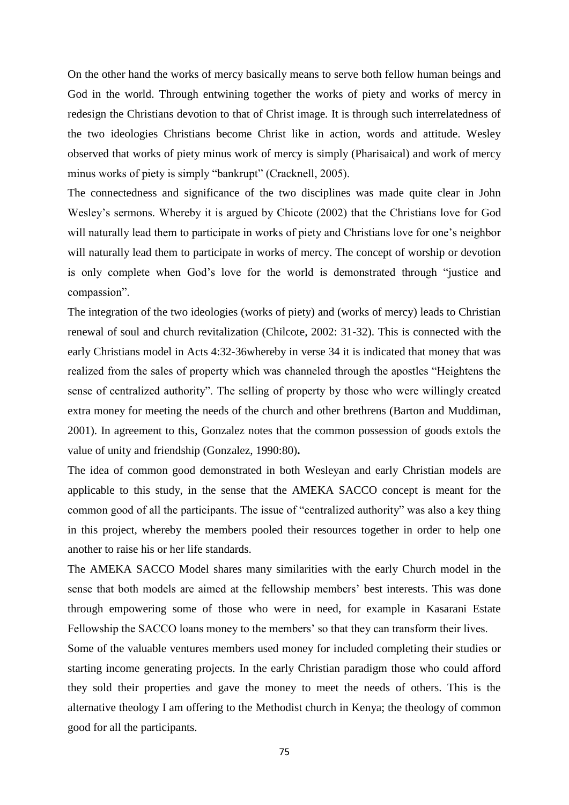On the other hand the works of mercy basically means to serve both fellow human beings and God in the world. Through entwining together the works of piety and works of mercy in redesign the Christians devotion to that of Christ image. It is through such interrelatedness of the two ideologies Christians become Christ like in action, words and attitude. Wesley observed that works of piety minus work of mercy is simply (Pharisaical) and work of mercy minus works of piety is simply "bankrupt" (Cracknell, 2005).

The connectedness and significance of the two disciplines was made quite clear in John Wesley's sermons. Whereby it is argued by Chicote (2002) that the Christians love for God will naturally lead them to participate in works of piety and Christians love for one's neighbor will naturally lead them to participate in works of mercy. The concept of worship or devotion is only complete when God's love for the world is demonstrated through "justice and compassion".

The integration of the two ideologies (works of piety) and (works of mercy) leads to Christian renewal of soul and church revitalization (Chilcote, 2002: 31-32). This is connected with the early Christians model in Acts 4:32-36whereby in verse 34 it is indicated that money that was realized from the sales of property which was channeled through the apostles "Heightens the sense of centralized authority". The selling of property by those who were willingly created extra money for meeting the needs of the church and other brethrens (Barton and Muddiman, 2001). In agreement to this, Gonzalez notes that the common possession of goods extols the value of unity and friendship (Gonzalez, 1990:80)**.**

The idea of common good demonstrated in both Wesleyan and early Christian models are applicable to this study, in the sense that the AMEKA SACCO concept is meant for the common good of all the participants. The issue of "centralized authority" was also a key thing in this project, whereby the members pooled their resources together in order to help one another to raise his or her life standards.

The AMEKA SACCO Model shares many similarities with the early Church model in the sense that both models are aimed at the fellowship members' best interests. This was done through empowering some of those who were in need, for example in Kasarani Estate Fellowship the SACCO loans money to the members' so that they can transform their lives.

Some of the valuable ventures members used money for included completing their studies or starting income generating projects. In the early Christian paradigm those who could afford they sold their properties and gave the money to meet the needs of others. This is the alternative theology I am offering to the Methodist church in Kenya; the theology of common good for all the participants.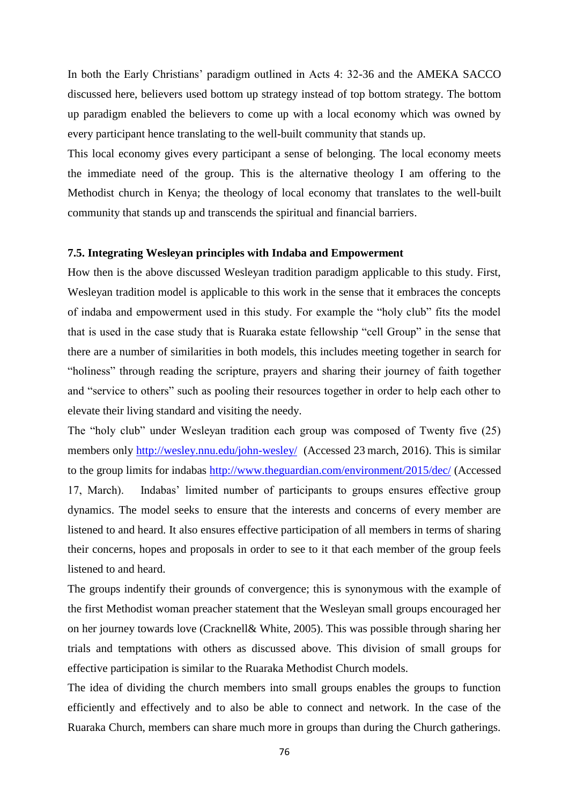In both the Early Christians' paradigm outlined in Acts 4: 32-36 and the AMEKA SACCO discussed here, believers used bottom up strategy instead of top bottom strategy. The bottom up paradigm enabled the believers to come up with a local economy which was owned by every participant hence translating to the well-built community that stands up.

This local economy gives every participant a sense of belonging. The local economy meets the immediate need of the group. This is the alternative theology I am offering to the Methodist church in Kenya; the theology of local economy that translates to the well-built community that stands up and transcends the spiritual and financial barriers.

## **7.5. Integrating Wesleyan principles with Indaba and Empowerment**

How then is the above discussed Wesleyan tradition paradigm applicable to this study. First, Wesleyan tradition model is applicable to this work in the sense that it embraces the concepts of indaba and empowerment used in this study. For example the "holy club" fits the model that is used in the case study that is Ruaraka estate fellowship "cell Group" in the sense that there are a number of similarities in both models, this includes meeting together in search for "holiness" through reading the scripture, prayers and sharing their journey of faith together and "service to others" such as pooling their resources together in order to help each other to elevate their living standard and visiting the needy.

The "holy club" under Wesleyan tradition each group was composed of Twenty five (25) members only<http://wesley.nnu.edu/john-wesley/>(Accessed 23 march, 2016). This is similar to the group limits for indabas http://www.theguardian.com/environment/2015/dec/ (Accessed 17, March). Indabas' limited number of participants to groups ensures effective group dynamics. The model seeks to ensure that the interests and concerns of every member are listened to and heard. It also ensures effective participation of all members in terms of sharing their concerns, hopes and proposals in order to see to it that each member of the group feels listened to and heard.

The groups indentify their grounds of convergence; this is synonymous with the example of the first Methodist woman preacher statement that the Wesleyan small groups encouraged her on her journey towards love (Cracknell& White, 2005). This was possible through sharing her trials and temptations with others as discussed above. This division of small groups for effective participation is similar to the Ruaraka Methodist Church models.

The idea of dividing the church members into small groups enables the groups to function efficiently and effectively and to also be able to connect and network. In the case of the Ruaraka Church, members can share much more in groups than during the Church gatherings.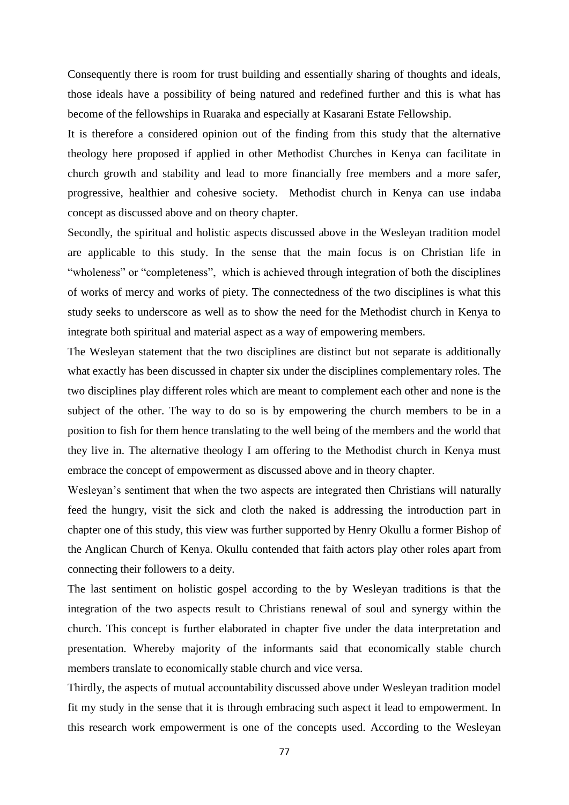Consequently there is room for trust building and essentially sharing of thoughts and ideals, those ideals have a possibility of being natured and redefined further and this is what has become of the fellowships in Ruaraka and especially at Kasarani Estate Fellowship.

It is therefore a considered opinion out of the finding from this study that the alternative theology here proposed if applied in other Methodist Churches in Kenya can facilitate in church growth and stability and lead to more financially free members and a more safer, progressive, healthier and cohesive society. Methodist church in Kenya can use indaba concept as discussed above and on theory chapter.

Secondly, the spiritual and holistic aspects discussed above in the Wesleyan tradition model are applicable to this study. In the sense that the main focus is on Christian life in "wholeness" or "completeness", which is achieved through integration of both the disciplines of works of mercy and works of piety. The connectedness of the two disciplines is what this study seeks to underscore as well as to show the need for the Methodist church in Kenya to integrate both spiritual and material aspect as a way of empowering members.

The Wesleyan statement that the two disciplines are distinct but not separate is additionally what exactly has been discussed in chapter six under the disciplines complementary roles. The two disciplines play different roles which are meant to complement each other and none is the subject of the other. The way to do so is by empowering the church members to be in a position to fish for them hence translating to the well being of the members and the world that they live in. The alternative theology I am offering to the Methodist church in Kenya must embrace the concept of empowerment as discussed above and in theory chapter.

Wesleyan's sentiment that when the two aspects are integrated then Christians will naturally feed the hungry, visit the sick and cloth the naked is addressing the introduction part in chapter one of this study, this view was further supported by Henry Okullu a former Bishop of the Anglican Church of Kenya. Okullu contended that faith actors play other roles apart from connecting their followers to a deity.

The last sentiment on holistic gospel according to the by Wesleyan traditions is that the integration of the two aspects result to Christians renewal of soul and synergy within the church. This concept is further elaborated in chapter five under the data interpretation and presentation. Whereby majority of the informants said that economically stable church members translate to economically stable church and vice versa.

Thirdly, the aspects of mutual accountability discussed above under Wesleyan tradition model fit my study in the sense that it is through embracing such aspect it lead to empowerment. In this research work empowerment is one of the concepts used. According to the Wesleyan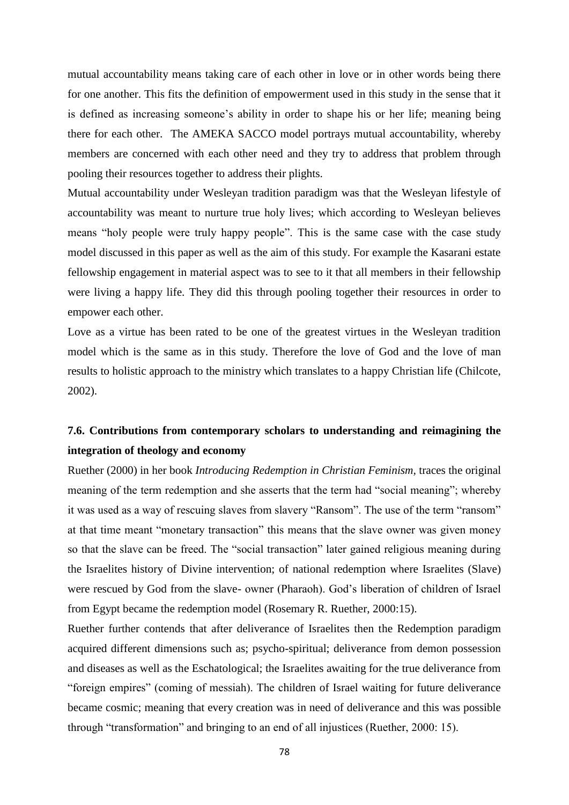mutual accountability means taking care of each other in love or in other words being there for one another. This fits the definition of empowerment used in this study in the sense that it is defined as increasing someone's ability in order to shape his or her life; meaning being there for each other. The AMEKA SACCO model portrays mutual accountability, whereby members are concerned with each other need and they try to address that problem through pooling their resources together to address their plights.

Mutual accountability under Wesleyan tradition paradigm was that the Wesleyan lifestyle of accountability was meant to nurture true holy lives; which according to Wesleyan believes means "holy people were truly happy people". This is the same case with the case study model discussed in this paper as well as the aim of this study. For example the Kasarani estate fellowship engagement in material aspect was to see to it that all members in their fellowship were living a happy life. They did this through pooling together their resources in order to empower each other.

Love as a virtue has been rated to be one of the greatest virtues in the Wesleyan tradition model which is the same as in this study. Therefore the love of God and the love of man results to holistic approach to the ministry which translates to a happy Christian life (Chilcote, 2002).

# **7.6. Contributions from contemporary scholars to understanding and reimagining the integration of theology and economy**

Ruether (2000) in her book *Introducing Redemption in Christian Feminism,* traces the original meaning of the term redemption and she asserts that the term had "social meaning"; whereby it was used as a way of rescuing slaves from slavery "Ransom". The use of the term "ransom" at that time meant "monetary transaction" this means that the slave owner was given money so that the slave can be freed. The "social transaction" later gained religious meaning during the Israelites history of Divine intervention; of national redemption where Israelites (Slave) were rescued by God from the slave- owner (Pharaoh). God's liberation of children of Israel from Egypt became the redemption model (Rosemary R. Ruether, 2000:15).

Ruether further contends that after deliverance of Israelites then the Redemption paradigm acquired different dimensions such as; psycho-spiritual; deliverance from demon possession and diseases as well as the Eschatological; the Israelites awaiting for the true deliverance from "foreign empires" (coming of messiah). The children of Israel waiting for future deliverance became cosmic; meaning that every creation was in need of deliverance and this was possible through "transformation" and bringing to an end of all injustices (Ruether, 2000: 15).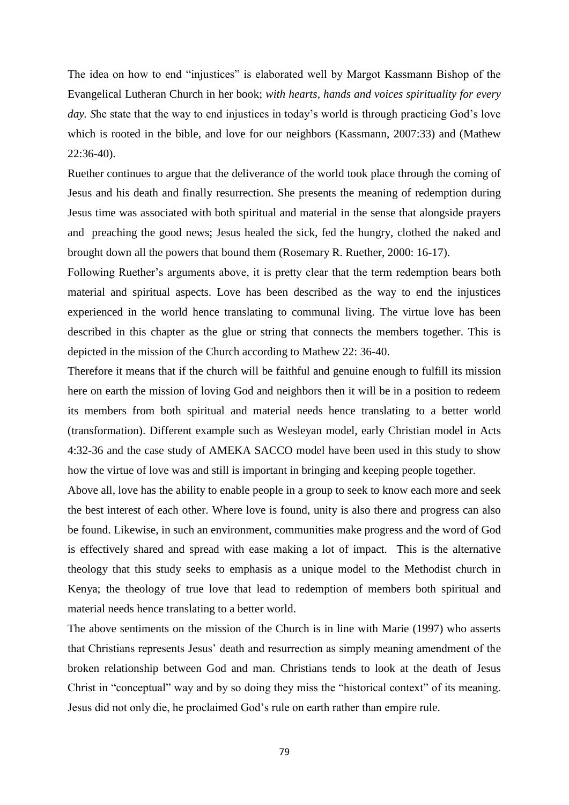The idea on how to end "injustices" is elaborated well by Margot Kassmann Bishop of the Evangelical Lutheran Church in her book; *with hearts, hands and voices spirituality for every day. S*he state that the way to end injustices in today's world is through practicing God's love which is rooted in the bible, and love for our neighbors (Kassmann, 2007:33) and (Mathew 22:36-40).

Ruether continues to argue that the deliverance of the world took place through the coming of Jesus and his death and finally resurrection. She presents the meaning of redemption during Jesus time was associated with both spiritual and material in the sense that alongside prayers and preaching the good news; Jesus healed the sick, fed the hungry, clothed the naked and brought down all the powers that bound them (Rosemary R. Ruether, 2000: 16-17).

Following Ruether's arguments above, it is pretty clear that the term redemption bears both material and spiritual aspects. Love has been described as the way to end the injustices experienced in the world hence translating to communal living. The virtue love has been described in this chapter as the glue or string that connects the members together. This is depicted in the mission of the Church according to Mathew 22: 36-40.

Therefore it means that if the church will be faithful and genuine enough to fulfill its mission here on earth the mission of loving God and neighbors then it will be in a position to redeem its members from both spiritual and material needs hence translating to a better world (transformation). Different example such as Wesleyan model, early Christian model in Acts 4:32-36 and the case study of AMEKA SACCO model have been used in this study to show how the virtue of love was and still is important in bringing and keeping people together.

Above all, love has the ability to enable people in a group to seek to know each more and seek the best interest of each other. Where love is found, unity is also there and progress can also be found. Likewise, in such an environment, communities make progress and the word of God is effectively shared and spread with ease making a lot of impact. This is the alternative theology that this study seeks to emphasis as a unique model to the Methodist church in Kenya; the theology of true love that lead to redemption of members both spiritual and material needs hence translating to a better world.

The above sentiments on the mission of the Church is in line with Marie (1997) who asserts that Christians represents Jesus' death and resurrection as simply meaning amendment of the broken relationship between God and man. Christians tends to look at the death of Jesus Christ in "conceptual" way and by so doing they miss the "historical context" of its meaning. Jesus did not only die, he proclaimed God's rule on earth rather than empire rule.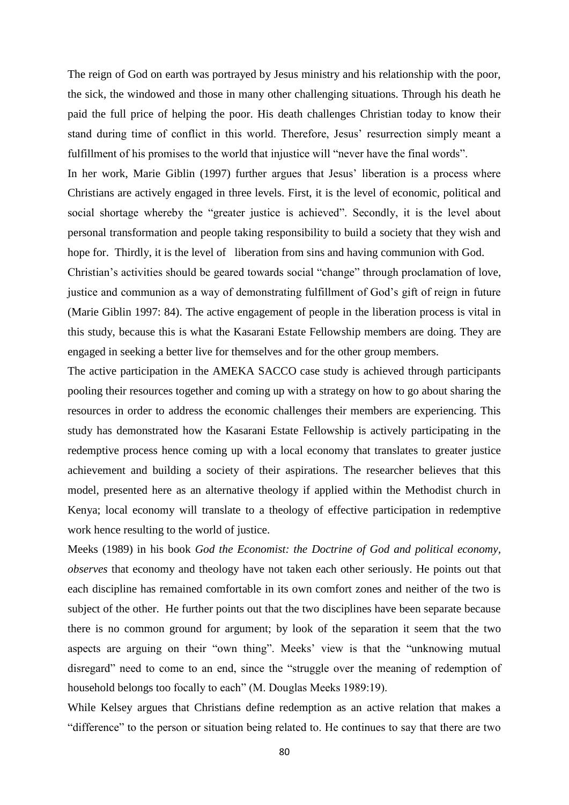The reign of God on earth was portrayed by Jesus ministry and his relationship with the poor, the sick, the windowed and those in many other challenging situations. Through his death he paid the full price of helping the poor. His death challenges Christian today to know their stand during time of conflict in this world. Therefore, Jesus' resurrection simply meant a fulfillment of his promises to the world that injustice will "never have the final words".

In her work, Marie Giblin (1997) further argues that Jesus' liberation is a process where Christians are actively engaged in three levels. First, it is the level of economic, political and social shortage whereby the "greater justice is achieved". Secondly, it is the level about personal transformation and people taking responsibility to build a society that they wish and hope for. Thirdly, it is the level of liberation from sins and having communion with God.

Christian's activities should be geared towards social "change" through proclamation of love, justice and communion as a way of demonstrating fulfillment of God's gift of reign in future (Marie Giblin 1997: 84). The active engagement of people in the liberation process is vital in this study, because this is what the Kasarani Estate Fellowship members are doing. They are engaged in seeking a better live for themselves and for the other group members.

The active participation in the AMEKA SACCO case study is achieved through participants pooling their resources together and coming up with a strategy on how to go about sharing the resources in order to address the economic challenges their members are experiencing. This study has demonstrated how the Kasarani Estate Fellowship is actively participating in the redemptive process hence coming up with a local economy that translates to greater justice achievement and building a society of their aspirations. The researcher believes that this model, presented here as an alternative theology if applied within the Methodist church in Kenya; local economy will translate to a theology of effective participation in redemptive work hence resulting to the world of justice.

Meeks (1989) in his book *God the Economist: the Doctrine of God and political economy, observes* that economy and theology have not taken each other seriously. He points out that each discipline has remained comfortable in its own comfort zones and neither of the two is subject of the other. He further points out that the two disciplines have been separate because there is no common ground for argument; by look of the separation it seem that the two aspects are arguing on their "own thing". Meeks' view is that the "unknowing mutual disregard" need to come to an end, since the "struggle over the meaning of redemption of household belongs too focally to each" (M. Douglas Meeks 1989:19).

While Kelsey argues that Christians define redemption as an active relation that makes a "difference" to the person or situation being related to. He continues to say that there are two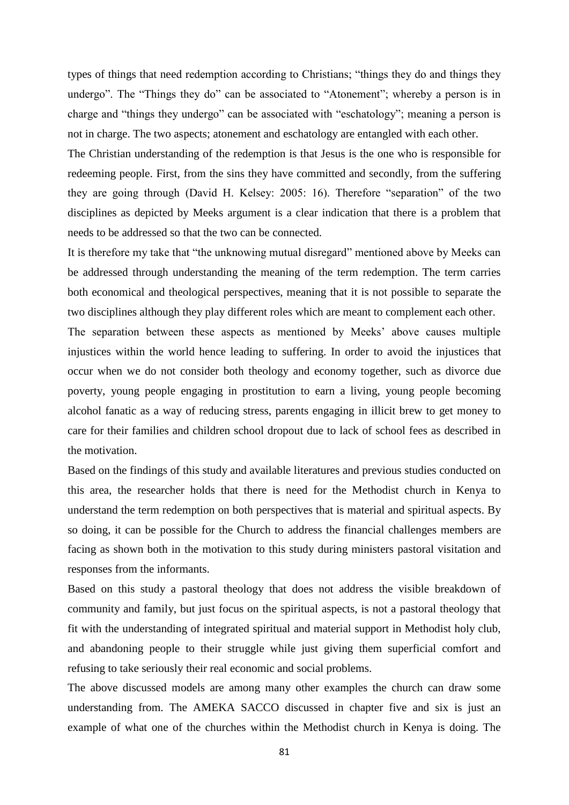types of things that need redemption according to Christians; "things they do and things they undergo". The "Things they do" can be associated to "Atonement"; whereby a person is in charge and "things they undergo" can be associated with "eschatology"; meaning a person is not in charge. The two aspects; atonement and eschatology are entangled with each other.

The Christian understanding of the redemption is that Jesus is the one who is responsible for redeeming people. First, from the sins they have committed and secondly, from the suffering they are going through (David H. Kelsey: 2005: 16). Therefore "separation" of the two disciplines as depicted by Meeks argument is a clear indication that there is a problem that needs to be addressed so that the two can be connected.

It is therefore my take that "the unknowing mutual disregard" mentioned above by Meeks can be addressed through understanding the meaning of the term redemption. The term carries both economical and theological perspectives, meaning that it is not possible to separate the two disciplines although they play different roles which are meant to complement each other.

The separation between these aspects as mentioned by Meeks' above causes multiple injustices within the world hence leading to suffering. In order to avoid the injustices that occur when we do not consider both theology and economy together, such as divorce due poverty, young people engaging in prostitution to earn a living, young people becoming alcohol fanatic as a way of reducing stress, parents engaging in illicit brew to get money to care for their families and children school dropout due to lack of school fees as described in the motivation.

Based on the findings of this study and available literatures and previous studies conducted on this area, the researcher holds that there is need for the Methodist church in Kenya to understand the term redemption on both perspectives that is material and spiritual aspects. By so doing, it can be possible for the Church to address the financial challenges members are facing as shown both in the motivation to this study during ministers pastoral visitation and responses from the informants.

Based on this study a pastoral theology that does not address the visible breakdown of community and family, but just focus on the spiritual aspects, is not a pastoral theology that fit with the understanding of integrated spiritual and material support in Methodist holy club, and abandoning people to their struggle while just giving them superficial comfort and refusing to take seriously their real economic and social problems.

The above discussed models are among many other examples the church can draw some understanding from. The AMEKA SACCO discussed in chapter five and six is just an example of what one of the churches within the Methodist church in Kenya is doing. The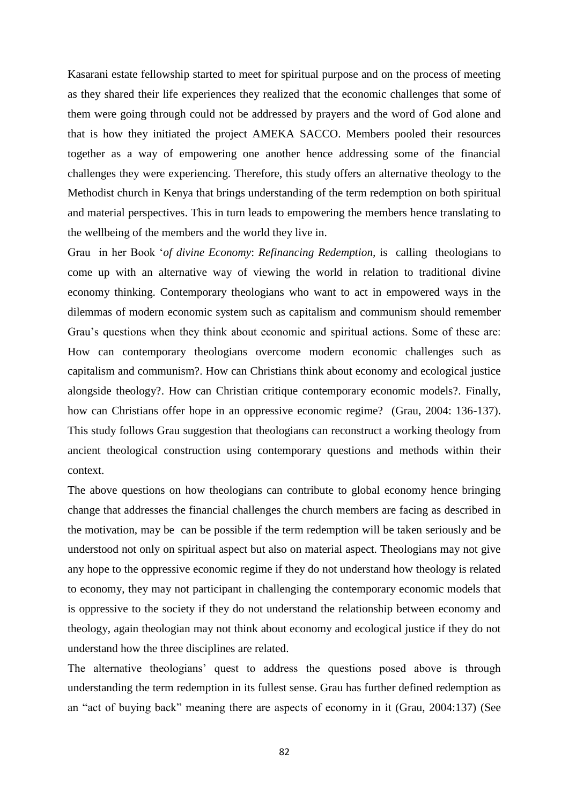Kasarani estate fellowship started to meet for spiritual purpose and on the process of meeting as they shared their life experiences they realized that the economic challenges that some of them were going through could not be addressed by prayers and the word of God alone and that is how they initiated the project AMEKA SACCO. Members pooled their resources together as a way of empowering one another hence addressing some of the financial challenges they were experiencing. Therefore, this study offers an alternative theology to the Methodist church in Kenya that brings understanding of the term redemption on both spiritual and material perspectives. This in turn leads to empowering the members hence translating to the wellbeing of the members and the world they live in.

Grau in her Book '*of divine Economy*: *Refinancing Redemption,* is calling theologians to come up with an alternative way of viewing the world in relation to traditional divine economy thinking. Contemporary theologians who want to act in empowered ways in the dilemmas of modern economic system such as capitalism and communism should remember Grau's questions when they think about economic and spiritual actions. Some of these are: How can contemporary theologians overcome modern economic challenges such as capitalism and communism?. How can Christians think about economy and ecological justice alongside theology?. How can Christian critique contemporary economic models?. Finally, how can Christians offer hope in an oppressive economic regime? (Grau, 2004: 136-137). This study follows Grau suggestion that theologians can reconstruct a working theology from ancient theological construction using contemporary questions and methods within their context.

The above questions on how theologians can contribute to global economy hence bringing change that addresses the financial challenges the church members are facing as described in the motivation, may be can be possible if the term redemption will be taken seriously and be understood not only on spiritual aspect but also on material aspect. Theologians may not give any hope to the oppressive economic regime if they do not understand how theology is related to economy, they may not participant in challenging the contemporary economic models that is oppressive to the society if they do not understand the relationship between economy and theology, again theologian may not think about economy and ecological justice if they do not understand how the three disciplines are related.

The alternative theologians' quest to address the questions posed above is through understanding the term redemption in its fullest sense. Grau has further defined redemption as an "act of buying back" meaning there are aspects of economy in it (Grau, 2004:137) (See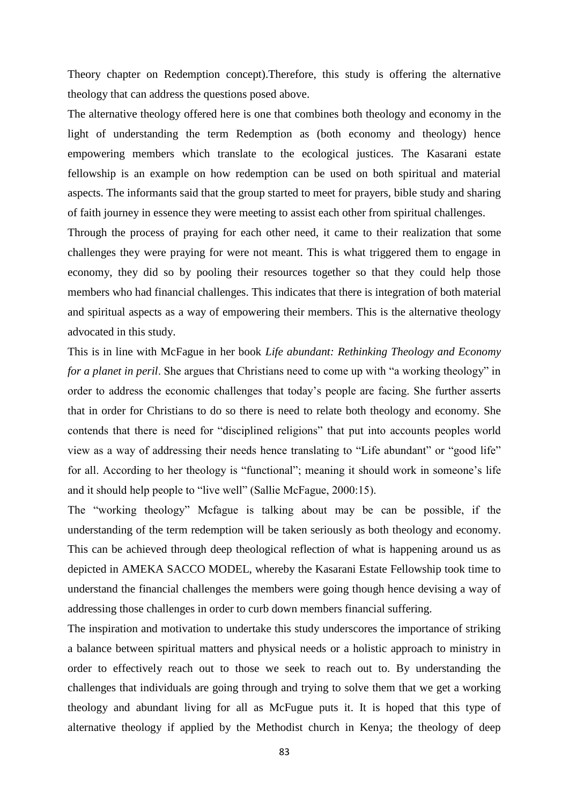Theory chapter on Redemption concept).Therefore, this study is offering the alternative theology that can address the questions posed above.

The alternative theology offered here is one that combines both theology and economy in the light of understanding the term Redemption as (both economy and theology) hence empowering members which translate to the ecological justices. The Kasarani estate fellowship is an example on how redemption can be used on both spiritual and material aspects. The informants said that the group started to meet for prayers, bible study and sharing of faith journey in essence they were meeting to assist each other from spiritual challenges.

Through the process of praying for each other need, it came to their realization that some challenges they were praying for were not meant. This is what triggered them to engage in economy, they did so by pooling their resources together so that they could help those members who had financial challenges. This indicates that there is integration of both material and spiritual aspects as a way of empowering their members. This is the alternative theology advocated in this study.

This is in line with McFague in her book *Life abundant: Rethinking Theology and Economy for a planet in peril*. She argues that Christians need to come up with "a working theology" in order to address the economic challenges that today's people are facing. She further asserts that in order for Christians to do so there is need to relate both theology and economy. She contends that there is need for "disciplined religions" that put into accounts peoples world view as a way of addressing their needs hence translating to "Life abundant" or "good life" for all. According to her theology is "functional"; meaning it should work in someone's life and it should help people to "live well" (Sallie McFague, 2000:15).

The "working theology" Mcfague is talking about may be can be possible, if the understanding of the term redemption will be taken seriously as both theology and economy. This can be achieved through deep theological reflection of what is happening around us as depicted in AMEKA SACCO MODEL, whereby the Kasarani Estate Fellowship took time to understand the financial challenges the members were going though hence devising a way of addressing those challenges in order to curb down members financial suffering.

The inspiration and motivation to undertake this study underscores the importance of striking a balance between spiritual matters and physical needs or a holistic approach to ministry in order to effectively reach out to those we seek to reach out to. By understanding the challenges that individuals are going through and trying to solve them that we get a working theology and abundant living for all as McFugue puts it. It is hoped that this type of alternative theology if applied by the Methodist church in Kenya; the theology of deep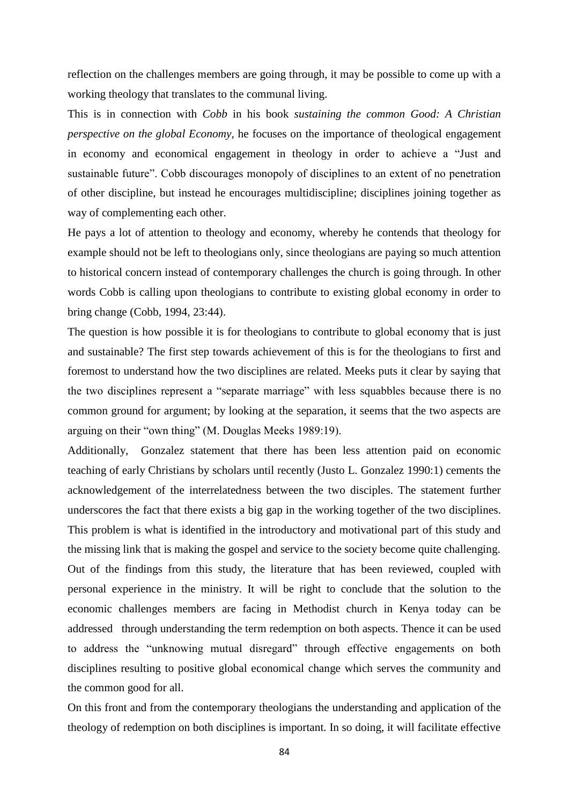reflection on the challenges members are going through, it may be possible to come up with a working theology that translates to the communal living.

This is in connection with *Cobb* in his book *sustaining the common Good: A Christian perspective on the global Economy,* he focuses on the importance of theological engagement in economy and economical engagement in theology in order to achieve a "Just and sustainable future". Cobb discourages monopoly of disciplines to an extent of no penetration of other discipline, but instead he encourages multidiscipline; disciplines joining together as way of complementing each other.

He pays a lot of attention to theology and economy, whereby he contends that theology for example should not be left to theologians only, since theologians are paying so much attention to historical concern instead of contemporary challenges the church is going through. In other words Cobb is calling upon theologians to contribute to existing global economy in order to bring change (Cobb, 1994, 23:44).

The question is how possible it is for theologians to contribute to global economy that is just and sustainable? The first step towards achievement of this is for the theologians to first and foremost to understand how the two disciplines are related. Meeks puts it clear by saying that the two disciplines represent a "separate marriage" with less squabbles because there is no common ground for argument; by looking at the separation, it seems that the two aspects are arguing on their "own thing" (M. Douglas Meeks 1989:19).

Additionally, Gonzalez statement that there has been less attention paid on economic teaching of early Christians by scholars until recently (Justo L. Gonzalez 1990:1) cements the acknowledgement of the interrelatedness between the two disciples. The statement further underscores the fact that there exists a big gap in the working together of the two disciplines. This problem is what is identified in the introductory and motivational part of this study and the missing link that is making the gospel and service to the society become quite challenging. Out of the findings from this study, the literature that has been reviewed, coupled with personal experience in the ministry. It will be right to conclude that the solution to the economic challenges members are facing in Methodist church in Kenya today can be addressed through understanding the term redemption on both aspects. Thence it can be used to address the "unknowing mutual disregard" through effective engagements on both disciplines resulting to positive global economical change which serves the community and the common good for all.

On this front and from the contemporary theologians the understanding and application of the theology of redemption on both disciplines is important. In so doing, it will facilitate effective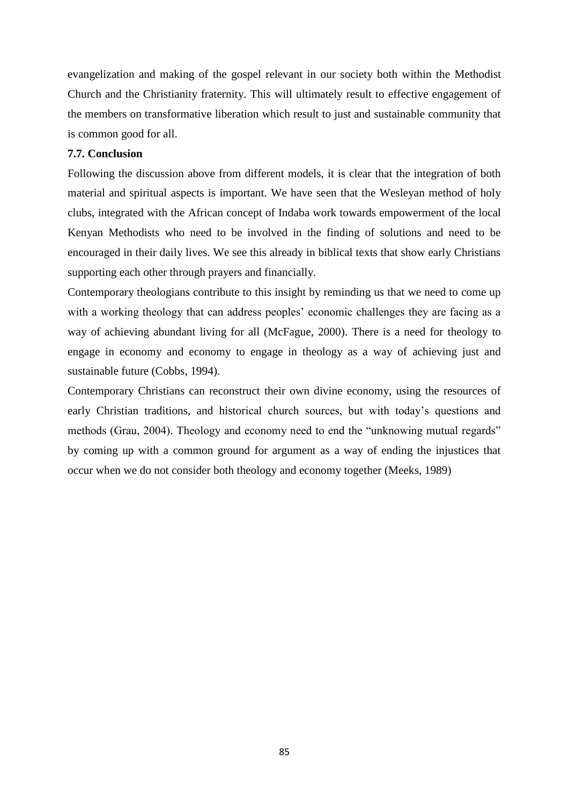evangelization and making of the gospel relevant in our society both within the Methodist Church and the Christianity fraternity. This will ultimately result to effective engagement of the members on transformative liberation which result to just and sustainable community that is common good for all.

## **7.7. Conclusion**

Following the discussion above from different models, it is clear that the integration of both material and spiritual aspects is important. We have seen that the Wesleyan method of holy clubs, integrated with the African concept of Indaba work towards empowerment of the local Kenyan Methodists who need to be involved in the finding of solutions and need to be encouraged in their daily lives. We see this already in biblical texts that show early Christians supporting each other through prayers and financially.

Contemporary theologians contribute to this insight by reminding us that we need to come up with a working theology that can address peoples' economic challenges they are facing as a way of achieving abundant living for all (McFague, 2000). There is a need for theology to engage in economy and economy to engage in theology as a way of achieving just and sustainable future (Cobbs, 1994).

Contemporary Christians can reconstruct their own divine economy, using the resources of early Christian traditions, and historical church sources, but with today's questions and methods (Grau, 2004). Theology and economy need to end the "unknowing mutual regards" by coming up with a common ground for argument as a way of ending the injustices that occur when we do not consider both theology and economy together (Meeks, 1989)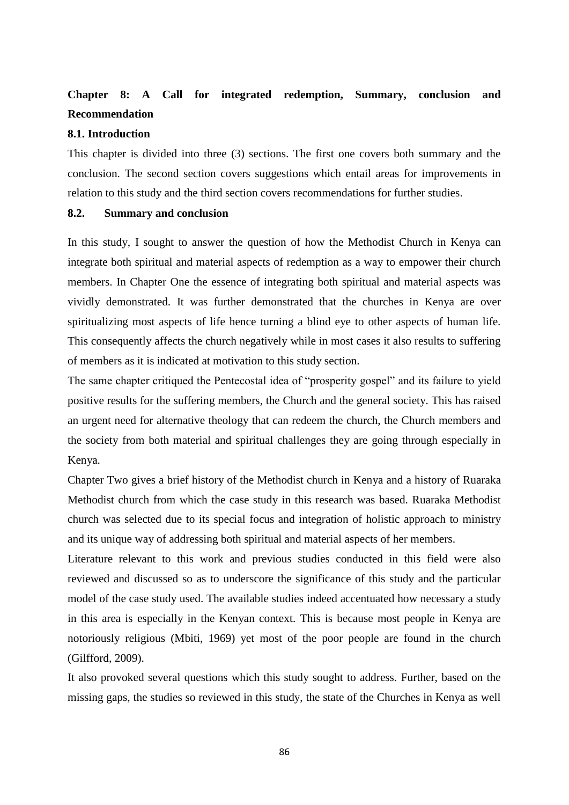# **Chapter 8: A Call for integrated redemption, Summary, conclusion and Recommendation**

## **8.1. Introduction**

This chapter is divided into three (3) sections. The first one covers both summary and the conclusion. The second section covers suggestions which entail areas for improvements in relation to this study and the third section covers recommendations for further studies.

### **8.2. Summary and conclusion**

In this study, I sought to answer the question of how the Methodist Church in Kenya can integrate both spiritual and material aspects of redemption as a way to empower their church members. In Chapter One the essence of integrating both spiritual and material aspects was vividly demonstrated. It was further demonstrated that the churches in Kenya are over spiritualizing most aspects of life hence turning a blind eye to other aspects of human life. This consequently affects the church negatively while in most cases it also results to suffering of members as it is indicated at motivation to this study section.

The same chapter critiqued the Pentecostal idea of "prosperity gospel" and its failure to yield positive results for the suffering members, the Church and the general society. This has raised an urgent need for alternative theology that can redeem the church, the Church members and the society from both material and spiritual challenges they are going through especially in Kenya.

Chapter Two gives a brief history of the Methodist church in Kenya and a history of Ruaraka Methodist church from which the case study in this research was based. Ruaraka Methodist church was selected due to its special focus and integration of holistic approach to ministry and its unique way of addressing both spiritual and material aspects of her members.

Literature relevant to this work and previous studies conducted in this field were also reviewed and discussed so as to underscore the significance of this study and the particular model of the case study used. The available studies indeed accentuated how necessary a study in this area is especially in the Kenyan context. This is because most people in Kenya are notoriously religious (Mbiti, 1969) yet most of the poor people are found in the church (Gilfford, 2009).

It also provoked several questions which this study sought to address. Further, based on the missing gaps, the studies so reviewed in this study, the state of the Churches in Kenya as well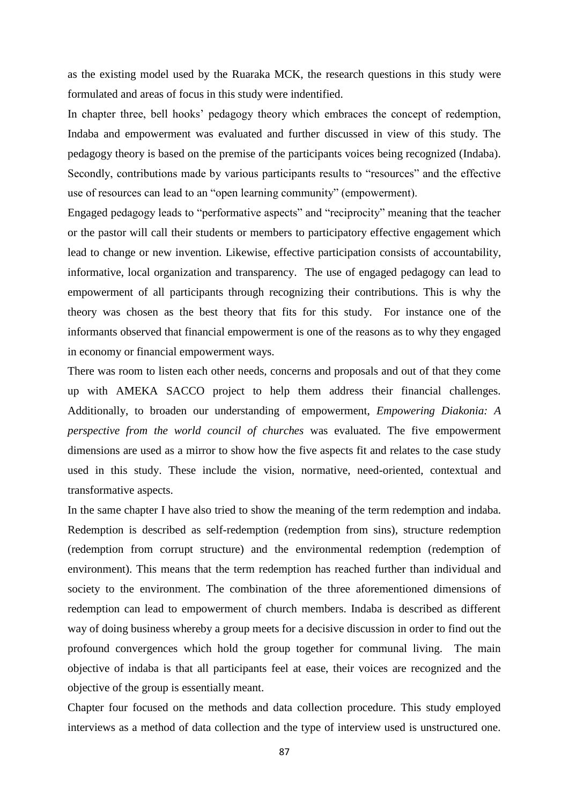as the existing model used by the Ruaraka MCK, the research questions in this study were formulated and areas of focus in this study were indentified.

In chapter three, bell hooks' pedagogy theory which embraces the concept of redemption, Indaba and empowerment was evaluated and further discussed in view of this study. The pedagogy theory is based on the premise of the participants voices being recognized (Indaba). Secondly, contributions made by various participants results to "resources" and the effective use of resources can lead to an "open learning community" (empowerment).

Engaged pedagogy leads to "performative aspects" and "reciprocity" meaning that the teacher or the pastor will call their students or members to participatory effective engagement which lead to change or new invention. Likewise, effective participation consists of accountability, informative, local organization and transparency. The use of engaged pedagogy can lead to empowerment of all participants through recognizing their contributions. This is why the theory was chosen as the best theory that fits for this study. For instance one of the informants observed that financial empowerment is one of the reasons as to why they engaged in economy or financial empowerment ways.

There was room to listen each other needs, concerns and proposals and out of that they come up with AMEKA SACCO project to help them address their financial challenges. Additionally, to broaden our understanding of empowerment, *Empowering Diakonia: A perspective from the world council of churches* was evaluated. The five empowerment dimensions are used as a mirror to show how the five aspects fit and relates to the case study used in this study. These include the vision, normative, need-oriented, contextual and transformative aspects.

In the same chapter I have also tried to show the meaning of the term redemption and indaba. Redemption is described as self-redemption (redemption from sins), structure redemption (redemption from corrupt structure) and the environmental redemption (redemption of environment). This means that the term redemption has reached further than individual and society to the environment. The combination of the three aforementioned dimensions of redemption can lead to empowerment of church members. Indaba is described as different way of doing business whereby a group meets for a decisive discussion in order to find out the profound convergences which hold the group together for communal living. The main objective of indaba is that all participants feel at ease, their voices are recognized and the objective of the group is essentially meant.

Chapter four focused on the methods and data collection procedure. This study employed interviews as a method of data collection and the type of interview used is unstructured one.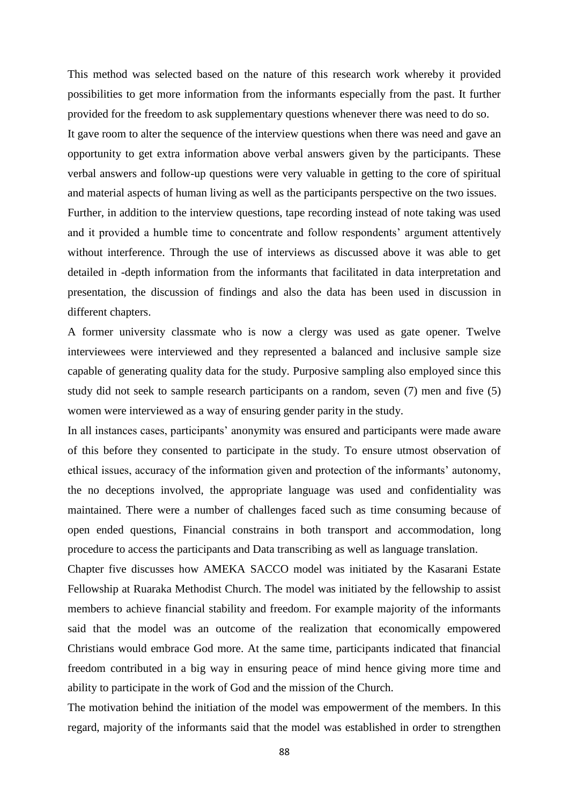This method was selected based on the nature of this research work whereby it provided possibilities to get more information from the informants especially from the past. It further provided for the freedom to ask supplementary questions whenever there was need to do so. It gave room to alter the sequence of the interview questions when there was need and gave an opportunity to get extra information above verbal answers given by the participants. These verbal answers and follow-up questions were very valuable in getting to the core of spiritual and material aspects of human living as well as the participants perspective on the two issues. Further, in addition to the interview questions, tape recording instead of note taking was used and it provided a humble time to concentrate and follow respondents' argument attentively without interference. Through the use of interviews as discussed above it was able to get detailed in -depth information from the informants that facilitated in data interpretation and presentation, the discussion of findings and also the data has been used in discussion in different chapters.

A former university classmate who is now a clergy was used as gate opener. Twelve interviewees were interviewed and they represented a balanced and inclusive sample size capable of generating quality data for the study. Purposive sampling also employed since this study did not seek to sample research participants on a random, seven (7) men and five (5) women were interviewed as a way of ensuring gender parity in the study.

In all instances cases, participants' anonymity was ensured and participants were made aware of this before they consented to participate in the study. To ensure utmost observation of ethical issues, accuracy of the information given and protection of the informants' autonomy, the no deceptions involved, the appropriate language was used and confidentiality was maintained. There were a number of challenges faced such as time consuming because of open ended questions, Financial constrains in both transport and accommodation, long procedure to access the participants and Data transcribing as well as language translation.

Chapter five discusses how AMEKA SACCO model was initiated by the Kasarani Estate Fellowship at Ruaraka Methodist Church. The model was initiated by the fellowship to assist members to achieve financial stability and freedom. For example majority of the informants said that the model was an outcome of the realization that economically empowered Christians would embrace God more. At the same time, participants indicated that financial freedom contributed in a big way in ensuring peace of mind hence giving more time and ability to participate in the work of God and the mission of the Church.

The motivation behind the initiation of the model was empowerment of the members. In this regard, majority of the informants said that the model was established in order to strengthen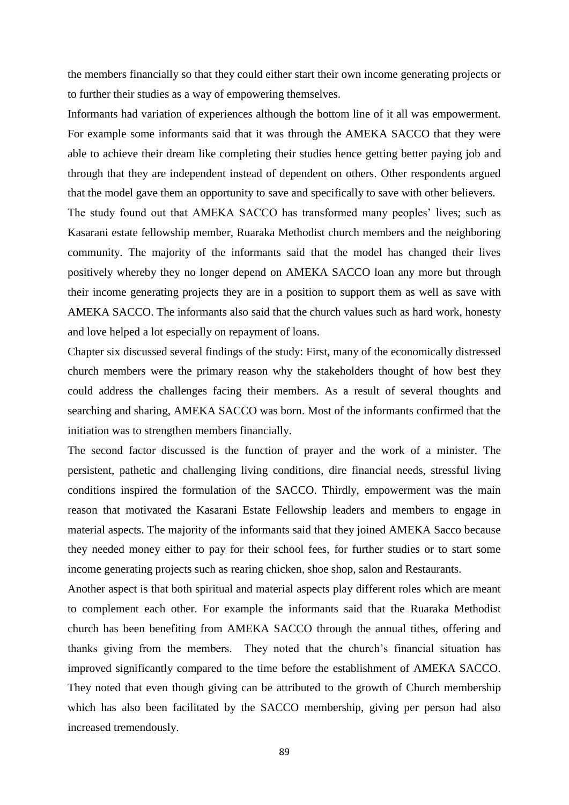the members financially so that they could either start their own income generating projects or to further their studies as a way of empowering themselves.

Informants had variation of experiences although the bottom line of it all was empowerment. For example some informants said that it was through the AMEKA SACCO that they were able to achieve their dream like completing their studies hence getting better paying job and through that they are independent instead of dependent on others. Other respondents argued that the model gave them an opportunity to save and specifically to save with other believers.

The study found out that AMEKA SACCO has transformed many peoples' lives; such as Kasarani estate fellowship member, Ruaraka Methodist church members and the neighboring community. The majority of the informants said that the model has changed their lives positively whereby they no longer depend on AMEKA SACCO loan any more but through their income generating projects they are in a position to support them as well as save with AMEKA SACCO. The informants also said that the church values such as hard work, honesty and love helped a lot especially on repayment of loans.

Chapter six discussed several findings of the study: First, many of the economically distressed church members were the primary reason why the stakeholders thought of how best they could address the challenges facing their members. As a result of several thoughts and searching and sharing, AMEKA SACCO was born. Most of the informants confirmed that the initiation was to strengthen members financially.

The second factor discussed is the function of prayer and the work of a minister. The persistent, pathetic and challenging living conditions, dire financial needs, stressful living conditions inspired the formulation of the SACCO. Thirdly, empowerment was the main reason that motivated the Kasarani Estate Fellowship leaders and members to engage in material aspects. The majority of the informants said that they joined AMEKA Sacco because they needed money either to pay for their school fees, for further studies or to start some income generating projects such as rearing chicken, shoe shop, salon and Restaurants.

Another aspect is that both spiritual and material aspects play different roles which are meant to complement each other. For example the informants said that the Ruaraka Methodist church has been benefiting from AMEKA SACCO through the annual tithes, offering and thanks giving from the members. They noted that the church's financial situation has improved significantly compared to the time before the establishment of AMEKA SACCO. They noted that even though giving can be attributed to the growth of Church membership which has also been facilitated by the SACCO membership, giving per person had also increased tremendously.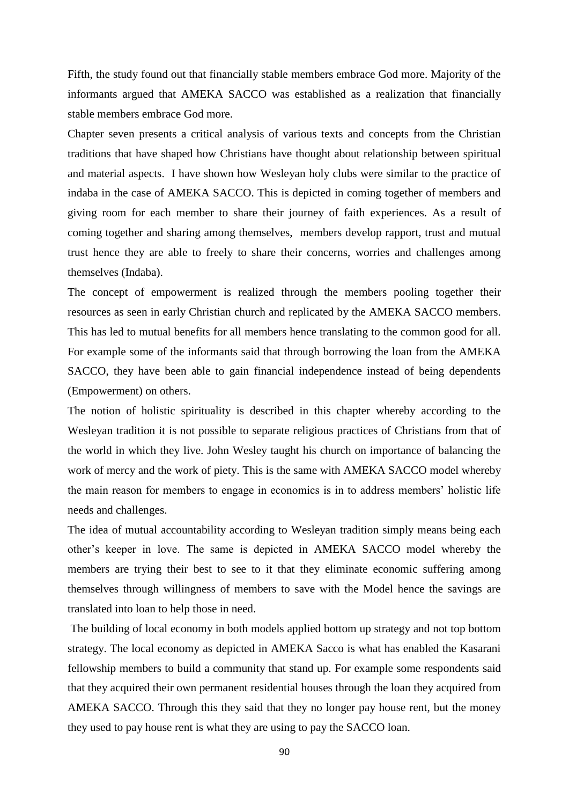Fifth, the study found out that financially stable members embrace God more. Majority of the informants argued that AMEKA SACCO was established as a realization that financially stable members embrace God more.

Chapter seven presents a critical analysis of various texts and concepts from the Christian traditions that have shaped how Christians have thought about relationship between spiritual and material aspects. I have shown how Wesleyan holy clubs were similar to the practice of indaba in the case of AMEKA SACCO. This is depicted in coming together of members and giving room for each member to share their journey of faith experiences. As a result of coming together and sharing among themselves, members develop rapport, trust and mutual trust hence they are able to freely to share their concerns, worries and challenges among themselves (Indaba).

The concept of empowerment is realized through the members pooling together their resources as seen in early Christian church and replicated by the AMEKA SACCO members. This has led to mutual benefits for all members hence translating to the common good for all. For example some of the informants said that through borrowing the loan from the AMEKA SACCO, they have been able to gain financial independence instead of being dependents (Empowerment) on others.

The notion of holistic spirituality is described in this chapter whereby according to the Wesleyan tradition it is not possible to separate religious practices of Christians from that of the world in which they live. John Wesley taught his church on importance of balancing the work of mercy and the work of piety. This is the same with AMEKA SACCO model whereby the main reason for members to engage in economics is in to address members' holistic life needs and challenges.

The idea of mutual accountability according to Wesleyan tradition simply means being each other's keeper in love. The same is depicted in AMEKA SACCO model whereby the members are trying their best to see to it that they eliminate economic suffering among themselves through willingness of members to save with the Model hence the savings are translated into loan to help those in need.

The building of local economy in both models applied bottom up strategy and not top bottom strategy. The local economy as depicted in AMEKA Sacco is what has enabled the Kasarani fellowship members to build a community that stand up. For example some respondents said that they acquired their own permanent residential houses through the loan they acquired from AMEKA SACCO. Through this they said that they no longer pay house rent, but the money they used to pay house rent is what they are using to pay the SACCO loan.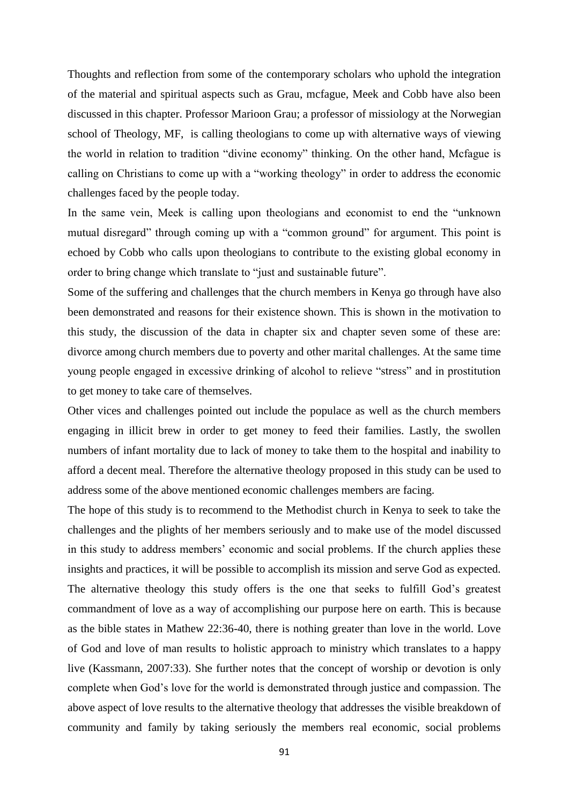Thoughts and reflection from some of the contemporary scholars who uphold the integration of the material and spiritual aspects such as Grau, mcfague, Meek and Cobb have also been discussed in this chapter. Professor Marioon Grau; a professor of missiology at the Norwegian school of Theology, MF, is calling theologians to come up with alternative ways of viewing the world in relation to tradition "divine economy" thinking. On the other hand, Mcfague is calling on Christians to come up with a "working theology" in order to address the economic challenges faced by the people today.

In the same vein, Meek is calling upon theologians and economist to end the "unknown mutual disregard" through coming up with a "common ground" for argument. This point is echoed by Cobb who calls upon theologians to contribute to the existing global economy in order to bring change which translate to "just and sustainable future".

Some of the suffering and challenges that the church members in Kenya go through have also been demonstrated and reasons for their existence shown. This is shown in the motivation to this study, the discussion of the data in chapter six and chapter seven some of these are: divorce among church members due to poverty and other marital challenges. At the same time young people engaged in excessive drinking of alcohol to relieve "stress" and in prostitution to get money to take care of themselves.

Other vices and challenges pointed out include the populace as well as the church members engaging in illicit brew in order to get money to feed their families. Lastly, the swollen numbers of infant mortality due to lack of money to take them to the hospital and inability to afford a decent meal. Therefore the alternative theology proposed in this study can be used to address some of the above mentioned economic challenges members are facing.

The hope of this study is to recommend to the Methodist church in Kenya to seek to take the challenges and the plights of her members seriously and to make use of the model discussed in this study to address members' economic and social problems. If the church applies these insights and practices, it will be possible to accomplish its mission and serve God as expected. The alternative theology this study offers is the one that seeks to fulfill God's greatest commandment of love as a way of accomplishing our purpose here on earth. This is because as the bible states in Mathew 22:36-40, there is nothing greater than love in the world. Love of God and love of man results to holistic approach to ministry which translates to a happy live (Kassmann, 2007:33). She further notes that the concept of worship or devotion is only complete when God's love for the world is demonstrated through justice and compassion. The above aspect of love results to the alternative theology that addresses the visible breakdown of community and family by taking seriously the members real economic, social problems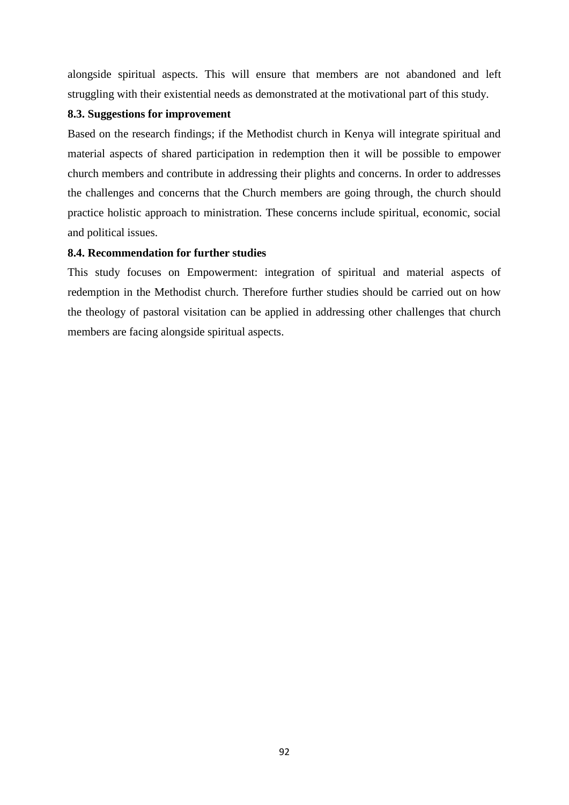alongside spiritual aspects. This will ensure that members are not abandoned and left struggling with their existential needs as demonstrated at the motivational part of this study.

## **8.3. Suggestions for improvement**

Based on the research findings; if the Methodist church in Kenya will integrate spiritual and material aspects of shared participation in redemption then it will be possible to empower church members and contribute in addressing their plights and concerns. In order to addresses the challenges and concerns that the Church members are going through, the church should practice holistic approach to ministration. These concerns include spiritual, economic, social and political issues.

## **8.4. Recommendation for further studies**

This study focuses on Empowerment: integration of spiritual and material aspects of redemption in the Methodist church. Therefore further studies should be carried out on how the theology of pastoral visitation can be applied in addressing other challenges that church members are facing alongside spiritual aspects.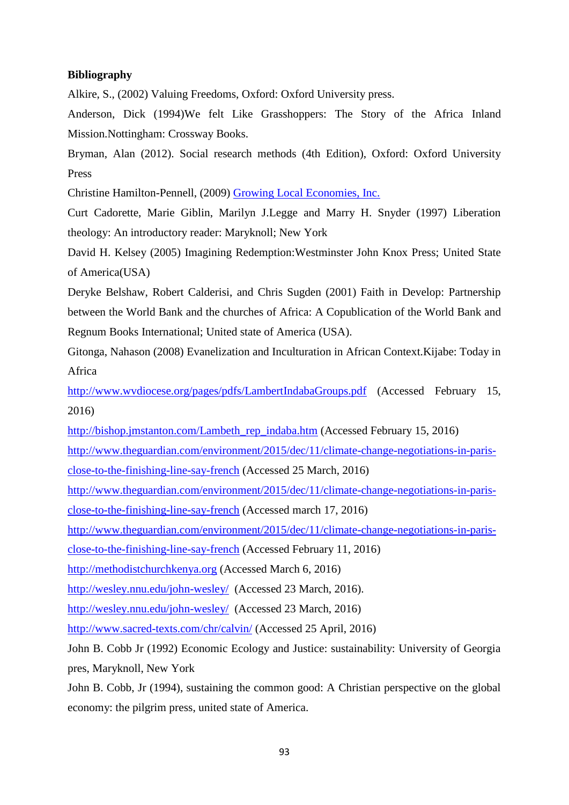## **Bibliography**

Alkire, S., (2002) Valuing Freedoms, Oxford: Oxford University press.

Anderson, Dick (1994)We felt Like Grasshoppers: The Story of the Africa Inland Mission.Nottingham: Crossway Books.

Bryman, Alan (2012). Social research methods (4th Edition), Oxford: Oxford University Press

Christine Hamilton-Pennell, (2009) [Growing Local Economies, Inc.](http://www.growinglocaleconomies.com/)

Curt Cadorette, Marie Giblin, Marilyn J.Legge and Marry H. Snyder (1997) Liberation theology: An introductory reader: Maryknoll; New York

David H. Kelsey (2005) Imagining Redemption:Westminster John Knox Press; United State of America(USA)

Deryke Belshaw, Robert Calderisi, and Chris Sugden (2001) Faith in Develop: Partnership between the World Bank and the churches of Africa: A Copublication of the World Bank and Regnum Books International; United state of America (USA).

Gitonga, Nahason (2008) Evanelization and Inculturation in African Context.Kijabe: Today in Africa

<http://www.wvdiocese.org/pages/pdfs/LambertIndabaGroups.pdf> (Accessed February 15, 2016)

[http://bishop.jmstanton.com/Lambeth\\_rep\\_indaba.htm](http://bishop.jmstanton.com/Lambeth_rep_indaba.htm) (Accessed February 15, 2016)

[http://www.theguardian.com/environment/2015/dec/11/climate-change-negotiations-in-paris](http://www.theguardian.com/environment/2015/dec/11/climate-change-negotiations-in-paris-close-to-the-finishing-line-say-french)[close-to-the-finishing-line-say-french](http://www.theguardian.com/environment/2015/dec/11/climate-change-negotiations-in-paris-close-to-the-finishing-line-say-french) (Accessed 25 March, 2016)

[http://www.theguardian.com/environment/2015/dec/11/climate-change-negotiations-in-paris](http://www.theguardian.com/environment/2015/dec/11/climate-change-negotiations-in-paris-close-to-the-finishing-line-say-french)[close-to-the-finishing-line-say-french](http://www.theguardian.com/environment/2015/dec/11/climate-change-negotiations-in-paris-close-to-the-finishing-line-say-french) (Accessed march 17, 2016)

[http://www.theguardian.com/environment/2015/dec/11/climate-change-negotiations-in-paris-](http://www.theguardian.com/environment/2015/dec/11/climate-change-negotiations-in-paris-close-to-the-finishing-line-say-french)

[close-to-the-finishing-line-say-french](http://www.theguardian.com/environment/2015/dec/11/climate-change-negotiations-in-paris-close-to-the-finishing-line-say-french) (Accessed February 11, 2016)

[http://methodistchurchkenya.org](http://methodistchurchkenya.org/) (Accessed March 6, 2016)

<http://wesley.nnu.edu/john-wesley/>(Accessed 23 March, 2016).

<http://wesley.nnu.edu/john-wesley/>(Accessed 23 March, 2016)

<http://www.sacred-texts.com/chr/calvin/> (Accessed 25 April, 2016)

John B. Cobb Jr (1992) Economic Ecology and Justice: sustainability: University of Georgia pres, Maryknoll, New York

John B. Cobb, Jr (1994), sustaining the common good: A Christian perspective on the global economy: the pilgrim press, united state of America.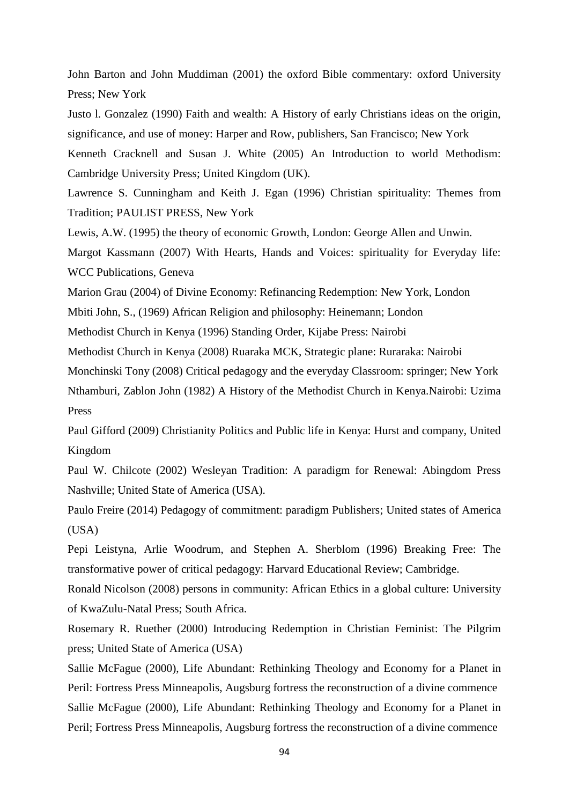John Barton and John Muddiman (2001) the oxford Bible commentary: oxford University Press; New York

Justo l. Gonzalez (1990) Faith and wealth: A History of early Christians ideas on the origin, significance, and use of money: Harper and Row, publishers, San Francisco; New York Kenneth Cracknell and Susan J. White (2005) An Introduction to world Methodism:

Cambridge University Press; United Kingdom (UK).

Lawrence S. Cunningham and Keith J. Egan (1996) Christian spirituality: Themes from Tradition; PAULIST PRESS, New York

Lewis, A.W. (1995) the theory of economic Growth, London: George Allen and Unwin.

Margot Kassmann (2007) With Hearts, Hands and Voices: spirituality for Everyday life: WCC Publications, Geneva

Marion Grau (2004) of Divine Economy: Refinancing Redemption: New York, London

Mbiti John, S., (1969) African Religion and philosophy: Heinemann; London

Methodist Church in Kenya (1996) Standing Order, Kijabe Press: Nairobi

Methodist Church in Kenya (2008) Ruaraka MCK, Strategic plane: Ruraraka: Nairobi

Monchinski Tony (2008) Critical pedagogy and the everyday Classroom: springer; New York

Nthamburi, Zablon John (1982) A History of the Methodist Church in Kenya.Nairobi: Uzima Press

Paul Gifford (2009) Christianity Politics and Public life in Kenya: Hurst and company, United Kingdom

Paul W. Chilcote (2002) Wesleyan Tradition: A paradigm for Renewal: Abingdom Press Nashville; United State of America (USA).

Paulo Freire (2014) Pedagogy of commitment: paradigm Publishers; United states of America (USA)

Pepi Leistyna, Arlie Woodrum, and Stephen A. Sherblom (1996) Breaking Free: The transformative power of critical pedagogy: Harvard Educational Review; Cambridge.

Ronald Nicolson (2008) persons in community: African Ethics in a global culture: University of KwaZulu-Natal Press; South Africa.

Rosemary R. Ruether (2000) Introducing Redemption in Christian Feminist: The Pilgrim press; United State of America (USA)

Sallie McFague (2000), Life Abundant: Rethinking Theology and Economy for a Planet in Peril: Fortress Press Minneapolis, Augsburg fortress the reconstruction of a divine commence Sallie McFague (2000), Life Abundant: Rethinking Theology and Economy for a Planet in Peril; Fortress Press Minneapolis, Augsburg fortress the reconstruction of a divine commence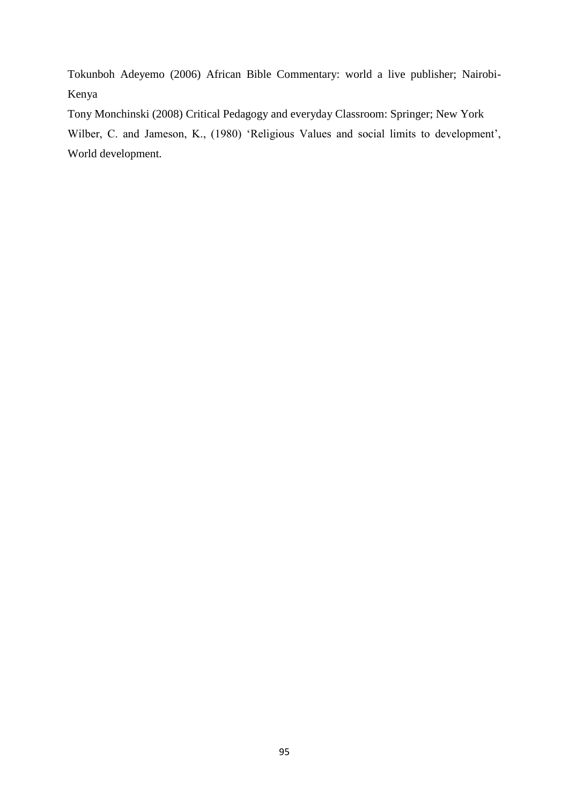Tokunboh Adeyemo (2006) African Bible Commentary: world a live publisher; Nairobi-Kenya

Tony Monchinski (2008) Critical Pedagogy and everyday Classroom: Springer; New York Wilber, C. and Jameson, K., (1980) 'Religious Values and social limits to development', World development.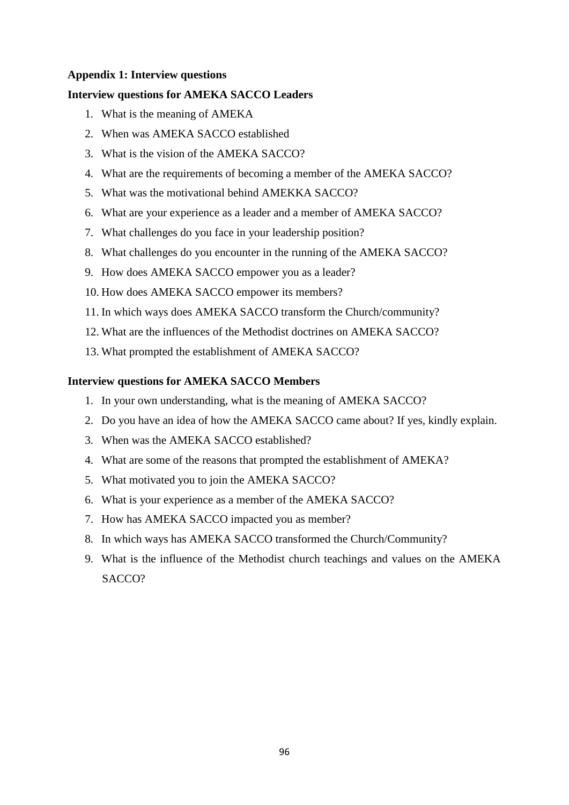## **Appendix 1: Interview questions**

## **Interview questions for AMEKA SACCO Leaders**

- 1. What is the meaning of AMEKA
- 2. When was AMEKA SACCO established
- 3. What is the vision of the AMEKA SACCO?
- 4. What are the requirements of becoming a member of the AMEKA SACCO?
- 5. What was the motivational behind AMEKKA SACCO?
- 6. What are your experience as a leader and a member of AMEKA SACCO?
- 7. What challenges do you face in your leadership position?
- 8. What challenges do you encounter in the running of the AMEKA SACCO?
- 9. How does AMEKA SACCO empower you as a leader?
- 10. How does AMEKA SACCO empower its members?
- 11. In which ways does AMEKA SACCO transform the Church/community?
- 12. What are the influences of the Methodist doctrines on AMEKA SACCO?
- 13. What prompted the establishment of AMEKA SACCO?

## **Interview questions for AMEKA SACCO Members**

- 1. In your own understanding, what is the meaning of AMEKA SACCO?
- 2. Do you have an idea of how the AMEKA SACCO came about? If yes, kindly explain.
- 3. When was the AMEKA SACCO established?
- 4. What are some of the reasons that prompted the establishment of AMEKA?
- 5. What motivated you to join the AMEKA SACCO?
- 6. What is your experience as a member of the AMEKA SACCO?
- 7. How has AMEKA SACCO impacted you as member?
- 8. In which ways has AMEKA SACCO transformed the Church/Community?
- 9. What is the influence of the Methodist church teachings and values on the AMEKA SACCO?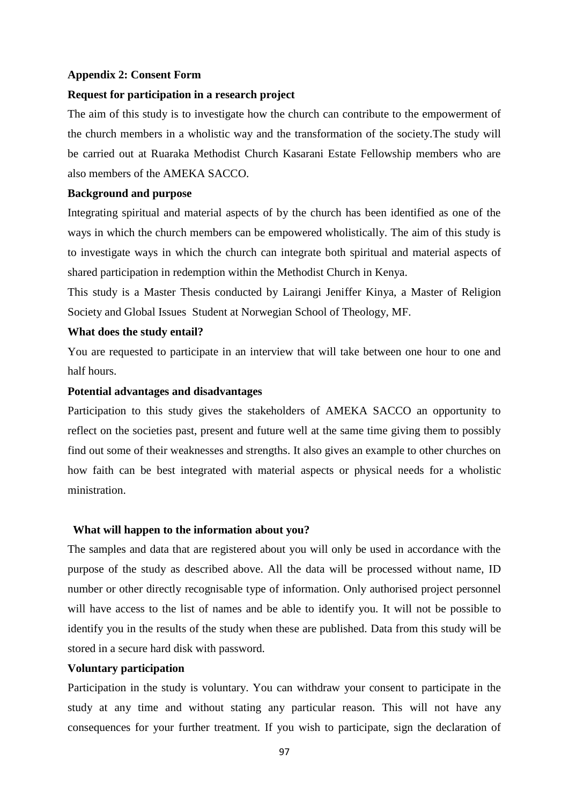#### **Appendix 2: Consent Form**

### **Request for participation in a research project**

The aim of this study is to investigate how the church can contribute to the empowerment of the church members in a wholistic way and the transformation of the society.The study will be carried out at Ruaraka Methodist Church Kasarani Estate Fellowship members who are also members of the AMEKA SACCO.

### **Background and purpose**

Integrating spiritual and material aspects of by the church has been identified as one of the ways in which the church members can be empowered wholistically. The aim of this study is to investigate ways in which the church can integrate both spiritual and material aspects of shared participation in redemption within the Methodist Church in Kenya.

This study is a Master Thesis conducted by Lairangi Jeniffer Kinya, a Master of Religion Society and Global Issues Student at Norwegian School of Theology, MF.

### **What does the study entail?**

You are requested to participate in an interview that will take between one hour to one and half hours.

## **Potential advantages and disadvantages**

Participation to this study gives the stakeholders of AMEKA SACCO an opportunity to reflect on the societies past, present and future well at the same time giving them to possibly find out some of their weaknesses and strengths. It also gives an example to other churches on how faith can be best integrated with material aspects or physical needs for a wholistic ministration.

#### **What will happen to the information about you?**

The samples and data that are registered about you will only be used in accordance with the purpose of the study as described above. All the data will be processed without name, ID number or other directly recognisable type of information. Only authorised project personnel will have access to the list of names and be able to identify you. It will not be possible to identify you in the results of the study when these are published. Data from this study will be stored in a secure hard disk with password.

## **Voluntary participation**

Participation in the study is voluntary. You can withdraw your consent to participate in the study at any time and without stating any particular reason. This will not have any consequences for your further treatment. If you wish to participate, sign the declaration of